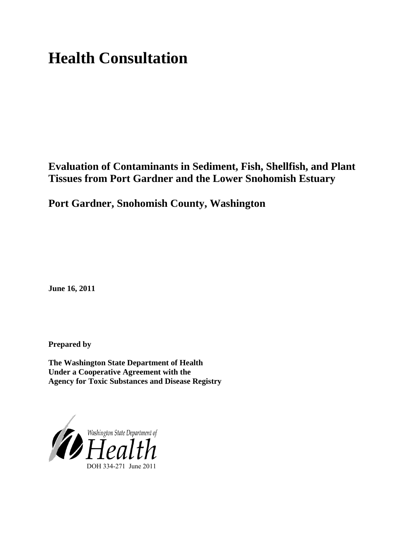# **Health Consultation**

### **Evaluation of Contaminants in Sediment, Fish, Shellfish, and Plant Tissues from Port Gardner and the Lower Snohomish Estuary**

### **Port Gardner, Snohomish County, Washington**

**June 16, 2011** 

**Prepared by**

**The Washington State Department of Health Under a Cooperative Agreement with the Agency for Toxic Substances and Disease Registry**

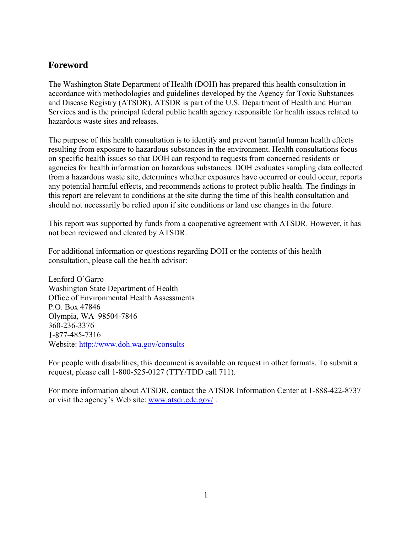### **Foreword**

The Washington State Department of Health (DOH) has prepared this health consultation in accordance with methodologies and guidelines developed by the Agency for Toxic Substances and Disease Registry (ATSDR). ATSDR is part of the U.S. Department of Health and Human Services and is the principal federal public health agency responsible for health issues related to hazardous waste sites and releases.

The purpose of this health consultation is to identify and prevent harmful human health effects resulting from exposure to hazardous substances in the environment. Health consultations focus on specific health issues so that DOH can respond to requests from concerned residents or agencies for health information on hazardous substances. DOH evaluates sampling data collected from a hazardous waste site, determines whether exposures have occurred or could occur, reports any potential harmful effects, and recommends actions to protect public health. The findings in this report are relevant to conditions at the site during the time of this health consultation and should not necessarily be relied upon if site conditions or land use changes in the future.

This report was supported by funds from a cooperative agreement with ATSDR. However, it has not been reviewed and cleared by ATSDR.

For additional information or questions regarding DOH or the contents of this health consultation, please call the health advisor:

Lenford O'Garro Washington State Department of Health Office of Environmental Health Assessments P.O. Box 47846 Olympia, WA 98504-7846 360-236-3376 1-877-485-7316 Website:<http://www.doh.wa.gov/consults>

For people with disabilities, this document is available on request in other formats. To submit a request, please call 1-800-525-0127 (TTY/TDD call 711).

For more information about ATSDR, contact the ATSDR Information Center at 1-888-422-8737 or visit the agency's Web site: [www.atsdr.cdc.gov/](www.atsdr.cdc.gov) .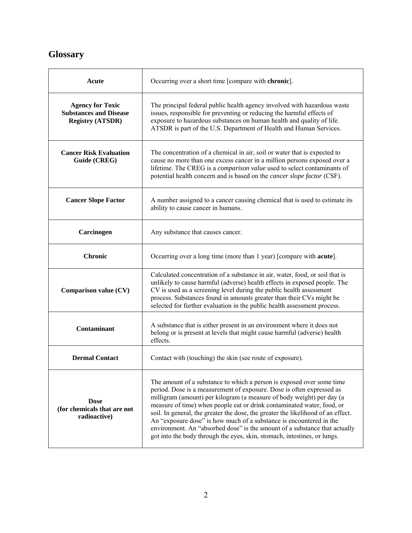## **Glossary**

| Acute                                                                               | Occurring over a short time [compare with chronic].                                                                                                                                                                                                                                                                                                                                                                                                                                                                                                                                                                    |  |  |  |  |  |
|-------------------------------------------------------------------------------------|------------------------------------------------------------------------------------------------------------------------------------------------------------------------------------------------------------------------------------------------------------------------------------------------------------------------------------------------------------------------------------------------------------------------------------------------------------------------------------------------------------------------------------------------------------------------------------------------------------------------|--|--|--|--|--|
| <b>Agency for Toxic</b><br><b>Substances and Disease</b><br><b>Registry (ATSDR)</b> | The principal federal public health agency involved with hazardous waste<br>issues, responsible for preventing or reducing the harmful effects of<br>exposure to hazardous substances on human health and quality of life.<br>ATSDR is part of the U.S. Department of Health and Human Services.                                                                                                                                                                                                                                                                                                                       |  |  |  |  |  |
| <b>Cancer Risk Evaluation</b><br>Guide (CREG)                                       | The concentration of a chemical in air, soil or water that is expected to<br>cause no more than one excess cancer in a million persons exposed over a<br>lifetime. The CREG is a <i>comparison value</i> used to select contaminants of<br>potential health concern and is based on the cancer slope factor (CSF).                                                                                                                                                                                                                                                                                                     |  |  |  |  |  |
| <b>Cancer Slope Factor</b>                                                          | A number assigned to a cancer causing chemical that is used to estimate its<br>ability to cause cancer in humans.                                                                                                                                                                                                                                                                                                                                                                                                                                                                                                      |  |  |  |  |  |
| Carcinogen                                                                          | Any substance that causes cancer.                                                                                                                                                                                                                                                                                                                                                                                                                                                                                                                                                                                      |  |  |  |  |  |
| <b>Chronic</b>                                                                      | Occurring over a long time (more than 1 year) [compare with <b>acute</b> ].                                                                                                                                                                                                                                                                                                                                                                                                                                                                                                                                            |  |  |  |  |  |
| Comparison value (CV)                                                               | Calculated concentration of a substance in air, water, food, or soil that is<br>unlikely to cause harmful (adverse) health effects in exposed people. The<br>CV is used as a screening level during the public health assessment<br>process. Substances found in amounts greater than their CVs might be<br>selected for further evaluation in the public health assessment process.                                                                                                                                                                                                                                   |  |  |  |  |  |
| <b>Contaminant</b>                                                                  | A substance that is either present in an environment where it does not<br>belong or is present at levels that might cause harmful (adverse) health<br>effects.                                                                                                                                                                                                                                                                                                                                                                                                                                                         |  |  |  |  |  |
| <b>Dermal Contact</b>                                                               | Contact with (touching) the skin (see route of exposure).                                                                                                                                                                                                                                                                                                                                                                                                                                                                                                                                                              |  |  |  |  |  |
| <b>Dose</b><br>(for chemicals that are not<br>radioactive)                          | The amount of a substance to which a person is exposed over some time<br>period. Dose is a measurement of exposure. Dose is often expressed as<br>milligram (amount) per kilogram (a measure of body weight) per day (a<br>measure of time) when people eat or drink contaminated water, food, or<br>soil. In general, the greater the dose, the greater the likelihood of an effect.<br>An "exposure dose" is how much of a substance is encountered in the<br>environment. An "absorbed dose" is the amount of a substance that actually<br>got into the body through the eyes, skin, stomach, intestines, or lungs. |  |  |  |  |  |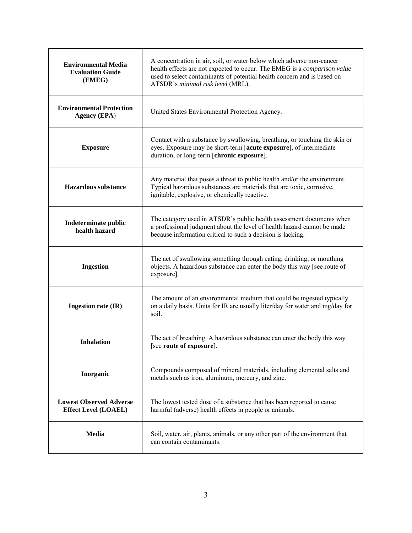| <b>Environmental Media</b><br><b>Evaluation Guide</b><br>(EMEG) | A concentration in air, soil, or water below which adverse non-cancer<br>health effects are not expected to occur. The EMEG is a comparison value<br>used to select contaminants of potential health concern and is based on<br>ATSDR's minimal risk level (MRL). |
|-----------------------------------------------------------------|-------------------------------------------------------------------------------------------------------------------------------------------------------------------------------------------------------------------------------------------------------------------|
| <b>Environmental Protection</b><br><b>Agency (EPA)</b>          | United States Environmental Protection Agency.                                                                                                                                                                                                                    |
| <b>Exposure</b>                                                 | Contact with a substance by swallowing, breathing, or touching the skin or<br>eyes. Exposure may be short-term [acute exposure], of intermediate<br>duration, or long-term [chronic exposure].                                                                    |
| Hazardous substance                                             | Any material that poses a threat to public health and/or the environment.<br>Typical hazardous substances are materials that are toxic, corrosive,<br>ignitable, explosive, or chemically reactive.                                                               |
| Indeterminate public<br>health hazard                           | The category used in ATSDR's public health assessment documents when<br>a professional judgment about the level of health hazard cannot be made<br>because information critical to such a decision is lacking.                                                    |
| <b>Ingestion</b>                                                | The act of swallowing something through eating, drinking, or mouthing<br>objects. A hazardous substance can enter the body this way [see route of<br>exposure].                                                                                                   |
| <b>Ingestion rate (IR)</b>                                      | The amount of an environmental medium that could be ingested typically<br>on a daily basis. Units for IR are usually liter/day for water and mg/day for<br>soil.                                                                                                  |
| <b>Inhalation</b>                                               | The act of breathing. A hazardous substance can enter the body this way<br>[see route of exposure].                                                                                                                                                               |
| Inorganic                                                       | Compounds composed of mineral materials, including elemental salts and<br>metals such as iron, aluminum, mercury, and zinc.                                                                                                                                       |
| <b>Lowest Observed Adverse</b><br><b>Effect Level (LOAEL)</b>   | The lowest tested dose of a substance that has been reported to cause<br>harmful (adverse) health effects in people or animals.                                                                                                                                   |
| Media                                                           | Soil, water, air, plants, animals, or any other part of the environment that<br>can contain contaminants.                                                                                                                                                         |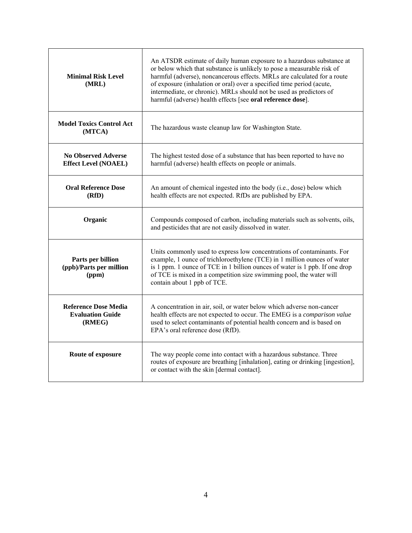| <b>Minimal Risk Level</b><br>(MRL)                               | An ATSDR estimate of daily human exposure to a hazardous substance at<br>or below which that substance is unlikely to pose a measurable risk of<br>harmful (adverse), noncancerous effects. MRLs are calculated for a route<br>of exposure (inhalation or oral) over a specified time period (acute,<br>intermediate, or chronic). MRLs should not be used as predictors of<br>harmful (adverse) health effects [see oral reference dose]. |  |  |  |  |  |
|------------------------------------------------------------------|--------------------------------------------------------------------------------------------------------------------------------------------------------------------------------------------------------------------------------------------------------------------------------------------------------------------------------------------------------------------------------------------------------------------------------------------|--|--|--|--|--|
| <b>Model Toxics Control Act</b><br>(MTCA)                        | The hazardous waste cleanup law for Washington State.                                                                                                                                                                                                                                                                                                                                                                                      |  |  |  |  |  |
| <b>No Observed Adverse</b><br><b>Effect Level (NOAEL)</b>        | The highest tested dose of a substance that has been reported to have no<br>harmful (adverse) health effects on people or animals.                                                                                                                                                                                                                                                                                                         |  |  |  |  |  |
| <b>Oral Reference Dose</b><br>(RfD)                              | An amount of chemical ingested into the body (i.e., dose) below which<br>health effects are not expected. RfDs are published by EPA.                                                                                                                                                                                                                                                                                                       |  |  |  |  |  |
| Organic                                                          | Compounds composed of carbon, including materials such as solvents, oils,<br>and pesticides that are not easily dissolved in water.                                                                                                                                                                                                                                                                                                        |  |  |  |  |  |
| Parts per billion<br>(ppb)/Parts per million<br>(ppm)            | Units commonly used to express low concentrations of contaminants. For<br>example, 1 ounce of trichloroethylene (TCE) in 1 million ounces of water<br>is 1 ppm. 1 ounce of TCE in 1 billion ounces of water is 1 ppb. If one drop<br>of TCE is mixed in a competition size swimming pool, the water will<br>contain about 1 ppb of TCE.                                                                                                    |  |  |  |  |  |
| <b>Reference Dose Media</b><br><b>Evaluation Guide</b><br>(RMEG) | A concentration in air, soil, or water below which adverse non-cancer<br>health effects are not expected to occur. The EMEG is a comparison value<br>used to select contaminants of potential health concern and is based on<br>EPA's oral reference dose (RfD).                                                                                                                                                                           |  |  |  |  |  |
| Route of exposure                                                | The way people come into contact with a hazardous substance. Three<br>routes of exposure are breathing [inhalation], eating or drinking [ingestion],<br>or contact with the skin [dermal contact].                                                                                                                                                                                                                                         |  |  |  |  |  |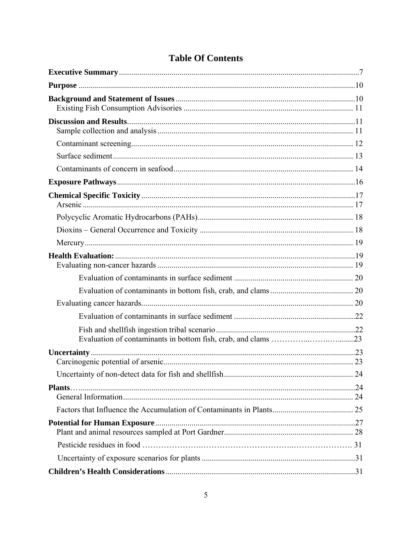## **Table Of Contents**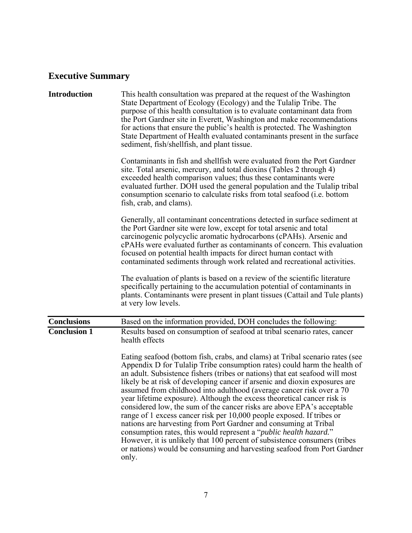## <span id="page-7-0"></span>**Executive Summary**

| <b>Introduction</b> | This health consultation was prepared at the request of the Washington<br>State Department of Ecology (Ecology) and the Tulalip Tribe. The<br>purpose of this health consultation is to evaluate contaminant data from<br>the Port Gardner site in Everett, Washington and make recommendations<br>for actions that ensure the public's health is protected. The Washington<br>State Department of Health evaluated contaminants present in the surface<br>sediment, fish/shellfish, and plant tissue.                                                                                                                                                                                                                                                                                                                                                                                                                                 |
|---------------------|----------------------------------------------------------------------------------------------------------------------------------------------------------------------------------------------------------------------------------------------------------------------------------------------------------------------------------------------------------------------------------------------------------------------------------------------------------------------------------------------------------------------------------------------------------------------------------------------------------------------------------------------------------------------------------------------------------------------------------------------------------------------------------------------------------------------------------------------------------------------------------------------------------------------------------------|
|                     | Contaminants in fish and shellfish were evaluated from the Port Gardner<br>site. Total arsenic, mercury, and total dioxins (Tables 2 through 4)<br>exceeded health comparison values; thus these contaminants were<br>evaluated further. DOH used the general population and the Tulalip tribal<br>consumption scenario to calculate risks from total seafood (i.e. bottom<br>fish, crab, and clams).                                                                                                                                                                                                                                                                                                                                                                                                                                                                                                                                  |
|                     | Generally, all contaminant concentrations detected in surface sediment at<br>the Port Gardner site were low, except for total arsenic and total<br>carcinogenic polycyclic aromatic hydrocarbons (cPAHs). Arsenic and<br>cPAHs were evaluated further as contaminants of concern. This evaluation<br>focused on potential health impacts for direct human contact with<br>contaminated sediments through work related and recreational activities.                                                                                                                                                                                                                                                                                                                                                                                                                                                                                     |
|                     | The evaluation of plants is based on a review of the scientific literature<br>specifically pertaining to the accumulation potential of contaminants in<br>plants. Contaminants were present in plant tissues (Cattail and Tule plants)<br>at very low levels.                                                                                                                                                                                                                                                                                                                                                                                                                                                                                                                                                                                                                                                                          |
| <b>Conclusions</b>  | Based on the information provided, DOH concludes the following:                                                                                                                                                                                                                                                                                                                                                                                                                                                                                                                                                                                                                                                                                                                                                                                                                                                                        |
| <b>Conclusion 1</b> | Results based on consumption of seafood at tribal scenario rates, cancer<br>health effects                                                                                                                                                                                                                                                                                                                                                                                                                                                                                                                                                                                                                                                                                                                                                                                                                                             |
|                     | Eating seafood (bottom fish, crabs, and clams) at Tribal scenario rates (see<br>Appendix D for Tulalip Tribe consumption rates) could harm the health of<br>an adult. Subsistence fishers (tribes or nations) that eat seafood will most<br>likely be at risk of developing cancer if arsenic and dioxin exposures are<br>assumed from childhood into adulthood (average cancer risk over a 70<br>year lifetime exposure). Although the excess theoretical cancer risk is<br>considered low, the sum of the cancer risks are above EPA's acceptable<br>range of 1 excess cancer risk per 10,000 people exposed. If tribes or<br>nations are harvesting from Port Gardner and consuming at Tribal<br>consumption rates, this would represent a "public health hazard."<br>However, it is unlikely that 100 percent of subsistence consumers (tribes<br>or nations) would be consuming and harvesting seafood from Port Gardner<br>only. |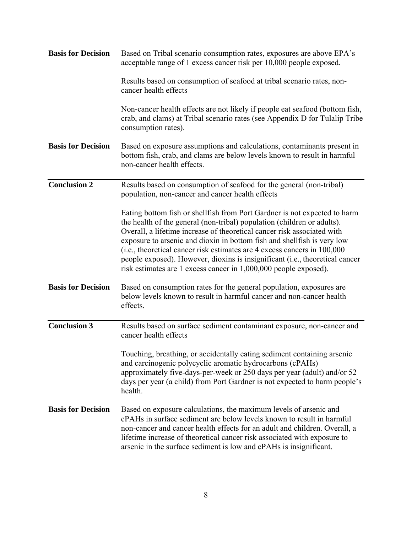| <b>Basis for Decision</b> | Based on Tribal scenario consumption rates, exposures are above EPA's<br>acceptable range of 1 excess cancer risk per 10,000 people exposed.                                                                                                                                                                                                                                                                                                                                                                                               |
|---------------------------|--------------------------------------------------------------------------------------------------------------------------------------------------------------------------------------------------------------------------------------------------------------------------------------------------------------------------------------------------------------------------------------------------------------------------------------------------------------------------------------------------------------------------------------------|
|                           | Results based on consumption of seafood at tribal scenario rates, non-<br>cancer health effects                                                                                                                                                                                                                                                                                                                                                                                                                                            |
|                           | Non-cancer health effects are not likely if people eat seafood (bottom fish,<br>crab, and clams) at Tribal scenario rates (see Appendix D for Tulalip Tribe<br>consumption rates).                                                                                                                                                                                                                                                                                                                                                         |
| <b>Basis for Decision</b> | Based on exposure assumptions and calculations, contaminants present in<br>bottom fish, crab, and clams are below levels known to result in harmful<br>non-cancer health effects.                                                                                                                                                                                                                                                                                                                                                          |
| <b>Conclusion 2</b>       | Results based on consumption of seafood for the general (non-tribal)<br>population, non-cancer and cancer health effects                                                                                                                                                                                                                                                                                                                                                                                                                   |
|                           | Eating bottom fish or shellfish from Port Gardner is not expected to harm<br>the health of the general (non-tribal) population (children or adults).<br>Overall, a lifetime increase of theoretical cancer risk associated with<br>exposure to arsenic and dioxin in bottom fish and shellfish is very low<br>(i.e., theoretical cancer risk estimates are 4 excess cancers in 100,000<br>people exposed). However, dioxins is insignificant (i.e., theoretical cancer<br>risk estimates are 1 excess cancer in 1,000,000 people exposed). |
| <b>Basis for Decision</b> | Based on consumption rates for the general population, exposures are<br>below levels known to result in harmful cancer and non-cancer health<br>effects.                                                                                                                                                                                                                                                                                                                                                                                   |
| <b>Conclusion 3</b>       | Results based on surface sediment contaminant exposure, non-cancer and<br>cancer health effects                                                                                                                                                                                                                                                                                                                                                                                                                                            |
|                           | Touching, breathing, or accidentally eating sediment containing arsenic<br>and carcinogenic polycyclic aromatic hydrocarbons (cPAHs)<br>approximately five-days-per-week or 250 days per year (adult) and/or 52<br>days per year (a child) from Port Gardner is not expected to harm people's<br>health.                                                                                                                                                                                                                                   |
| <b>Basis for Decision</b> | Based on exposure calculations, the maximum levels of arsenic and<br>cPAHs in surface sediment are below levels known to result in harmful<br>non-cancer and cancer health effects for an adult and children. Overall, a<br>lifetime increase of theoretical cancer risk associated with exposure to<br>arsenic in the surface sediment is low and cPAHs is insignificant.                                                                                                                                                                 |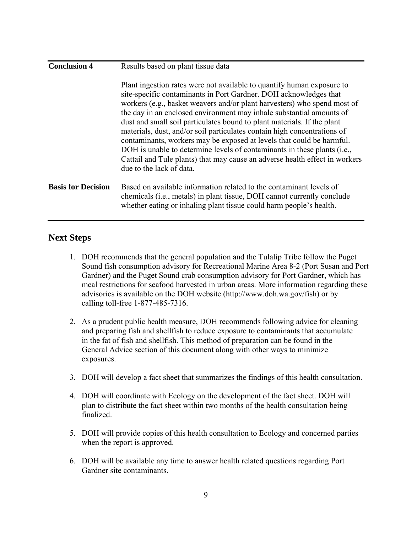| <b>Conclusion 4</b>       | Results based on plant tissue data                                                                                                                                                                                                                                                                                                                                                                                                                                                                                                                                                                                                                                                                                     |
|---------------------------|------------------------------------------------------------------------------------------------------------------------------------------------------------------------------------------------------------------------------------------------------------------------------------------------------------------------------------------------------------------------------------------------------------------------------------------------------------------------------------------------------------------------------------------------------------------------------------------------------------------------------------------------------------------------------------------------------------------------|
|                           | Plant ingestion rates were not available to quantify human exposure to<br>site-specific contaminants in Port Gardner. DOH acknowledges that<br>workers (e.g., basket weavers and/or plant harvesters) who spend most of<br>the day in an enclosed environment may inhale substantial amounts of<br>dust and small soil particulates bound to plant materials. If the plant<br>materials, dust, and/or soil particulates contain high concentrations of<br>contaminants, workers may be exposed at levels that could be harmful.<br>DOH is unable to determine levels of contaminants in these plants (i.e.,<br>Cattail and Tule plants) that may cause an adverse health effect in workers<br>due to the lack of data. |
| <b>Basis for Decision</b> | Based on available information related to the contaminant levels of<br>chemicals (i.e., metals) in plant tissue, DOH cannot currently conclude<br>whether eating or inhaling plant tissue could harm people's health.                                                                                                                                                                                                                                                                                                                                                                                                                                                                                                  |

### **Next Steps**

- 1. DOH recommends that the general population and the Tulalip Tribe follow the Puget Sound fish consumption advisory for Recreational Marine Area 8-2 (Port Susan and Port Gardner) and the Puget Sound crab consumption advisory for Port Gardner, which has meal restrictions for seafood harvested in urban areas. More information regarding these advisories is available on the DOH website (http://www.doh.wa.gov/fish) or by calling toll-free 1-877-485-7316.
- 2. As a prudent public health measure, DOH recommends following advice for cleaning and preparing fish and shellfish to reduce exposure to contaminants that accumulate in the fat of fish and shellfish. This method of preparation can be found in the General Advice section of this document along with other ways to minimize exposures.
- 3. DOH will develop a fact sheet that summarizes the findings of this health consultation.
- 4. DOH will coordinate with Ecology on the development of the fact sheet. DOH will plan to distribute the fact sheet within two months of the health consultation being finalized.
- 5. DOH will provide copies of this health consultation to Ecology and concerned parties when the report is approved.
- 6. DOH will be available any time to answer health related questions regarding Port Gardner site contaminants.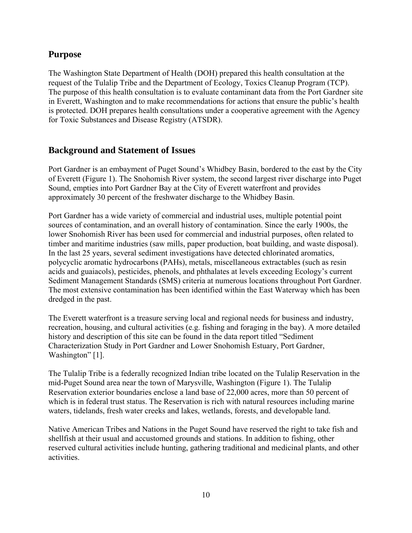### <span id="page-10-0"></span>**Purpose**

The Washington State Department of Health (DOH) prepared this health consultation at the request of the Tulalip Tribe and the Department of Ecology, Toxics Cleanup Program (TCP). The purpose of this health consultation is to evaluate contaminant data from the Port Gardner site in Everett, Washington and to make recommendations for actions that ensure the public's health is protected. DOH prepares health consultations under a cooperative agreement with the Agency for Toxic Substances and Disease Registry (ATSDR).

### <span id="page-10-1"></span>**Background and Statement of Issues**

Port Gardner is an embayment of Puget Sound's Whidbey Basin, bordered to the east by the City of Everett (Figure 1). The Snohomish River system, the second largest river discharge into Puget Sound, empties into Port Gardner Bay at the City of Everett waterfront and provides approximately 30 percent of the freshwater discharge to the Whidbey Basin.

Port Gardner has a wide variety of commercial and industrial uses, multiple potential point sources of contamination, and an overall history of contamination. Since the early 1900s, the lower Snohomish River has been used for commercial and industrial purposes, often related to timber and maritime industries (saw mills, paper production, boat building, and waste disposal). In the last 25 years, several sediment investigations have detected chlorinated aromatics, polycyclic aromatic hydrocarbons (PAHs), metals, miscellaneous extractables (such as resin acids and guaiacols), pesticides, phenols, and phthalates at levels exceeding Ecology's current Sediment Management Standards (SMS) criteria at numerous locations throughout Port Gardner. The most extensive contamination has been identified within the East Waterway which has been dredged in the past.

The Everett waterfront is a treasure serving local and regional needs for business and industry, recreation, housing, and cultural activities (e.g. fishing and foraging in the bay). A more detailed history and description of this site can be found in the data report titled "Sediment Characterization Study in Port Gardner and Lower Snohomish Estuary, Port Gardner, Washington" [1].

The Tulalip Tribe is a federally recognized Indian tribe located on the Tulalip Reservation in the mid-Puget Sound area near the town of Marysville, Washington (Figure 1). The Tulalip Reservation exterior boundaries enclose a land base of 22,000 acres, more than 50 percent of which is in federal trust status. The Reservation is rich with natural resources including marine waters, tidelands, fresh water creeks and lakes, wetlands, forests, and developable land.

Native American Tribes and Nations in the Puget Sound have reserved the right to take fish and shellfish at their usual and accustomed grounds and stations. In addition to fishing, other reserved cultural activities include hunting, gathering traditional and medicinal plants, and other activities.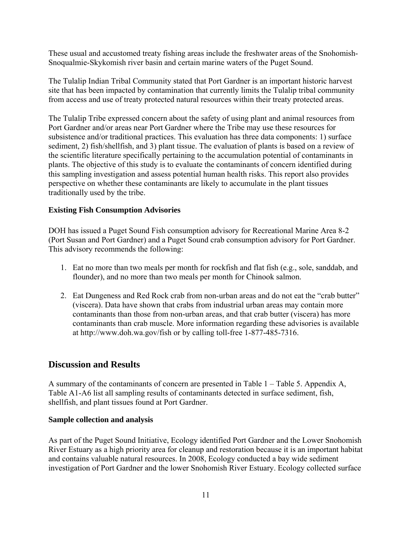These usual and accustomed treaty fishing areas include the freshwater areas of the Snohomish-Snoqualmie-Skykomish river basin and certain marine waters of the Puget Sound.

The Tulalip Indian Tribal Community stated that Port Gardner is an important historic harvest site that has been impacted by contamination that currently limits the Tulalip tribal community from access and use of treaty protected natural resources within their treaty protected areas.

The Tulalip Tribe expressed concern about the safety of using plant and animal resources from Port Gardner and/or areas near Port Gardner where the Tribe may use these resources for subsistence and/or traditional practices. This evaluation has three data components: 1) surface sediment, 2) fish/shellfish, and 3) plant tissue. The evaluation of plants is based on a review of the scientific literature specifically pertaining to the accumulation potential of contaminants in plants. The objective of this study is to evaluate the contaminants of concern identified during this sampling investigation and assess potential human health risks. This report also provides perspective on whether these contaminants are likely to accumulate in the plant tissues traditionally used by the tribe.

### <span id="page-11-0"></span>**Existing Fish Consumption Advisories**

DOH has issued a Puget Sound Fish consumption advisory for Recreational Marine Area 8-2 (Port Susan and Port Gardner) and a Puget Sound crab consumption advisory for Port Gardner. This advisory recommends the following:

- 1. Eat no more than two meals per month for rockfish and flat fish (e.g., sole, sanddab, and flounder), and no more than two meals per month for Chinook salmon.
- 2. Eat Dungeness and Red Rock crab from non-urban areas and do not eat the "crab butter" (viscera). Data have shown that crabs from industrial urban areas may contain more contaminants than those from non-urban areas, and that crab butter (viscera) has more contaminants than crab muscle. More information regarding these advisories is available at http://www.doh.wa.gov/fish or by calling toll-free 1-877-485-7316.

### <span id="page-11-1"></span>**Discussion and Results**

A summary of the contaminants of concern are presented in Table 1 – Table 5. Appendix A, Table A1-A6 list all sampling results of contaminants detected in surface sediment, fish, shellfish, and plant tissues found at Port Gardner.

### <span id="page-11-2"></span>**Sample collection and analysis**

As part of the Puget Sound Initiative, Ecology identified Port Gardner and the Lower Snohomish River Estuary as a high priority area for cleanup and restoration because it is an important habitat and contains valuable natural resources. In 2008, Ecology conducted a bay wide sediment investigation of Port Gardner and the lower Snohomish River Estuary. Ecology collected surface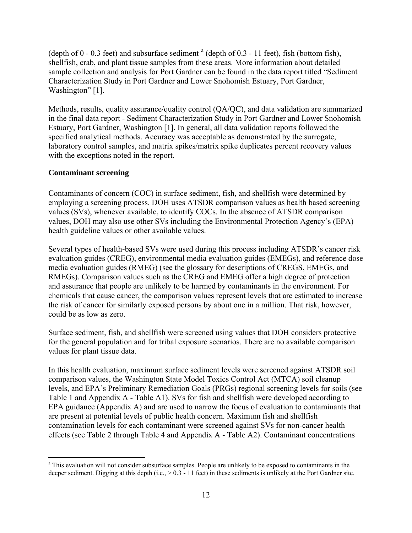(depth of  $0 - 0.3$  feet) [a](#page-12-1)nd subsurface sediment  $a$  (depth of  $0.3 - 11$  feet), fish (bottom fish), shellfish, crab, and plant tissue samples from these areas. More information about detailed sample collection and analysis for Port Gardner can be found in the data report titled "Sediment Characterization Study in Port Gardner and Lower Snohomish Estuary, Port Gardner, Washington" [1].

Methods, results, quality assurance/quality control (QA/QC), and data validation are summarized in the final data report - Sediment Characterization Study in Port Gardner and Lower Snohomish Estuary, Port Gardner, Washington [1]. In general, all data validation reports followed the specified analytical methods. Accuracy was acceptable as demonstrated by the surrogate, laboratory control samples, and matrix spikes/matrix spike duplicates percent recovery values with the exceptions noted in the report.

#### <span id="page-12-0"></span>**Contaminant screening**

Contaminants of concern (COC) in surface sediment, fish, and shellfish were determined by employing a screening process. DOH uses ATSDR comparison values as health based screening values (SVs), whenever available, to identify COCs. In the absence of ATSDR comparison values, DOH may also use other SVs including the Environmental Protection Agency's (EPA) health guideline values or other available values.

Several types of health-based SVs were used during this process including ATSDR's cancer risk evaluation guides (CREG), environmental media evaluation guides (EMEGs), and reference dose media evaluation guides (RMEG) (see the glossary for descriptions of CREGS, EMEGs, and RMEGs). Comparison values such as the CREG and EMEG offer a high degree of protection and assurance that people are unlikely to be harmed by contaminants in the environment. For chemicals that cause cancer, the comparison values represent levels that are estimated to increase the risk of cancer for similarly exposed persons by about one in a million. That risk, however, could be as low as zero.

Surface sediment, fish, and shellfish were screened using values that DOH considers protective for the general population and for tribal exposure scenarios. There are no available comparison values for plant tissue data.

In this health evaluation, maximum surface sediment levels were screened against ATSDR soil comparison values, the Washington State Model Toxics Control Act (MTCA) soil cleanup levels, and EPA's Preliminary Remediation Goals (PRGs) regional screening levels for soils (see Table 1 and Appendix A - Table A1). SVs for fish and shellfish were developed according to EPA guidance (Appendix A) and are used to narrow the focus of evaluation to contaminants that are present at potential levels of public health concern. Maximum fish and shellfish contamination levels for each contaminant were screened against SVs for non-cancer health effects (see Table 2 through Table 4 and Appendix A - Table A2). Contaminant concentrations

<span id="page-12-1"></span> $\overline{a}$ <sup>a</sup> This evaluation will not consider subsurface samples. People are unlikely to be exposed to contaminants in the deeper sediment. Digging at this depth (i.e.,  $> 0.3 - 11$  feet) in these sediments is unlikely at the Port Gardner site.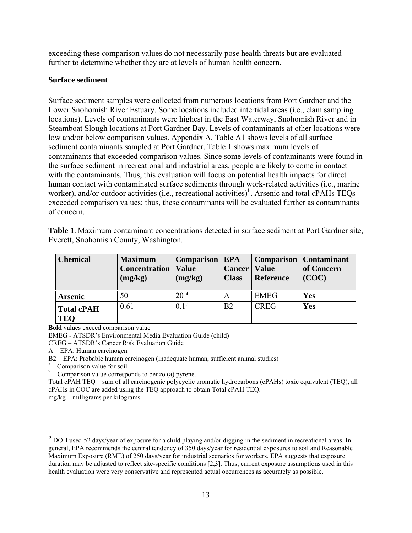exceeding these comparison values do not necessarily pose health threats but are evaluated further to determine whether they are at levels of human health concern.

#### <span id="page-13-0"></span>**Surface sediment**

Surface sediment samples were collected from numerous locations from Port Gardner and the Lower Snohomish River Estuary. Some locations included intertidal areas (i.e., clam sampling locations). Levels of contaminants were highest in the East Waterway, Snohomish River and in Steamboat Slough locations at Port Gardner Bay. Levels of contaminants at other locations were low and/or below comparison values. Appendix A, Table A1 shows levels of all surface sediment contaminants sampled at Port Gardner. Table 1 shows maximum levels of contaminants that exceeded comparison values. Since some levels of contaminants were found in the surface sediment in recreational and industrial areas, people are likely to come in contact with the contaminants. Thus, this evaluation will focus on potential health impacts for direct human contact with contaminated surface sediments through work-related activities (i.e., marine worker), and/or outdoor activities (i.e., recreational activities)<sup>[b](#page-13-1)</sup>. Arsenic and total cPAHs TEQs exceeded comparison values; thus, these contaminants will be evaluated further as contaminants of concern.

**Table 1**. Maximum contaminant concentrations detected in surface sediment at Port Gardner site, Everett, Snohomish County, Washington.

| <b>Chemical</b>                 | <b>Maximum</b><br><b>Concentration</b><br>(mg/kg) | <b>Comparison</b> EPA<br><b>Value</b><br>(mg/kg) | <b>Cancer Value</b><br><b>Class</b> | <b>Reference</b> | Comparison   Contaminant<br>of Concern<br>(COC) |
|---------------------------------|---------------------------------------------------|--------------------------------------------------|-------------------------------------|------------------|-------------------------------------------------|
| <b>Arsenic</b>                  | 50                                                | 20 <sup>a</sup>                                  | A                                   | <b>EMEG</b>      | Yes                                             |
| <b>Total cPAH</b><br><b>TEQ</b> | 0.61                                              | 0.1 <sup>b</sup>                                 | B <sub>2</sub>                      | <b>CREG</b>      | Yes                                             |

**Bold** values exceed comparison value

EMEG - ATSDR's Environmental Media Evaluation Guide (child)

CREG – ATSDR's Cancer Risk Evaluation Guide

A – EPA: Human carcinogen

B2 – EPA: Probable human carcinogen (inadequate human, sufficient animal studies)

 $a$  – Comparison value for soil

 $b$  – Comparison value corresponds to benzo (a) pyrene.

Total cPAH TEQ – sum of all carcinogenic polycyclic aromatic hydrocarbons (cPAHs) toxic equivalent (TEQ), all cPAHs in COC are added using the TEQ approach to obtain Total cPAH TEQ.

mg/kg – milligrams per kilograms

 $\overline{a}$ 

<span id="page-13-1"></span><sup>&</sup>lt;sup>b</sup> DOH used 52 days/year of exposure for a child playing and/or digging in the sediment in recreational areas. In general, EPA recommends the central tendency of 350 days/year for residential exposures to soil and Reasonable Maximum Exposure (RME) of 250 days/year for industrial scenarios for workers. EPA suggests that exposure duration may be adjusted to reflect site-specific conditions [2,3]. Thus, current exposure assumptions used in this health evaluation were very conservative and represented actual occurrences as accurately as possible.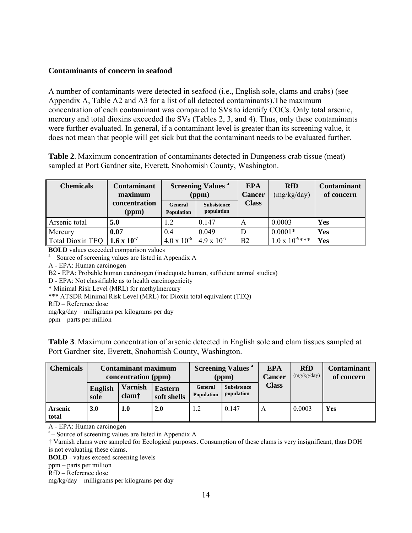#### <span id="page-14-0"></span>**Contaminants of concern in seafood**

A number of contaminants were detected in seafood (i.e., English sole, clams and crabs) (see Appendix A, Table A2 and A3 for a list of all detected contaminants).The maximum concentration of each contaminant was compared to SVs to identify COCs. Only total arsenic, mercury and total dioxins exceeded the SVs (Tables 2, 3, and 4). Thus, only these contaminants were further evaluated. In general, if a contaminant level is greater than its screening value, it does not mean that people will get sick but that the contaminant needs to be evaluated further.

**Table 2**. Maximum concentration of contaminants detected in Dungeness crab tissue (meat) sampled at Port Gardner site, Everett, Snohomish County, Washington.

| <b>Chemicals</b>        | <b>Contaminant</b><br>maximum | <b>Screening Values</b> <sup>a</sup><br>(ppm) |                                  |                |                          | <b>EPA</b><br><b>RfD</b><br>(mg/kg/day)<br><b>Cancer</b> |  | Contaminant<br>of concern |
|-------------------------|-------------------------------|-----------------------------------------------|----------------------------------|----------------|--------------------------|----------------------------------------------------------|--|---------------------------|
|                         | concentration<br>(ppm)        | General<br><b>Population</b>                  | <b>Subsistence</b><br>population | <b>Class</b>   |                          |                                                          |  |                           |
| Arsenic total           | 5.0                           | 1.2                                           | 0.147                            | А              | 0.0003                   | Yes                                                      |  |                           |
| Mercury                 | 0.07                          | 0.4                                           | 0.049                            |                | $0.0001*$                | Yes                                                      |  |                           |
| <b>Total Dioxin TEQ</b> | $1.6 \times 10^{-7}$          | $4.0 \times 10^{-6}$                          | $4.9 \times 10^{-7}$             | B <sub>2</sub> | $1.0 \times 10^{-9}$ *** | Yes                                                      |  |                           |

**BOLD** values exceeded comparison values

<sup>a</sup> – Source of screening values are listed in Appendix A

A - EPA: Human carcinogen

B2 - EPA: Probable human carcinogen (inadequate human, sufficient animal studies)

D - EPA: Not classifiable as to health carcinogenicity

\* Minimal Risk Level (MRL) for methylmercury

\*\*\* ATSDR Minimal Risk Level (MRL) for Dioxin total equivalent (TEQ)

RfD – Reference dose

mg/kg/day – milligrams per kilograms per day

ppm – parts per million

**Table 3**. Maximum concentration of arsenic detected in English sole and clam tissues sampled at Port Gardner site, Everett, Snohomish County, Washington.

| <b>Chemicals</b>        |                        | <b>Contaminant maximum</b><br>concentration (ppm) |                               | <b>Screening Values</b> <sup>a</sup><br>(ppm) |                                  | <b>EPA</b><br><b>Cancer</b> | <b>RfD</b><br>(mg/kg/day) | <b>Contaminant</b><br>of concern |
|-------------------------|------------------------|---------------------------------------------------|-------------------------------|-----------------------------------------------|----------------------------------|-----------------------------|---------------------------|----------------------------------|
|                         | <b>English</b><br>sole | Varnish<br>clam $\dagger$                         | <b>Eastern</b><br>soft shells | <b>General</b><br><b>Population</b>           | <b>Subsistence</b><br>population | <b>Class</b>                |                           |                                  |
| <b>Arsenic</b><br>total | 3.0                    | 1.0                                               | 2.0                           | 1.2                                           | 0.147                            | A                           | 0.0003                    | Yes                              |

A - EPA: Human carcinogen<br><sup>a</sup> – Source of screening values are listed in Appendix A

† Varnish clams were sampled for Ecological purposes. Consumption of these clams is very insignificant, thus DOH is not evaluating these clams.

**BOLD** - values exceed screening levels

ppm – parts per million

RfD – Reference dose

mg/kg/day – milligrams per kilograms per day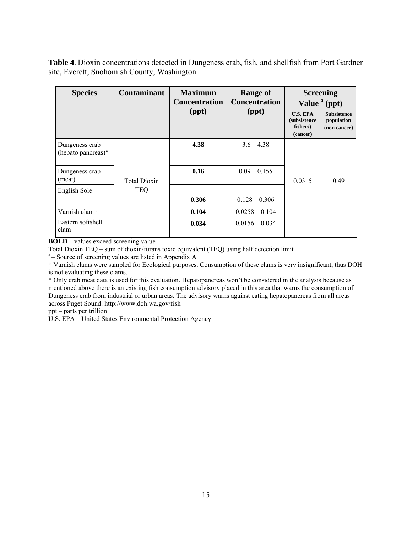**Table 4**. Dioxin concentrations detected in Dungeness crab, fish, and shellfish from Port Gardner site, Everett, Snohomish County, Washington.

| <b>Species</b>                       | <b>Contaminant</b>  | <b>Maximum</b><br><b>Screening</b><br><b>Range of</b><br><b>Concentration</b><br><b>Concentration</b><br>Value $a$ (ppt) |                  |                                                                 |                                                  |
|--------------------------------------|---------------------|--------------------------------------------------------------------------------------------------------------------------|------------------|-----------------------------------------------------------------|--------------------------------------------------|
|                                      |                     | $(\text{ppt})$                                                                                                           | $(\text{ppt})$   | <b>U.S. EPA</b><br><i>(subsistence)</i><br>fishers)<br>(cancer) | <b>Subsistence</b><br>population<br>(non cancer) |
| Dungeness crab<br>(hepato pancreas)* |                     | 4.38                                                                                                                     | $3.6 - 4.38$     |                                                                 |                                                  |
| Dungeness crab<br>(meat)             | <b>Total Dioxin</b> | 0.16                                                                                                                     | $0.09 - 0.155$   | 0.0315                                                          | 0.49                                             |
| English Sole                         | <b>TEQ</b>          |                                                                                                                          |                  |                                                                 |                                                  |
|                                      |                     | 0.306                                                                                                                    | $0.128 - 0.306$  |                                                                 |                                                  |
| Varnish clam †                       |                     | 0.104                                                                                                                    | $0.0258 - 0.104$ |                                                                 |                                                  |
| Eastern softshell<br>clam            |                     | 0.034                                                                                                                    | $0.0156 - 0.034$ |                                                                 |                                                  |

**BOLD** – values exceed screening value

Total Dioxin TEQ – sum of dioxin/furans toxic equivalent (TEQ) using half detection limit  $a$  – Source of screening values are listed in Appendix A

† Varnish clams were sampled for Ecological purposes. Consumption of these clams is very insignificant, thus DOH is not evaluating these clams.

**\*** Only crab meat data is used for this evaluation. Hepatopancreas won't be considered in the analysis because as mentioned above there is an existing fish consumption advisory placed in this area that warns the consumption of Dungeness crab from industrial or urban areas. The advisory warns against eating hepatopancreas from all areas across Puget Sound. http://www.doh.wa.gov/fish

ppt – parts per trillion

U.S. EPA – United States Environmental Protection Agency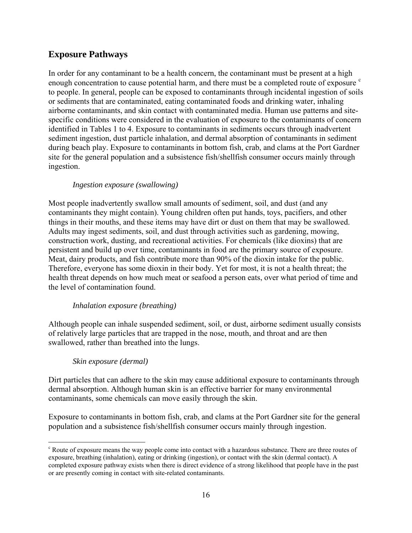### <span id="page-16-0"></span>**Exposure Pathways**

In order for any contaminant to be a health concern, the contaminant must be present at a high enough [c](#page-16-1)oncentration to cause potential harm, and there must be a completed route of exposure <sup>c</sup> to people. In general, people can be exposed to contaminants through incidental ingestion of soils or sediments that are contaminated, eating contaminated foods and drinking water, inhaling airborne contaminants, and skin contact with contaminated media. Human use patterns and sitespecific conditions were considered in the evaluation of exposure to the contaminants of concern identified in Tables 1 to 4. Exposure to contaminants in sediments occurs through inadvertent sediment ingestion, dust particle inhalation, and dermal absorption of contaminants in sediment during beach play. Exposure to contaminants in bottom fish, crab, and clams at the Port Gardner site for the general population and a subsistence fish/shellfish consumer occurs mainly through ingestion.

### *Ingestion exposure (swallowing)*

Most people inadvertently swallow small amounts of sediment, soil, and dust (and any contaminants they might contain). Young children often put hands, toys, pacifiers, and other things in their mouths, and these items may have dirt or dust on them that may be swallowed. Adults may ingest sediments, soil, and dust through activities such as gardening, mowing, construction work, dusting, and recreational activities. For chemicals (like dioxins) that are persistent and build up over time, contaminants in food are the primary source of exposure. Meat, dairy products, and fish contribute more than 90% of the dioxin intake for the public. Therefore, everyone has some dioxin in their body. Yet for most, it is not a health threat; the health threat depends on how much meat or seafood a person eats, over what period of time and the level of contamination found.

### *Inhalation exposure (breathing)*

Although people can inhale suspended sediment, soil, or dust, airborne sediment usually consists of relatively large particles that are trapped in the nose, mouth, and throat and are then swallowed, rather than breathed into the lungs.

### *Skin exposure (dermal)*

Dirt particles that can adhere to the skin may cause additional exposure to contaminants through dermal absorption. Although human skin is an effective barrier for many environmental contaminants, some chemicals can move easily through the skin.

Exposure to contaminants in bottom fish, crab, and clams at the Port Gardner site for the general population and a subsistence fish/shellfish consumer occurs mainly through ingestion.

<span id="page-16-1"></span> $\overline{a}$ <sup>c</sup> Route of exposure means the way people come into contact with a hazardous substance. There are three routes of exposure, breathing (inhalation), eating or drinking (ingestion), or contact with the skin (dermal contact). A completed exposure pathway exists when there is direct evidence of a strong likelihood that people have in the past or are presently coming in contact with site-related contaminants.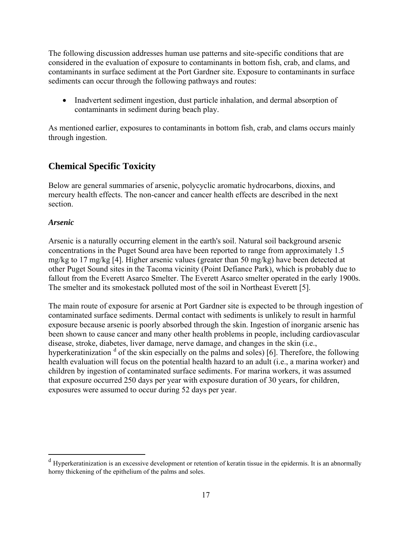The following discussion addresses human use patterns and site-specific conditions that are considered in the evaluation of exposure to contaminants in bottom fish, crab, and clams, and contaminants in surface sediment at the Port Gardner site. Exposure to contaminants in surface sediments can occur through the following pathways and routes:

• Inadvertent sediment ingestion, dust particle inhalation, and dermal absorption of contaminants in sediment during beach play.

As mentioned earlier, exposures to contaminants in bottom fish, crab, and clams occurs mainly through ingestion.

### <span id="page-17-0"></span>**Chemical Specific Toxicity**

Below are general summaries of arsenic, polycyclic aromatic hydrocarbons, dioxins, and mercury health effects. The non-cancer and cancer health effects are described in the next section.

### <span id="page-17-1"></span>*Arsenic*

 $\overline{a}$ 

Arsenic is a naturally occurring element in the earth's soil. Natural soil background arsenic concentrations in the Puget Sound area have been reported to range from approximately 1.5 mg/kg to 17 mg/kg [4]. Higher arsenic values (greater than 50 mg/kg) have been detected at other Puget Sound sites in the Tacoma vicinity (Point Defiance Park), which is probably due to fallout from the Everett Asarco Smelter. The Everett Asarco smelter operated in the early 1900s. The smelter and its smokestack polluted most of the soil in Northeast Everett [5].

The main route of exposure for arsenic at Port Gardner site is expected to be through ingestion of contaminated surface sediments. Dermal contact with sediments is unlikely to result in harmful exposure because arsenic is poorly absorbed through the skin. Ingestion of inorganic arsenic has been shown to cause cancer and many other health problems in people, including cardiovascular disease, stroke, diabetes, liver damage, nerve damage, and changes in the skin (i.e., hyperkeratinization <sup>[d](#page-17-2)</sup> of the skin especially on the palms and soles) [6]. Therefore, the following health evaluation will focus on the potential health hazard to an adult (i.e., a marina worker) and children by ingestion of contaminated surface sediments. For marina workers, it was assumed that exposure occurred 250 days per year with exposure duration of 30 years, for children, exposures were assumed to occur during 52 days per year.

<span id="page-17-2"></span><sup>&</sup>lt;sup>d</sup> Hyperkeratinization is an excessive development or retention of keratin tissue in the epidermis. It is an abnormally horny thickening of the epithelium of the palms and soles.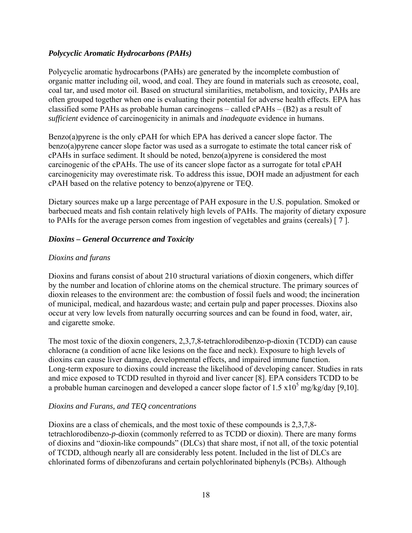### <span id="page-18-0"></span>*Polycyclic Aromatic Hydrocarbons (PAHs)*

Polycyclic aromatic hydrocarbons (PAHs) are generated by the incomplete combustion of organic matter including oil, wood, and coal. They are found in materials such as creosote, coal, coal tar, and used motor oil. Based on structural similarities, metabolism, and toxicity, PAHs are often grouped together when one is evaluating their potential for adverse health effects. EPA has classified some PAHs as probable human carcinogens – called  $cPAHs - (B2)$  as a result of *sufficient* evidence of carcinogenicity in animals and *inadequate* evidence in humans.

Benzo(a)pyrene is the only cPAH for which EPA has derived a cancer slope factor. The benzo(a)pyrene cancer slope factor was used as a surrogate to estimate the total cancer risk of cPAHs in surface sediment. It should be noted, benzo(a)pyrene is considered the most carcinogenic of the cPAHs. The use of its cancer slope factor as a surrogate for total cPAH carcinogenicity may overestimate risk. To address this issue, DOH made an adjustment for each cPAH based on the relative potency to benzo(a)pyrene or TEQ.

Dietary sources make up a large percentage of PAH exposure in the U.S. population. Smoked or barbecued meats and fish contain relatively high levels of PAHs. The majority of dietary exposure to PAHs for the average person comes from ingestion of vegetables and grains (cereals) [ 7 ].

### <span id="page-18-1"></span>*Dioxins – General Occurrence and Toxicity*

### *Dioxins and furans*

Dioxins and furans consist of about 210 structural variations of dioxin congeners, which differ by the number and location of chlorine atoms on the chemical structure. The primary sources of dioxin releases to the environment are: the combustion of fossil fuels and wood; the incineration of municipal, medical, and hazardous waste; and certain pulp and paper processes. Dioxins also occur at very low levels from naturally occurring sources and can be found in food, water, air, and cigarette smoke.

The most toxic of the dioxin congeners, 2,3,7,8-tetrachlorodibenzo-p-dioxin (TCDD) can cause chloracne (a condition of acne like lesions on the face and neck). Exposure to high levels of dioxins can cause liver damage, developmental effects, and impaired immune function. Long-term exposure to dioxins could increase the likelihood of developing cancer. Studies in rats and mice exposed to TCDD resulted in thyroid and liver cancer [8]. EPA considers TCDD to be a probable human carcinogen and developed a cancer slope factor of 1.5  $x10^5$  mg/kg/day [9,10].

#### *Dioxins and Furans, and TEQ concentrations*

Dioxins are a class of chemicals, and the most toxic of these compounds is 2,3,7,8 tetrachlorodibenzo-*p*-dioxin (commonly referred to as TCDD or dioxin). There are many forms of dioxins and "dioxin-like compounds" (DLCs) that share most, if not all, of the toxic potential of TCDD, although nearly all are considerably less potent. Included in the list of DLCs are chlorinated forms of dibenzofurans and certain polychlorinated biphenyls (PCBs). Although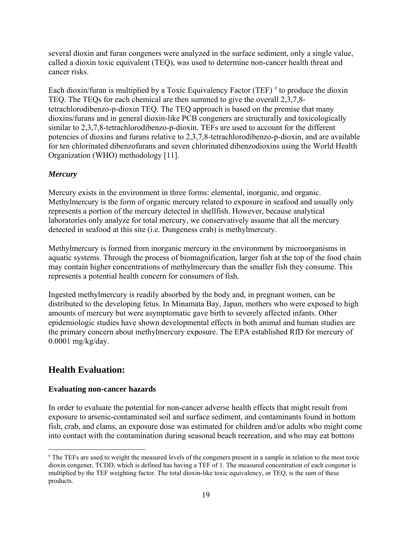several dioxin and furan congeners were analyzed in the surface sediment, only a single value, called a dioxin toxic equivalent (TEQ), was used to determine non-cancer health threat and cancer risks.

Each dioxin/furan is multipli[e](#page-19-3)d by a Toxic Equivalency Factor (TEF)  $\textdegree$  to produce the dioxin TEQ. The TEQs for each chemical are then summed to give the overall 2,3,7,8 tetrachlorodibenzo-p-dioxin TEQ. The TEQ approach is based on the premise that many dioxins/furans and in general dioxin-like PCB congeners are structurally and toxicologically similar to 2,3,7,8-tetrachlorodibenzo-p-dioxin. TEFs are used to account for the different potencies of dioxins and furans relative to 2,3,7,8-tetrachlorodibenzo-p-dioxin, and are available for ten chlorinated dibenzofurans and seven chlorinated dibenzodioxins using the World Health Organization (WHO) methodology [11].

### <span id="page-19-0"></span>*Mercury*

Mercury exists in the environment in three forms: elemental, inorganic, and organic. Methylmercury is the form of organic mercury related to exposure in seafood and usually only represents a portion of the mercury detected in shellfish. However, because analytical laboratories only analyze for total mercury, we conservatively assume that all the mercury detected in seafood at this site (i.e. Dungeness crab) is methylmercury.

Methylmercury is formed from inorganic mercury in the environment by microorganisms in aquatic systems. Through the process of biomagnification, larger fish at the top of the food chain may contain higher concentrations of methylmercury than the smaller fish they consume. This represents a potential health concern for consumers of fish.

Ingested methylmercury is readily absorbed by the body and, in pregnant women, can be distributed to the developing fetus. In Minamata Bay, Japan, mothers who were exposed to high amounts of mercury but were asymptomatic gave birth to severely affected infants. Other epidemiologic studies have shown developmental effects in both animal and human studies are the primary concern about methylmercury exposure. The EPA established RfD for mercury of 0.0001 mg/kg/day.

### <span id="page-19-1"></span>**Health Evaluation:**

### <span id="page-19-2"></span>**Evaluating non-cancer hazards**

In order to evaluate the potential for non-cancer adverse health effects that might result from exposure to arsenic-contaminated soil and surface sediment, and contaminants found in bottom fish, crab, and clams, an exposure dose was estimated for children and/or adults who might come into contact with the contamination during seasonal beach recreation, and who may eat bottom

<span id="page-19-3"></span> $\overline{a}$ <sup>e</sup> The TEFs are used to weight the measured levels of the congeners present in a sample in relation to the most toxic dioxin congener, TCDD, which is defined has having a TEF of 1. The measured concentration of each congener is multiplied by the TEF weighting factor. The total dioxin-like toxic equivalency, or TEQ, is the sum of these products.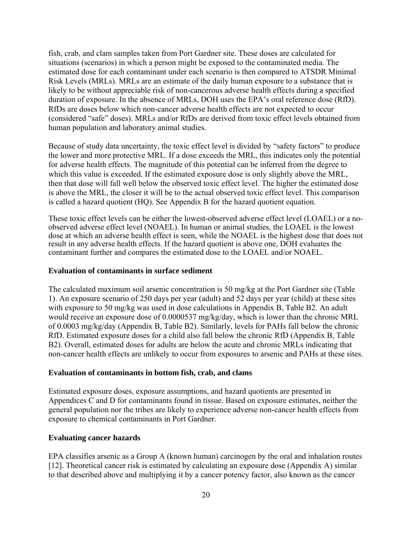fish, crab, and clam samples taken from Port Gardner site. These doses are calculated for situations (scenarios) in which a person might be exposed to the contaminated media. The estimated dose for each contaminant under each scenario is then compared to ATSDR Minimal Risk Levels (MRLs). MRLs are an estimate of the daily human exposure to a substance that is likely to be without appreciable risk of non-cancerous adverse health effects during a specified duration of exposure. In the absence of MRLs, DOH uses the EPA's oral reference dose (RfD). RfDs are doses below which non-cancer adverse health effects are not expected to occur (considered "safe" doses). MRLs and/or RfDs are derived from toxic effect levels obtained from human population and laboratory animal studies.

Because of study data uncertainty, the toxic effect level is divided by "safety factors" to produce the lower and more protective MRL. If a dose exceeds the MRL, this indicates only the potential for adverse health effects. The magnitude of this potential can be inferred from the degree to which this value is exceeded. If the estimated exposure dose is only slightly above the MRL, then that dose will fall well below the observed toxic effect level. The higher the estimated dose is above the MRL, the closer it will be to the actual observed toxic effect level. This comparison is called a hazard quotient (HQ). See Appendix B for the hazard quotient equation.

These toxic effect levels can be either the lowest-observed adverse effect level (LOAEL) or a noobserved adverse effect level (NOAEL). In human or animal studies, the LOAEL is the lowest dose at which an adverse health effect is seen, while the NOAEL is the highest dose that does not result in any adverse health effects. If the hazard quotient is above one, DOH evaluates the contaminant further and compares the estimated dose to the LOAEL and/or NOAEL.

#### <span id="page-20-0"></span>**Evaluation of contaminants in surface sediment**

The calculated maximum soil arsenic concentration is 50 mg/kg at the Port Gardner site (Table 1). An exposure scenario of 250 days per year (adult) and 52 days per year (child) at these sites with exposure to 50 mg/kg was used in dose calculations in Appendix B, Table B2. An adult would receive an exposure dose of 0.0000537 mg/kg/day, which is lower than the chronic MRL of 0.0003 mg/kg/day (Appendix B, Table B2). Similarly, levels for PAHs fall below the chronic RfD. Estimated exposure doses for a child also fall below the chronic RfD (Appendix B, Table B2). Overall, estimated doses for adults are below the acute and chronic MRLs indicating that non-cancer health effects are unlikely to occur from exposures to arsenic and PAHs at these sites.

#### <span id="page-20-1"></span>**Evaluation of contaminants in bottom fish, crab, and clams**

Estimated exposure doses, exposure assumptions, and hazard quotients are presented in Appendices C and D for contaminants found in tissue. Based on exposure estimates, neither the general population nor the tribes are likely to experience adverse non-cancer health effects from exposure to chemical contaminants in Port Gardner.

#### <span id="page-20-2"></span>**Evaluating cancer hazards**

EPA classifies arsenic as a Group A (known human) carcinogen by the oral and inhalation routes [12]. Theoretical cancer risk is estimated by calculating an exposure dose (Appendix A) similar to that described above and multiplying it by a cancer potency factor, also known as the cancer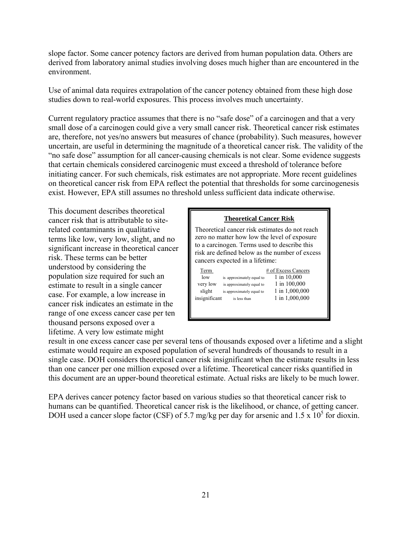slope factor. Some cancer potency factors are derived from human population data. Others are derived from laboratory animal studies involving doses much higher than are encountered in the environment.

Use of animal data requires extrapolation of the cancer potency obtained from these high dose studies down to real-world exposures. This process involves much uncertainty.

Current regulatory practice assumes that there is no "safe dose" of a carcinogen and that a very small dose of a carcinogen could give a very small cancer risk. Theoretical cancer risk estimates are, therefore, not yes/no answers but measures of chance (probability). Such measures, however uncertain, are useful in determining the magnitude of a theoretical cancer risk. The validity of the "no safe dose" assumption for all cancer-causing chemicals is not clear. Some evidence suggests that certain chemicals considered carcinogenic must exceed a threshold of tolerance before initiating cancer. For such chemicals, risk estimates are not appropriate. More recent guidelines on theoretical cancer risk from EPA reflect the potential that thresholds for some carcinogenesis exist. However, EPA still assumes no threshold unless sufficient data indicate otherwise.

This document describes theoretical cancer risk that is attributable to siterelated contaminants in qualitative terms like low, very low, slight, and no significant increase in theoretical cancer risk. These terms can be better understood by considering the population size required for such an estimate to result in a single cancer case. For example, a low increase in cancer risk indicates an estimate in the range of one excess cancer case per ten thousand persons exposed over a lifetime. A very low estimate might

| <b>Theoretical Cancer Risk</b><br>Theoretical cancer risk estimates do not reach<br>zero no matter how low the level of exposure<br>to a carcinogen. Terms used to describe this<br>risk are defined below as the number of excess<br>cancers expected in a lifetime: |                                                                                        |  |  |  |
|-----------------------------------------------------------------------------------------------------------------------------------------------------------------------------------------------------------------------------------------------------------------------|----------------------------------------------------------------------------------------|--|--|--|
| Term<br>low<br>is approximately equal to<br>very low<br>is approximately equal to<br>slight<br>is approximately equal to<br>insignificant<br>is less than                                                                                                             | # of Excess Cancers<br>1 in 10,000<br>1 in 100,000<br>1 in 1,000,000<br>1 in 1,000,000 |  |  |  |

result in one excess cancer case per several tens of thousands exposed over a lifetime and a slight estimate would require an exposed population of several hundreds of thousands to result in a single case. DOH considers theoretical cancer risk insignificant when the estimate results in less than one cancer per one million exposed over a lifetime. Theoretical cancer risks quantified in this document are an upper-bound theoretical estimate. Actual risks are likely to be much lower.

<span id="page-21-0"></span>EPA derives cancer potency factor based on various studies so that theoretical cancer risk to humans can be quantified. Theoretical cancer risk is the likelihood, or chance, of getting cancer. DOH used a cancer slope factor (CSF) of 5.7 mg/kg per day for arsenic and  $1.5 \times 10^5$  for dioxin.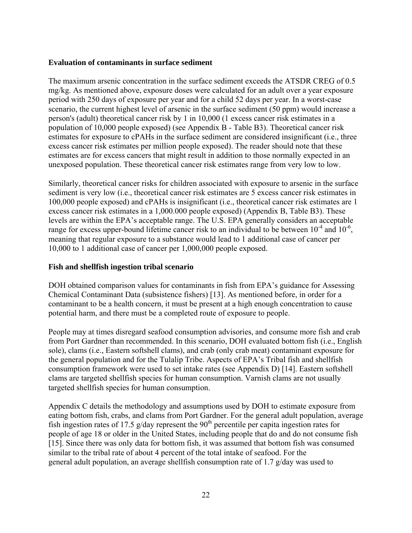#### **Evaluation of contaminants in surface sediment**

The maximum arsenic concentration in the surface sediment exceeds the ATSDR CREG of 0.5 mg/kg. As mentioned above, exposure doses were calculated for an adult over a year exposure period with 250 days of exposure per year and for a child 52 days per year. In a worst-case scenario, the current highest level of arsenic in the surface sediment (50 ppm) would increase a person's (adult) theoretical cancer risk by 1 in 10,000 (1 excess cancer risk estimates in a population of 10,000 people exposed) (see Appendix B - Table B3). Theoretical cancer risk estimates for exposure to cPAHs in the surface sediment are considered insignificant (i.e., three excess cancer risk estimates per million people exposed). The reader should note that these estimates are for excess cancers that might result in addition to those normally expected in an unexposed population. These theoretical cancer risk estimates range from very low to low.

Similarly, theoretical cancer risks for children associated with exposure to arsenic in the surface sediment is very low (i.e., theoretical cancer risk estimates are 5 excess cancer risk estimates in 100,000 people exposed) and cPAHs is insignificant (i.e., theoretical cancer risk estimates are 1 excess cancer risk estimates in a 1,000.000 people exposed) (Appendix B, Table B3). These levels are within the EPA's acceptable range. The U.S. EPA generally considers an acceptable range for excess upper-bound lifetime cancer risk to an individual to be between  $10^{-4}$  and  $10^{-6}$ , meaning that regular exposure to a substance would lead to 1 additional case of cancer per 10,000 to 1 additional case of cancer per 1,000,000 people exposed.

### <span id="page-22-0"></span>**Fish and shellfish ingestion tribal scenario**

DOH obtained comparison values for contaminants in fish from EPA's guidance for Assessing Chemical Contaminant Data (subsistence fishers) [13]. As mentioned before, in order for a contaminant to be a health concern, it must be present at a high enough concentration to cause potential harm, and there must be a completed route of exposure to people.

People may at times disregard seafood consumption advisories, and consume more fish and crab from Port Gardner than recommended. In this scenario, DOH evaluated bottom fish (i.e., English sole), clams (i.e., Eastern softshell clams), and crab (only crab meat) contaminant exposure for the general population and for the Tulalip Tribe. Aspects of EPA's Tribal fish and shellfish consumption framework were used to set intake rates (see Appendix D) [14]. Eastern softshell clams are targeted shellfish species for human consumption. Varnish clams are not usually targeted shellfish species for human consumption.

Appendix C details the methodology and assumptions used by DOH to estimate exposure from eating bottom fish, crabs, and clams from Port Gardner. For the general adult population, average fish ingestion rates of 17.5 g/day represent the  $90<sup>th</sup>$  percentile per capita ingestion rates for people of age 18 or older in the United States, including people that do and do not consume fish [15]. Since there was only data for bottom fish, it was assumed that bottom fish was consumed similar to the tribal rate of about 4 percent of the total intake of seafood. For the general adult population, an average shellfish consumption rate of 1.7 g/day was used to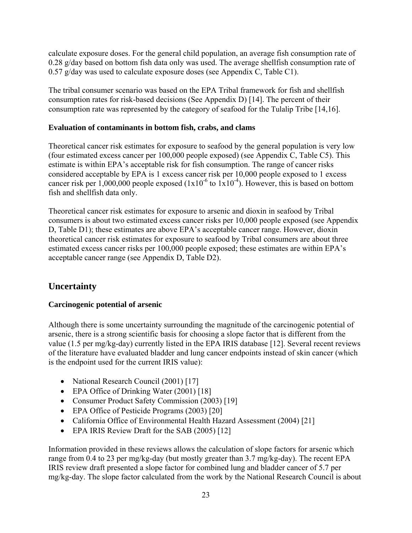calculate exposure doses. For the general child population, an average fish consumption rate of 0.28 g/day based on bottom fish data only was used. The average shellfish consumption rate of 0.57 g/day was used to calculate exposure doses (see Appendix C, Table C1).

The tribal consumer scenario was based on the EPA Tribal framework for fish and shellfish consumption rates for risk-based decisions (See Appendix D) [14]. The percent of their consumption rate was represented by the category of seafood for the Tulalip Tribe [14,16].

### **Evaluation of contaminants in bottom fish, crabs, and clams**

Theoretical cancer risk estimates for exposure to seafood by the general population is very low (four estimated excess cancer per 100,000 people exposed) (see Appendix C, Table C5). This estimate is within EPA's acceptable risk for fish consumption. The range of cancer risks considered acceptable by EPA is 1 excess cancer risk per 10,000 people exposed to 1 excess cancer risk per 1,000,000 people exposed  $(1x10^{-6}$  to  $1x10^{-4})$ . However, this is based on bottom fish and shellfish data only.

Theoretical cancer risk estimates for exposure to arsenic and dioxin in seafood by Tribal consumers is about two estimated excess cancer risks per 10,000 people exposed (see Appendix D, Table D1); these estimates are above EPA's acceptable cancer range. However, dioxin theoretical cancer risk estimates for exposure to seafood by Tribal consumers are about three estimated excess cancer risks per 100,000 people exposed; these estimates are within EPA's acceptable cancer range (see Appendix D, Table D2).

### <span id="page-23-0"></span>**Uncertainty**

### <span id="page-23-1"></span>**Carcinogenic potential of arsenic**

Although there is some uncertainty surrounding the magnitude of the carcinogenic potential of arsenic, there is a strong scientific basis for choosing a slope factor that is different from the value (1.5 per mg/kg-day) currently listed in the EPA IRIS database [12]. Several recent reviews of the literature have evaluated bladder and lung cancer endpoints instead of skin cancer (which is the endpoint used for the current IRIS value):

- National Research Council (2001) [17]
- EPA Office of Drinking Water (2001) [18]
- Consumer Product Safety Commission (2003) [19]
- EPA Office of Pesticide Programs (2003) [20]
- California Office of Environmental Health Hazard Assessment (2004) [21]
- EPA IRIS Review Draft for the SAB (2005) [12]

Information provided in these reviews allows the calculation of slope factors for arsenic which range from 0.4 to 23 per mg/kg-day (but mostly greater than 3.7 mg/kg-day). The recent EPA IRIS review draft presented a slope factor for combined lung and bladder cancer of 5.7 per mg/kg-day. The slope factor calculated from the work by the National Research Council is about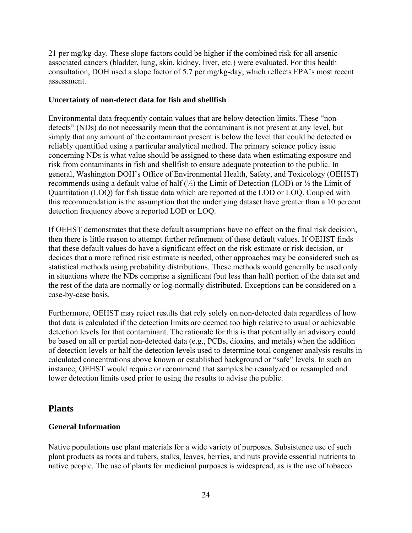21 per mg/kg-day. These slope factors could be higher if the combined risk for all arsenicassociated cancers (bladder, lung, skin, kidney, liver, etc.) were evaluated. For this health consultation, DOH used a slope factor of 5.7 per mg/kg-day, which reflects EPA's most recent assessment.

#### <span id="page-24-0"></span>**Uncertainty of non-detect data for fish and shellfish**

Environmental data frequently contain values that are below detection limits. These "nondetects" (NDs) do not necessarily mean that the contaminant is not present at any level, but simply that any amount of the contaminant present is below the level that could be detected or reliably quantified using a particular analytical method. The primary science policy issue concerning NDs is what value should be assigned to these data when estimating exposure and risk from contaminants in fish and shellfish to ensure adequate protection to the public. In general, Washington DOH's Office of Environmental Health, Safety, and Toxicology (OEHST) recommends using a default value of half  $(\frac{1}{2})$  the Limit of Detection (LOD) or  $\frac{1}{2}$  the Limit of Quantitation (LOQ) for fish tissue data which are reported at the LOD or LOQ. Coupled with this recommendation is the assumption that the underlying dataset have greater than a 10 percent detection frequency above a reported LOD or LOQ.

If OEHST demonstrates that these default assumptions have no effect on the final risk decision, then there is little reason to attempt further refinement of these default values. If OEHST finds that these default values do have a significant effect on the risk estimate or risk decision, or decides that a more refined risk estimate is needed, other approaches may be considered such as statistical methods using probability distributions. These methods would generally be used only in situations where the NDs comprise a significant (but less than half) portion of the data set and the rest of the data are normally or log-normally distributed. Exceptions can be considered on a case-by-case basis.

Furthermore, OEHST may reject results that rely solely on non-detected data regardless of how that data is calculated if the detection limits are deemed too high relative to usual or achievable detection levels for that contaminant. The rationale for this is that potentially an advisory could be based on all or partial non-detected data (e.g., PCBs, dioxins, and metals) when the addition of detection levels or half the detection levels used to determine total congener analysis results in calculated concentrations above known or established background or "safe" levels. In such an instance, OEHST would require or recommend that samples be reanalyzed or resampled and lower detection limits used prior to using the results to advise the public.

### <span id="page-24-1"></span>**Plants**

### <span id="page-24-2"></span>**General Information**

Native populations use plant materials for a wide variety of purposes. Subsistence use of such plant products as roots and tubers, stalks, leaves, berries, and nuts provide essential nutrients to native people. The use of plants for medicinal purposes is widespread, as is the use of tobacco.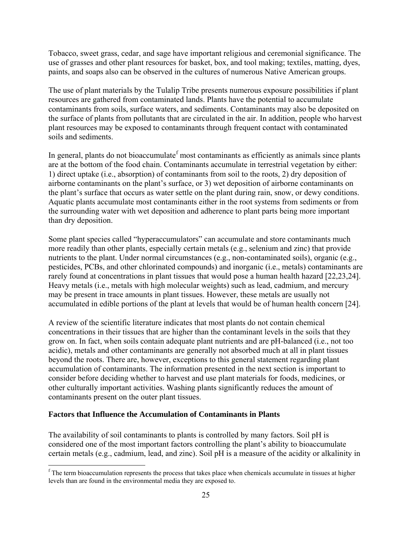Tobacco, sweet grass, cedar, and sage have important religious and ceremonial significance. The use of grasses and other plant resources for basket, box, and tool making; textiles, matting, dyes, paints, and soaps also can be observed in the cultures of numerous Native American groups.

The use of plant materials by the Tulalip Tribe presents numerous exposure possibilities if plant resources are gathered from contaminated lands. Plants have the potential to accumulate contaminants from soils, surface waters, and sediments. Contaminants may also be deposited on the surface of plants from pollutants that are circulated in the air. In addition, people who harvest plant resources may be exposed to contaminants through frequent contact with contaminated soils and sediments.

In general, plants do not bioaccumulate<sup> $f$ </sup> most contaminants as efficiently as animals since plants are at the bottom of the food chain. Contaminants accumulate in terrestrial vegetation by either: 1) direct uptake (i.e., absorption) of contaminants from soil to the roots, 2) dry deposition of airborne contaminants on the plant's surface, or 3) wet deposition of airborne contaminants on the plant's surface that occurs as water settle on the plant during rain, snow, or dewy conditions. Aquatic plants accumulate most contaminants either in the root systems from sediments or from the surrounding water with wet deposition and adherence to plant parts being more important than dry deposition.

Some plant species called "hyperaccumulators" can accumulate and store contaminants much more readily than other plants, especially certain metals (e.g., selenium and zinc) that provide nutrients to the plant. Under normal circumstances (e.g., non-contaminated soils), organic (e.g., pesticides, PCBs, and other chlorinated compounds) and inorganic (i.e., metals) contaminants are rarely found at concentrations in plant tissues that would pose a human health hazard [22,23,24]. Heavy metals (i.e., metals with high molecular weights) such as lead, cadmium, and mercury may be present in trace amounts in plant tissues. However, these metals are usually not accumulated in edible portions of the plant at levels that would be of human health concern [24].

A review of the scientific literature indicates that most plants do not contain chemical concentrations in their tissues that are higher than the contaminant levels in the soils that they grow on. In fact, when soils contain adequate plant nutrients and are pH-balanced (i.e., not too acidic), metals and other contaminants are generally not absorbed much at all in plant tissues beyond the roots. There are, however, exceptions to this general statement regarding plant accumulation of contaminants. The information presented in the next section is important to consider before deciding whether to harvest and use plant materials for foods, medicines, or other culturally important activities. Washing plants significantly reduces the amount of contaminants present on the outer plant tissues.

### <span id="page-25-0"></span>**Factors that Influence the Accumulation of Contaminants in Plants**

 $\overline{a}$ 

The availability of soil contaminants to plants is controlled by many factors. Soil pH is considered one of the most important factors controlling the plant's ability to bioaccumulate certain metals (e.g., cadmium, lead, and zinc). Soil pH is a measure of the acidity or alkalinity in

<span id="page-25-1"></span><sup>&</sup>lt;sup>f</sup> The term bioaccumulation represents the process that takes place when chemicals accumulate in tissues at higher levels than are found in the environmental media they are exposed to.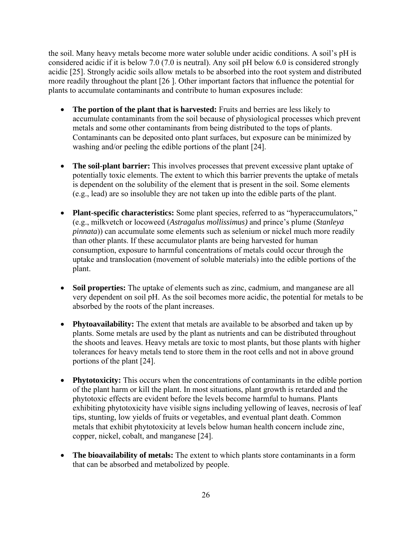the soil. Many heavy metals become more water soluble under acidic conditions. A soil's pH is considered acidic if it is below 7.0 (7.0 is neutral). Any soil pH below 6.0 is considered strongly acidic [25]. Strongly acidic soils allow metals to be absorbed into the root system and distributed more readily throughout the plant [26 ]. Other important factors that influence the potential for plants to accumulate contaminants and contribute to human exposures include:

- **The portion of the plant that is harvested:** Fruits and berries are less likely to accumulate contaminants from the soil because of physiological processes which prevent metals and some other contaminants from being distributed to the tops of plants. Contaminants can be deposited onto plant surfaces, but exposure can be minimized by washing and/or peeling the edible portions of the plant [24].
- **The soil-plant barrier:** This involves processes that prevent excessive plant uptake of potentially toxic elements. The extent to which this barrier prevents the uptake of metals is dependent on the solubility of the element that is present in the soil. Some elements (e.g., lead) are so insoluble they are not taken up into the edible parts of the plant.
- **Plant-specific characteristics:** Some plant species, referred to as "hyperaccumulators," (e.g., milkvetch or locoweed (*Astragalus mollissimus)* and prince's plume (*Stanleya pinnata*)) can accumulate some elements such as selenium or nickel much more readily than other plants. If these accumulator plants are being harvested for human consumption, exposure to harmful concentrations of metals could occur through the uptake and translocation (movement of soluble materials) into the edible portions of the plant.
- **Soil properties:** The uptake of elements such as zinc, cadmium, and manganese are all very dependent on soil pH. As the soil becomes more acidic, the potential for metals to be absorbed by the roots of the plant increases.
- **Phytoavailability:** The extent that metals are available to be absorbed and taken up by plants. Some metals are used by the plant as nutrients and can be distributed throughout the shoots and leaves. Heavy metals are toxic to most plants, but those plants with higher tolerances for heavy metals tend to store them in the root cells and not in above ground portions of the plant [24].
- **Phytotoxicity:** This occurs when the concentrations of contaminants in the edible portion of the plant harm or kill the plant. In most situations, plant growth is retarded and the phytotoxic effects are evident before the levels become harmful to humans. Plants exhibiting phytotoxicity have visible signs including yellowing of leaves, necrosis of leaf tips, stunting, low yields of fruits or vegetables, and eventual plant death. Common metals that exhibit phytotoxicity at levels below human health concern include zinc, copper, nickel, cobalt, and manganese [24].
- **The bioavailability of metals:** The extent to which plants store contaminants in a form that can be absorbed and metabolized by people.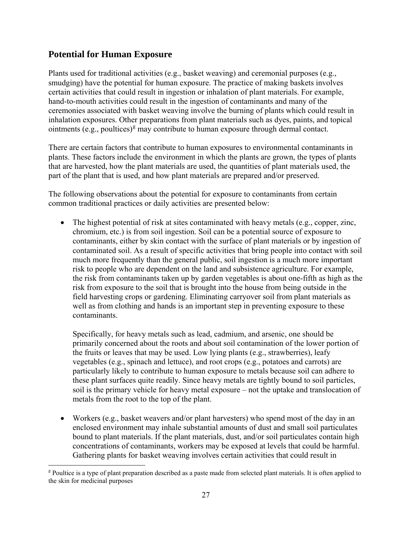### <span id="page-27-0"></span>**Potential for Human Exposure**

Plants used for traditional activities (e.g., basket weaving) and ceremonial purposes (e.g., smudging) have the potential for human exposure. The practice of making baskets involves certain activities that could result in ingestion or inhalation of plant materials. For example, hand-to-mouth activities could result in the ingestion of contaminants and many of the ceremonies associated with basket weaving involve the burning of plants which could result in inhalation exposures. Other preparations from plant materials such as dyes, paints, and topical ointments (e.[g](#page-27-1)., poultices)<sup>g</sup> may contribute to human exposure through dermal contact.

There are certain factors that contribute to human exposures to environmental contaminants in plants. These factors include the environment in which the plants are grown, the types of plants that are harvested, how the plant materials are used, the quantities of plant materials used, the part of the plant that is used, and how plant materials are prepared and/or preserved.

The following observations about the potential for exposure to contaminants from certain common traditional practices or daily activities are presented below:

• The highest potential of risk at sites contaminated with heavy metals (e.g., copper, zinc, chromium, etc.) is from soil ingestion. Soil can be a potential source of exposure to contaminants, either by skin contact with the surface of plant materials or by ingestion of contaminated soil. As a result of specific activities that bring people into contact with soil much more frequently than the general public, soil ingestion is a much more important risk to people who are dependent on the land and subsistence agriculture. For example, the risk from contaminants taken up by garden vegetables is about one-fifth as high as the risk from exposure to the soil that is brought into the house from being outside in the field harvesting crops or gardening. Eliminating carryover soil from plant materials as well as from clothing and hands is an important step in preventing exposure to these contaminants.

Specifically, for heavy metals such as lead, cadmium, and arsenic, one should be primarily concerned about the roots and about soil contamination of the lower portion of the fruits or leaves that may be used. Low lying plants (e.g., strawberries), leafy vegetables (e.g., spinach and lettuce), and root crops (e.g., potatoes and carrots) are particularly likely to contribute to human exposure to metals because soil can adhere to these plant surfaces quite readily. Since heavy metals are tightly bound to soil particles, soil is the primary vehicle for heavy metal exposure – not the uptake and translocation of metals from the root to the top of the plant.

• Workers (e.g., basket weavers and/or plant harvesters) who spend most of the day in an enclosed environment may inhale substantial amounts of dust and small soil particulates bound to plant materials. If the plant materials, dust, and/or soil particulates contain high concentrations of contaminants, workers may be exposed at levels that could be harmful. Gathering plants for basket weaving involves certain activities that could result in

<span id="page-27-1"></span> $\overline{a}$ <sup>g</sup> Poultice is a type of plant preparation described as a paste made from selected plant materials. It is often applied to the skin for medicinal purposes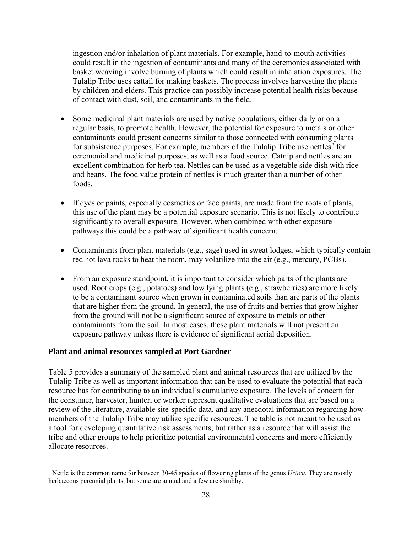ingestion and/or inhalation of plant materials. For example, hand-to-mouth activities could result in the ingestion of contaminants and many of the ceremonies associated with basket weaving involve burning of plants which could result in inhalation exposures. The Tulalip Tribe uses cattail for making baskets. The process involves harvesting the plants by children and elders. This practice can possibly increase potential health risks because of contact with dust, soil, and contaminants in the field.

- Some medicinal plant materials are used by native populations, either daily or on a regular basis, to promote health. However, the potential for exposure to metals or other contaminants could present concerns similar to those connected with consuming plants for subsistence purposes. For example, members of t[h](#page-28-1)e Tulalip Tribe use nettles<sup>h</sup> for ceremonial and medicinal purposes, as well as a food source. Catnip and nettles are an excellent combination for herb tea. Nettles can be used as a vegetable side dish with rice and beans. The food value protein of nettles is much greater than a number of other foods.
- If dyes or paints, especially cosmetics or face paints, are made from the roots of plants, this use of the plant may be a potential exposure scenario. This is not likely to contribute significantly to overall exposure. However, when combined with other exposure pathways this could be a pathway of significant health concern.
- Contaminants from plant materials (e.g., sage) used in sweat lodges, which typically contain red hot lava rocks to heat the room, may volatilize into the air (e.g., mercury, PCBs).
- From an exposure standpoint, it is important to consider which parts of the plants are used. Root crops (e.g., potatoes) and low lying plants (e.g., strawberries) are more likely to be a contaminant source when grown in contaminated soils than are parts of the plants that are higher from the ground. In general, the use of fruits and berries that grow higher from the ground will not be a significant source of exposure to metals or other contaminants from the soil. In most cases, these plant materials will not present an exposure pathway unless there is evidence of significant aerial deposition.

#### <span id="page-28-0"></span>**Plant and animal resources sampled at Port Gardner**

 $\overline{a}$ 

Table 5 provides a summary of the sampled plant and animal resources that are utilized by the Tulalip Tribe as well as important information that can be used to evaluate the potential that each resource has for contributing to an individual's cumulative exposure. The levels of concern for the consumer, harvester, hunter, or worker represent qualitative evaluations that are based on a review of the literature, available site-specific data, and any anecdotal information regarding how members of the Tulalip Tribe may utilize specific resources. The table is not meant to be used as a tool for developing quantitative risk assessments, but rather as a resource that will assist the tribe and other groups to help prioritize potential environmental concerns and more efficiently allocate resources.

<span id="page-28-1"></span>h Nettle is the common name for between 30-45 species of flowering plants of the genus *Urtica*. They are mostly herbaceous perennial plants, but some are annual and a few are shrubby.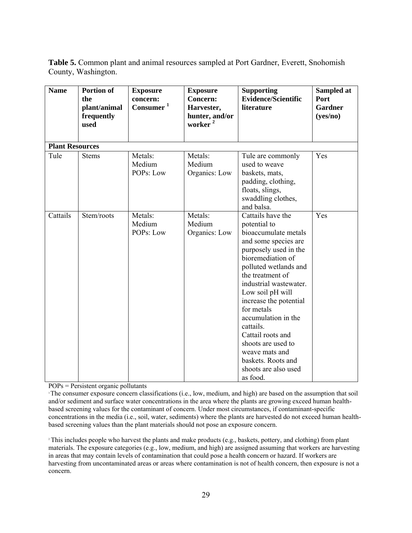**Table 5.** Common plant and animal resources sampled at Port Gardner, Everett, Snohomish County, Washington.

| <b>Name</b>            | <b>Portion of</b><br>the<br>plant/animal<br>frequently<br>used | <b>Exposure</b><br>concern:<br>Consumer <sup>1</sup> | <b>Exposure</b><br>Concern:<br>Harvester,<br>hunter, and/or<br>worker <sup>2</sup> | <b>Supporting</b><br><b>Evidence/Scientific</b><br>literature                                                                                                                                                                                                                                                                                                                                                                 | Sampled at<br>Port<br><b>Gardner</b><br>(yes/no) |
|------------------------|----------------------------------------------------------------|------------------------------------------------------|------------------------------------------------------------------------------------|-------------------------------------------------------------------------------------------------------------------------------------------------------------------------------------------------------------------------------------------------------------------------------------------------------------------------------------------------------------------------------------------------------------------------------|--------------------------------------------------|
| <b>Plant Resources</b> |                                                                |                                                      |                                                                                    |                                                                                                                                                                                                                                                                                                                                                                                                                               |                                                  |
| Tule                   | <b>Stems</b>                                                   | Metals:<br>Medium<br>POPs: Low                       | Metals:<br>Medium<br>Organics: Low                                                 | Tule are commonly<br>used to weave<br>baskets, mats,<br>padding, clothing,<br>floats, slings,<br>swaddling clothes,<br>and balsa.                                                                                                                                                                                                                                                                                             | Yes                                              |
| Cattails               | Stem/roots                                                     | Metals:<br>Medium<br>POPs: Low                       | Metals:<br>Medium<br>Organics: Low                                                 | Cattails have the<br>potential to<br>bioaccumulate metals<br>and some species are<br>purposely used in the<br>bioremediation of<br>polluted wetlands and<br>the treatment of<br>industrial wastewater.<br>Low soil pH will<br>increase the potential<br>for metals<br>accumulation in the<br>cattails.<br>Cattail roots and<br>shoots are used to<br>weave mats and<br>baskets. Roots and<br>shoots are also used<br>as food. | Yes                                              |

POPs = Persistent organic pollutants

<sup>1</sup>The consumer exposure concern classifications (i.e., low, medium, and high) are based on the assumption that soil and/or sediment and surface water concentrations in the area where the plants are growing exceed human healthbased screening values for the contaminant of concern. Under most circumstances, if contaminant-specific concentrations in the media (i.e., soil, water, sediments) where the plants are harvested do not exceed human healthbased screening values than the plant materials should not pose an exposure concern.

<sup>2</sup>This includes people who harvest the plants and make products (e.g., baskets, pottery, and clothing) from plant materials. The exposure categories (e.g., low, medium, and high) are assigned assuming that workers are harvesting in areas that may contain levels of contamination that could pose a health concern or hazard. If workers are harvesting from uncontaminated areas or areas where contamination is not of health concern, then exposure is not a concern.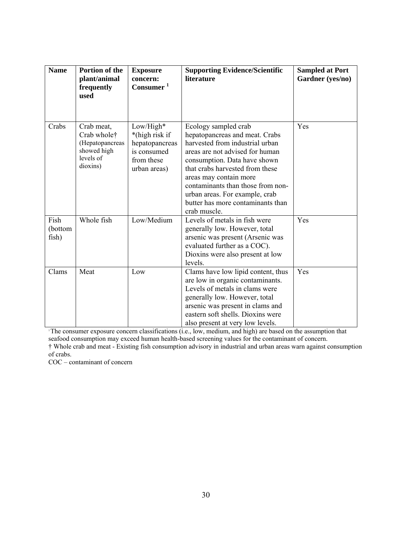| <b>Name</b>              | Portion of the<br>plant/animal<br>frequently<br>used                                 | <b>Exposure</b><br>concern:<br>Consumer <sup>1</sup>                                       | <b>Supporting Evidence/Scientific</b><br>literature                                                                                                                                                                                                                                                                                                   | <b>Sampled at Port</b><br>Gardner (yes/no) |
|--------------------------|--------------------------------------------------------------------------------------|--------------------------------------------------------------------------------------------|-------------------------------------------------------------------------------------------------------------------------------------------------------------------------------------------------------------------------------------------------------------------------------------------------------------------------------------------------------|--------------------------------------------|
| Crabs                    | Crab meat,<br>Crab whole†<br>(Hepatopancreas<br>showed high<br>levels of<br>dioxins) | Low/High*<br>*(high risk if<br>hepatopancreas<br>is consumed<br>from these<br>urban areas) | Ecology sampled crab<br>hepatopancreas and meat. Crabs<br>harvested from industrial urban<br>areas are not advised for human<br>consumption. Data have shown<br>that crabs harvested from these<br>areas may contain more<br>contaminants than those from non-<br>urban areas. For example, crab<br>butter has more contaminants than<br>crab muscle. | Yes                                        |
| Fish<br>(bottom<br>fish) | Whole fish                                                                           | Low/Medium                                                                                 | Levels of metals in fish were<br>generally low. However, total<br>arsenic was present (Arsenic was<br>evaluated further as a COC).<br>Dioxins were also present at low<br>levels.                                                                                                                                                                     | Yes                                        |
| Clams                    | Meat                                                                                 | Low                                                                                        | Clams have low lipid content, thus<br>are low in organic contaminants.<br>Levels of metals in clams were<br>generally low. However, total<br>arsenic was present in clams and<br>eastern soft shells. Dioxins were<br>also present at very low levels.                                                                                                | Yes                                        |

1 The consumer exposure concern classifications (i.e., low, medium, and high) are based on the assumption that seafood consumption may exceed human health-based screening values for the contaminant of concern. † Whole crab and meat - Existing fish consumption advisory in industrial and urban areas warn against consumption of crabs.

COC – contaminant of concern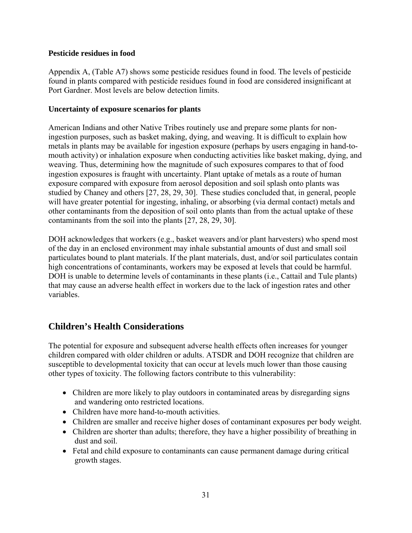### **Pesticide residues in food**

Appendix A, (Table A7) shows some pesticide residues found in food. The levels of pesticide found in plants compared with pesticide residues found in food are considered insignificant at Port Gardner. Most levels are below detection limits.

### <span id="page-31-0"></span>**Uncertainty of exposure scenarios for plants**

American Indians and other Native Tribes routinely use and prepare some plants for noningestion purposes, such as basket making, dying, and weaving. It is difficult to explain how metals in plants may be available for ingestion exposure (perhaps by users engaging in hand-tomouth activity) or inhalation exposure when conducting activities like basket making, dying, and weaving. Thus, determining how the magnitude of such exposures compares to that of food ingestion exposures is fraught with uncertainty. Plant uptake of metals as a route of human exposure compared with exposure from aerosol deposition and soil splash onto plants was studied by Chaney and others [27, 28, 29, 30]. These studies concluded that, in general, people will have greater potential for ingesting, inhaling, or absorbing (via dermal contact) metals and other contaminants from the deposition of soil onto plants than from the actual uptake of these contaminants from the soil into the plants [27, 28, 29, 30].

DOH acknowledges that workers (e.g., basket weavers and/or plant harvesters) who spend most of the day in an enclosed environment may inhale substantial amounts of dust and small soil particulates bound to plant materials. If the plant materials, dust, and/or soil particulates contain high concentrations of contaminants, workers may be exposed at levels that could be harmful. DOH is unable to determine levels of contaminants in these plants (i.e., Cattail and Tule plants) that may cause an adverse health effect in workers due to the lack of ingestion rates and other variables.

### <span id="page-31-1"></span>**Children's Health Considerations**

The potential for exposure and subsequent adverse health effects often increases for younger children compared with older children or adults. ATSDR and DOH recognize that children are susceptible to developmental toxicity that can occur at levels much lower than those causing other types of toxicity. The following factors contribute to this vulnerability:

- Children are more likely to play outdoors in contaminated areas by disregarding signs and wandering onto restricted locations.
- Children have more hand-to-mouth activities.
- Children are smaller and receive higher doses of contaminant exposures per body weight.
- Children are shorter than adults; therefore, they have a higher possibility of breathing in dust and soil.
- Fetal and child exposure to contaminants can cause permanent damage during critical growth stages.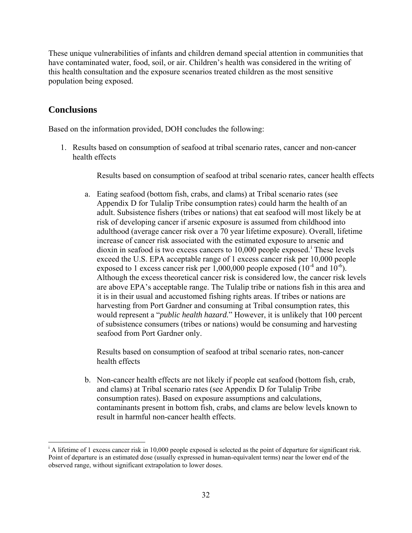These unique vulnerabilities of infants and children demand special attention in communities that have contaminated water, food, soil, or air. Children's health was considered in the writing of this health consultation and the exposure scenarios treated children as the most sensitive population being exposed.

### <span id="page-32-0"></span>**Conclusions**

 $\overline{a}$ 

Based on the information provided, DOH concludes the following:

1. Results based on consumption of seafood at tribal scenario rates, cancer and non-cancer health effects

Results based on consumption of seafood at tribal scenario rates, cancer health effects

a. Eating seafood (bottom fish, crabs, and clams) at Tribal scenario rates (see Appendix D for Tulalip Tribe consumption rates) could harm the health of an adult. Subsistence fishers (tribes or nations) that eat seafood will most likely be at risk of developing cancer if arsenic exposure is assumed from childhood into adulthood (average cancer risk over a 70 year lifetime exposure). Overall, lifetime increase of cancer risk associated with the estimated exposure to arsenic and d[i](#page-32-1)oxin in seafood is two excess cancers to 10,000 people exposed.<sup>1</sup> These levels exceed the U.S. EPA acceptable range of 1 excess cancer risk per 10,000 people exposed to 1 excess cancer risk per 1,000,000 people exposed  $(10^{-4}$  and  $10^{-6})$ . Although the excess theoretical cancer risk is considered low, the cancer risk levels are above EPA's acceptable range. The Tulalip tribe or nations fish in this area and it is in their usual and accustomed fishing rights areas. If tribes or nations are harvesting from Port Gardner and consuming at Tribal consumption rates, this would represent a "*public health hazard.*" However, it is unlikely that 100 percent of subsistence consumers (tribes or nations) would be consuming and harvesting seafood from Port Gardner only.

Results based on consumption of seafood at tribal scenario rates, non-cancer health effects

b. Non-cancer health effects are not likely if people eat seafood (bottom fish, crab, and clams) at Tribal scenario rates (see Appendix D for Tulalip Tribe consumption rates). Based on exposure assumptions and calculations, contaminants present in bottom fish, crabs, and clams are below levels known to result in harmful non-cancer health effects.

<span id="page-32-1"></span><sup>&</sup>lt;sup>i</sup> A lifetime of 1 excess cancer risk in 10,000 people exposed is selected as the point of departure for significant risk. Point of departure is an estimated dose (usually expressed in human-equivalent terms) near the lower end of the observed range, without significant extrapolation to lower doses.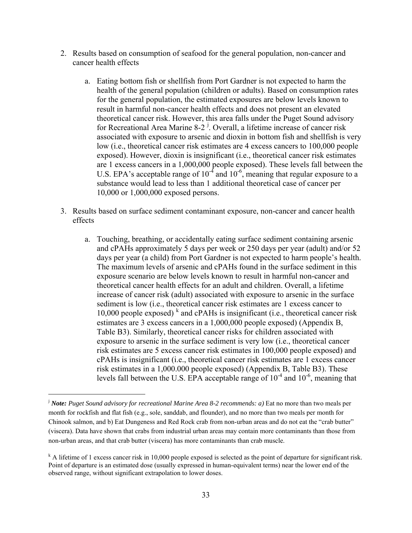- 2. Results based on consumption of seafood for the general population, non-cancer and cancer health effects
	- a. Eating bottom fish or shellfish from Port Gardner is not expected to harm the health of the general population (children or adults). Based on consumption rates for the general population, the estimated exposures are below levels known to result in harmful non-cancer health effects and does not present an elevated theoretical cancer risk. However, this area falls under the Puget Sound advisory for Recreational Area Marine 8-2<sup>[j](#page-33-0)</sup>. Overall, a lifetime increase of cancer risk associated with exposure to arsenic and dioxin in bottom fish and shellfish is very low (i.e., theoretical cancer risk estimates are 4 excess cancers to 100,000 people exposed). However, dioxin is insignificant (i.e., theoretical cancer risk estimates are 1 excess cancers in a 1,000,000 people exposed). These levels fall between the U.S. EPA's acceptable range of  $10^{-4}$  and  $10^{-6}$ , meaning that regular exposure to a substance would lead to less than 1 additional theoretical case of cancer per 10,000 or 1,000,000 exposed persons.
- 3. Results based on surface sediment contaminant exposure, non-cancer and cancer health effects
	- a. Touching, breathing, or accidentally eating surface sediment containing arsenic and cPAHs approximately 5 days per week or 250 days per year (adult) and/or 52 days per year (a child) from Port Gardner is not expected to harm people's health. The maximum levels of arsenic and cPAHs found in the surface sediment in this exposure scenario are below levels known to result in harmful non-cancer and theoretical cancer health effects for an adult and children. Overall, a lifetime increase of cancer risk (adult) associated with exposure to arsenic in the surface sediment is low (i.e., theoretical cancer risk estimates are 1 excess cancer to 10,000 people exposed)  $k$  and cPAHs is insignificant (i.e., theoretical cancer risk estimates are 3 excess cancers in a 1,000,000 people exposed) (Appendix B, Table B3). Similarly, theoretical cancer risks for children associated with exposure to arsenic in the surface sediment is very low (i.e., theoretical cancer risk estimates are 5 excess cancer risk estimates in 100,000 people exposed) and cPAHs is insignificant (i.e., theoretical cancer risk estimates are 1 excess cancer risk estimates in a 1,000.000 people exposed) (Appendix B, Table B3). These levels fall between the U.S. EPA acceptable range of  $10^{-4}$  and  $10^{-6}$ , meaning that

 $\overline{a}$ 

<span id="page-33-0"></span><sup>&</sup>lt;sup>j</sup> Note: Puget Sound advisory for recreational Marine Area 8-2 recommends: a) Eat no more than two meals per month for rockfish and flat fish (e.g., sole, sanddab, and flounder), and no more than two meals per month for Chinook salmon, and b) Eat Dungeness and Red Rock crab from non-urban areas and do not eat the "crab butter" (viscera). Data have shown that crabs from industrial urban areas may contain more contaminants than those from non-urban areas, and that crab butter (viscera) has more contaminants than crab muscle.

<span id="page-33-1"></span> $k$  A lifetime of 1 excess cancer risk in 10,000 people exposed is selected as the point of departure for significant risk. Point of departure is an estimated dose (usually expressed in human-equivalent terms) near the lower end of the observed range, without significant extrapolation to lower doses.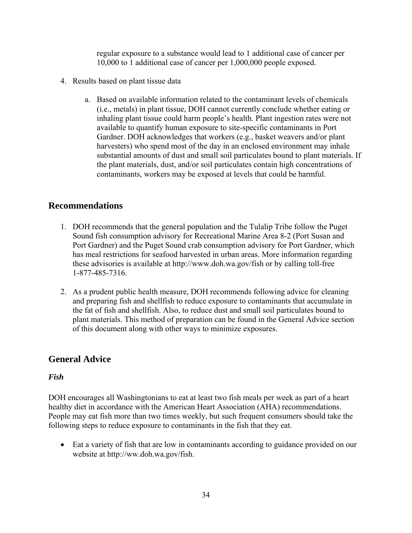regular exposure to a substance would lead to 1 additional case of cancer per 10,000 to 1 additional case of cancer per 1,000,000 people exposed.

- 4. Results based on plant tissue data
	- a. Based on available information related to the contaminant levels of chemicals (i.e., metals) in plant tissue, DOH cannot currently conclude whether eating or inhaling plant tissue could harm people's health. Plant ingestion rates were not available to quantify human exposure to site-specific contaminants in Port Gardner. DOH acknowledges that workers (e.g., basket weavers and/or plant harvesters) who spend most of the day in an enclosed environment may inhale substantial amounts of dust and small soil particulates bound to plant materials. If the plant materials, dust, and/or soil particulates contain high concentrations of contaminants, workers may be exposed at levels that could be harmful.

### <span id="page-34-0"></span>**Recommendations**

- 1. DOH recommends that the general population and the Tulalip Tribe follow the Puget Sound fish consumption advisory for Recreational Marine Area 8-2 (Port Susan and Port Gardner) and the Puget Sound crab consumption advisory for Port Gardner, which has meal restrictions for seafood harvested in urban areas. More information regarding these advisories is available at http://www.doh.wa.gov/fish or by calling toll-free 1-877-485-7316.
- 2. As a prudent public health measure, DOH recommends following advice for cleaning and preparing fish and shellfish to reduce exposure to contaminants that accumulate in the fat of fish and shellfish. Also, to reduce dust and small soil particulates bound to plant materials. This method of preparation can be found in the General Advice section of this document along with other ways to minimize exposures.

### <span id="page-34-1"></span>**General Advice**

### <span id="page-34-2"></span>*Fish*

DOH encourages all Washingtonians to eat at least two fish meals per week as part of a heart healthy diet in accordance with the American Heart Association (AHA) recommendations. People may eat fish more than two times weekly, but such frequent consumers should take the following steps to reduce exposure to contaminants in the fish that they eat.

• Eat a variety of fish that are low in contaminants according to guidance provided on our website at http://ww.doh.wa.gov/fish.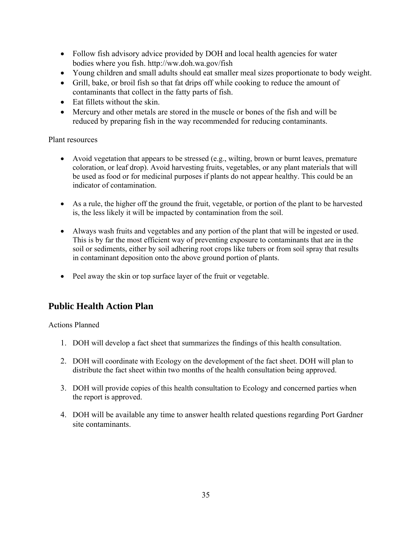- Follow fish advisory advice provided by DOH and local health agencies for water bodies where you fish. http://ww.doh.wa.gov/fish
- Young children and small adults should eat smaller meal sizes proportionate to body weight.
- Grill, bake, or broil fish so that fat drips off while cooking to reduce the amount of contaminants that collect in the fatty parts of fish.
- Eat fillets without the skin.
- Mercury and other metals are stored in the muscle or bones of the fish and will be reduced by preparing fish in the way recommended for reducing contaminants.

### Plant resources

- Avoid vegetation that appears to be stressed (e.g., wilting, brown or burnt leaves, premature coloration, or leaf drop). Avoid harvesting fruits, vegetables, or any plant materials that will be used as food or for medicinal purposes if plants do not appear healthy. This could be an indicator of contamination.
- As a rule, the higher off the ground the fruit, vegetable, or portion of the plant to be harvested is, the less likely it will be impacted by contamination from the soil.
- Always wash fruits and vegetables and any portion of the plant that will be ingested or used. This is by far the most efficient way of preventing exposure to contaminants that are in the soil or sediments, either by soil adhering root crops like tubers or from soil spray that results in contaminant deposition onto the above ground portion of plants.
- Peel away the skin or top surface layer of the fruit or vegetable.

### <span id="page-35-0"></span>**Public Health Action Plan**

Actions Planned

- 1. DOH will develop a fact sheet that summarizes the findings of this health consultation.
- 2. DOH will coordinate with Ecology on the development of the fact sheet. DOH will plan to distribute the fact sheet within two months of the health consultation being approved.
- 3. DOH will provide copies of this health consultation to Ecology and concerned parties when the report is approved.
- 4. DOH will be available any time to answer health related questions regarding Port Gardner site contaminants.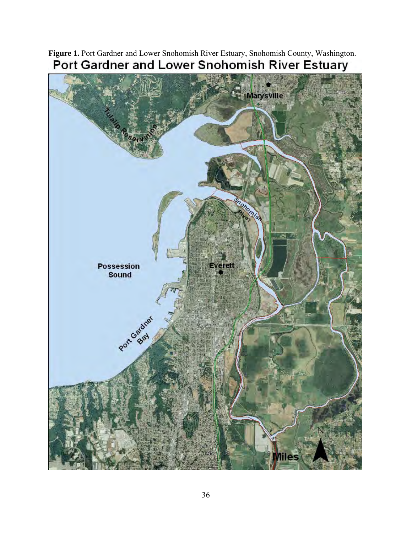**Figure 1.** Port Gardner and Lower Snohomish River Estuary, Snohomish County, Washington. Port Gardner and Lower Snohomish River Estuary

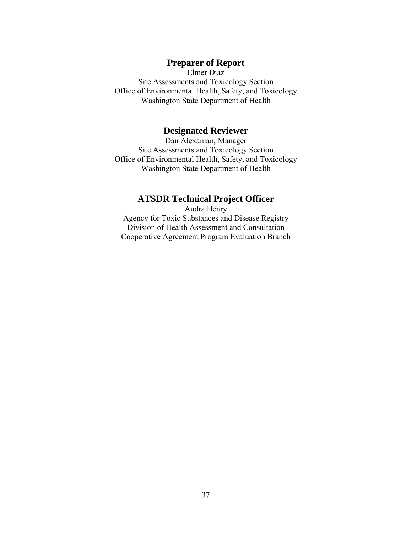### **Preparer of Report**

<span id="page-37-0"></span>Elmer Diaz Site Assessments and Toxicology Section Office of Environmental Health, Safety, and Toxicology Washington State Department of Health

### **Designated Reviewer**

Dan Alexanian, Manager Site Assessments and Toxicology Section Office of Environmental Health, Safety, and Toxicology Washington State Department of Health

### **ATSDR Technical Project Officer**

Audra Henry Agency for Toxic Substances and Disease Registry Division of Health Assessment and Consultation Cooperative Agreement Program Evaluation Branch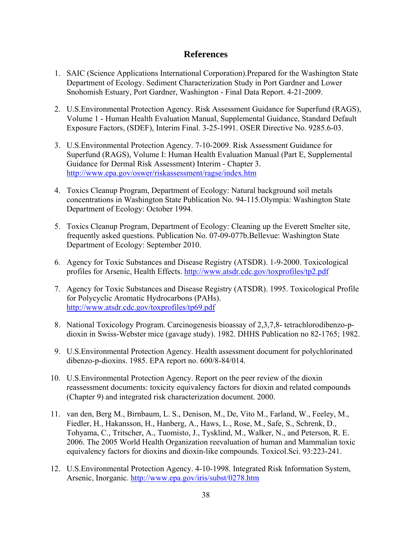### **References**

- <span id="page-38-0"></span> 1. SAIC (Science Applications International Corporation).Prepared for the Washington State Department of Ecology. Sediment Characterization Study in Port Gardner and Lower Snohomish Estuary, Port Gardner, Washington - Final Data Report. 4-21-2009.
- 2. U.S.Environmental Protection Agency. Risk Assessment Guidance for Superfund (RAGS), Volume 1 - Human Health Evaluation Manual, Supplemental Guidance, Standard Default Exposure Factors, (SDEF), Interim Final. 3-25-1991. OSER Directive No. 9285.6-03.
- 3. U.S.Environmental Protection Agency. 7-10-2009. Risk Assessment Guidance for Superfund (RAGS), Volume I: Human Health Evaluation Manual (Part E, Supplemental Guidance for Dermal Risk Assessment) Interim - Chapter 3. http://www.epa.gov/oswer/riskassessment/ragse/index.htm
- 4. Toxics Cleanup Program, Department of Ecology: Natural background soil metals concentrations in Washington State Publication No. 94-115.Olympia: Washington State Department of Ecology: October 1994.
- 5. Toxics Cleanup Program, Department of Ecology: Cleaning up the Everett Smelter site, frequently asked questions. Publication No. 07-09-077b.Bellevue: Washington State Department of Ecology: September 2010.
- 6. Agency for Toxic Substances and Disease Registry (ATSDR). 1-9-2000. Toxicological profiles for Arsenic, Health Effects. http://www.atsdr.cdc.gov/toxprofiles/tp2.pdf
- 7. Agency for Toxic Substances and Disease Registry (ATSDR). 1995. Toxicological Profile for Polycyclic Aromatic Hydrocarbons (PAHs). http://www.atsdr.cdc.gov/toxprofiles/tp69.pdf
- 8. National Toxicology Program. Carcinogenesis bioassay of 2,3,7,8- tetrachlorodibenzo-pdioxin in Swiss-Webster mice (gavage study). 1982. DHHS Publication no 82-1765; 1982.
- 9. U.S.Environmental Protection Agency. Health assessment document for polychlorinated dibenzo-p-dioxins. 1985. EPA report no. 600/8-84/014.
- 10. U.S.Environmental Protection Agency. Report on the peer review of the dioxin reassessment documents: toxicity equivalency factors for dioxin and related compounds (Chapter 9) and integrated risk characterization document. 2000.
- 11. van den, Berg M., Birnbaum, L. S., Denison, M., De, Vito M., Farland, W., Feeley, M., Fiedler, H., Hakansson, H., Hanberg, A., Haws, L., Rose, M., Safe, S., Schrenk, D., Tohyama, C., Tritscher, A., Tuomisto, J., Tysklind, M., Walker, N., and Peterson, R. E. 2006. The 2005 World Health Organization reevaluation of human and Mammalian toxic equivalency factors for dioxins and dioxin-like compounds. Toxicol.Sci. 93:223-241.
- 12. U.S.Environmental Protection Agency. 4-10-1998. Integrated Risk Information System, Arsenic, Inorganic. http://www.epa.gov/iris/subst/0278.htm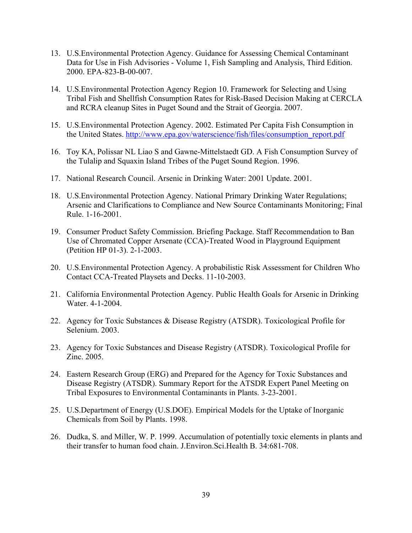- 13. U.S.Environmental Protection Agency. Guidance for Assessing Chemical Contaminant Data for Use in Fish Advisories - Volume 1, Fish Sampling and Analysis, Third Edition. 2000. EPA-823-B-00-007.
- 14. U.S.Environmental Protection Agency Region 10. Framework for Selecting and Using Tribal Fish and Shellfish Consumption Rates for Risk-Based Decision Making at CERCLA and RCRA cleanup Sites in Puget Sound and the Strait of Georgia. 2007.
- 15. U.S.Environmental Protection Agency. 2002. Estimated Per Capita Fish Consumption in the United States. http://www.epa.gov/waterscience/fish/files/consumption\_report.pdf
- 16. Toy KA, Polissar NL Liao S and Gawne-Mittelstaedt GD. A Fish Consumption Survey of the Tulalip and Squaxin Island Tribes of the Puget Sound Region. 1996.
- 17. National Research Council. Arsenic in Drinking Water: 2001 Update. 2001.
- 18. U.S.Environmental Protection Agency. National Primary Drinking Water Regulations; Arsenic and Clarifications to Compliance and New Source Contaminants Monitoring; Final Rule. 1-16-2001.
- 19. Consumer Product Safety Commission. Briefing Package. Staff Recommendation to Ban Use of Chromated Copper Arsenate (CCA)-Treated Wood in Playground Equipment (Petition HP 01-3). 2-1-2003.
- 20. U.S.Environmental Protection Agency. A probabilistic Risk Assessment for Children Who Contact CCA-Treated Playsets and Decks. 11-10-2003.
- 21. California Environmental Protection Agency. Public Health Goals for Arsenic in Drinking Water. 4-1-2004.
- 22. Agency for Toxic Substances & Disease Registry (ATSDR). Toxicological Profile for Selenium. 2003.
- 23. Agency for Toxic Substances and Disease Registry (ATSDR). Toxicological Profile for Zinc. 2005.
- 24. Eastern Research Group (ERG) and Prepared for the Agency for Toxic Substances and Disease Registry (ATSDR). Summary Report for the ATSDR Expert Panel Meeting on Tribal Exposures to Environmental Contaminants in Plants. 3-23-2001.
- 25. U.S.Department of Energy (U.S.DOE). Empirical Models for the Uptake of Inorganic Chemicals from Soil by Plants. 1998.
- 26. Dudka, S. and Miller, W. P. 1999. Accumulation of potentially toxic elements in plants and their transfer to human food chain. J.Environ.Sci.Health B. 34:681-708.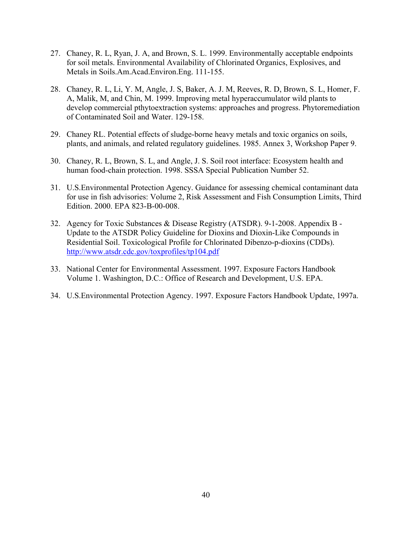- 27. Chaney, R. L, Ryan, J. A, and Brown, S. L. 1999. Environmentally acceptable endpoints for soil metals. Environmental Availability of Chlorinated Organics, Explosives, and Metals in Soils.Am.Acad.Environ.Eng. 111-155.
- 28. Chaney, R. L, Li, Y. M, Angle, J. S, Baker, A. J. M, Reeves, R. D, Brown, S. L, Homer, F. A, Malik, M, and Chin, M. 1999. Improving metal hyperaccumulator wild plants to develop commercial pthytoextraction systems: approaches and progress. Phytoremediation of Contaminated Soil and Water. 129-158.
- 29. Chaney RL. Potential effects of sludge-borne heavy metals and toxic organics on soils, plants, and animals, and related regulatory guidelines. 1985. Annex 3, Workshop Paper 9.
- 30. Chaney, R. L, Brown, S. L, and Angle, J. S. Soil root interface: Ecosystem health and human food-chain protection. 1998. SSSA Special Publication Number 52.
- 31. U.S.Environmental Protection Agency. Guidance for assessing chemical contaminant data for use in fish advisories: Volume 2, Risk Assessment and Fish Consumption Limits, Third Edition. 2000. EPA 823-B-00-008.
- 32. Agency for Toxic Substances & Disease Registry (ATSDR). 9-1-2008. Appendix B Update to the ATSDR Policy Guideline for Dioxins and Dioxin-Like Compounds in Residential Soil. Toxicological Profile for Chlorinated Dibenzo-p-dioxins (CDDs). http://www.atsdr.cdc.gov/toxprofiles/tp104.pdf
- 33. National Center for Environmental Assessment. 1997. Exposure Factors Handbook Volume 1. Washington, D.C.: Office of Research and Development, U.S. EPA.
- 34. U.S.Environmental Protection Agency. 1997. Exposure Factors Handbook Update, 1997a.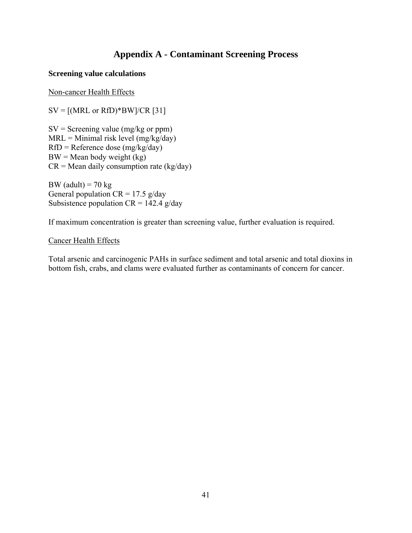### **Appendix A - Contaminant Screening Process**

### <span id="page-41-0"></span>**Screening value calculations**

Non-cancer Health Effects

 $SV = [(MRL \text{ or } RfD)*BW]/CR [31]$ 

 $SV =$  Screening value (mg/kg or ppm)  $MRL =$ Minimal risk level (mg/kg/day)  $RfD$  = Reference dose (mg/kg/day)  $BW = Mean$  body weight (kg)  $CR = Mean$  daily consumption rate (kg/day)

BW (adult) =  $70 \text{ kg}$ General population  $CR = 17.5$  g/day Subsistence population  $CR = 142.4$  g/day

If maximum concentration is greater than screening value, further evaluation is required.

#### Cancer Health Effects

Total arsenic and carcinogenic PAHs in surface sediment and total arsenic and total dioxins in bottom fish, crabs, and clams were evaluated further as contaminants of concern for cancer.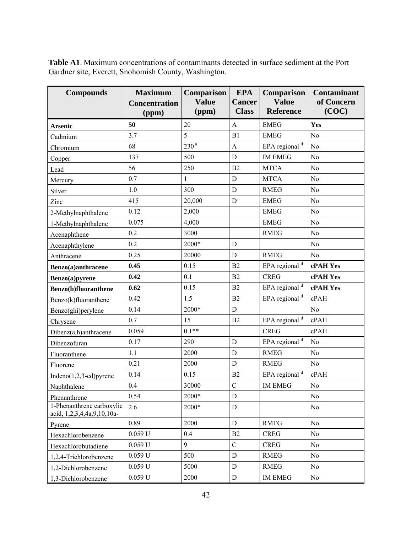**Table A1**. Maximum concentrations of contaminants detected in surface sediment at the Port Gardner site, Everett, Snohomish County, Washington.

| <b>Compounds</b>                                        | <b>Maximum</b>       | <b>Comparison</b> | <b>EPA</b>    | Comparison                | <b>Contaminant</b> |
|---------------------------------------------------------|----------------------|-------------------|---------------|---------------------------|--------------------|
|                                                         | <b>Concentration</b> | <b>Value</b>      | <b>Cancer</b> | <b>Value</b>              | of Concern         |
|                                                         | (ppm)                | (ppm)             | <b>Class</b>  | <b>Reference</b>          | (COC)              |
| <b>Arsenic</b>                                          | 50                   | 20                | $\mathbf{A}$  | <b>EMEG</b>               | Yes                |
| Cadmium                                                 | 3.7                  | 5                 | B1            | <b>EMEG</b>               | N <sub>o</sub>     |
| Chromium                                                | 68                   | 230 <sup>a</sup>  | A             | EPA regional <sup>d</sup> | N <sub>0</sub>     |
| Copper                                                  | 137                  | 500               | D             | <b>IM EMEG</b>            | N <sub>o</sub>     |
| Lead                                                    | 56                   | 250               | B2            | <b>MTCA</b>               | N <sub>o</sub>     |
| Mercury                                                 | 0.7                  | $\mathbf{1}$      | D             | <b>MTCA</b>               | N <sub>o</sub>     |
| Silver                                                  | $1.0$                | 300               | $\mathbf D$   | <b>RMEG</b>               | N <sub>o</sub>     |
| Zinc                                                    | 415                  | 20,000            | D             | <b>EMEG</b>               | N <sub>o</sub>     |
| 2-Methylnaphthalene                                     | 0.12                 | 2,000             |               | <b>EMEG</b>               | N <sub>o</sub>     |
| 1-Methylnaphthalene                                     | 0.075                | 4,000             |               | <b>EMEG</b>               | N <sub>o</sub>     |
| Acenaphthene                                            | 0.2                  | 3000              |               | <b>RMEG</b>               | No                 |
| Acenaphthylene                                          | 0.2                  | 2000*             | $\mathbf D$   |                           | N <sub>o</sub>     |
| Anthracene                                              | 0.25                 | 20000             | $\mathbf D$   | <b>RMEG</b>               | N <sub>0</sub>     |
| Benzo(a)anthracene                                      | 0.45                 | 0.15              | B2            | EPA regional <sup>d</sup> | cPAH Yes           |
| Benzo(a)pyrene                                          | 0.42                 | 0.1               | B2            | <b>CREG</b>               | cPAH Yes           |
| Benzo(b)fluoranthene                                    | 0.62                 | 0.15              | B2            | EPA regional <sup>d</sup> | cPAH Yes           |
| Benzo(k)fluoranthene                                    | 0.42                 | 1.5               | B2            | EPA regional <sup>d</sup> | cPAH               |
| Benzo(ghi)perylene                                      | 0.14                 | 2000*             | ${\bf D}$     |                           | N <sub>0</sub>     |
| Chrysene                                                | 0.7                  | 15                | B2            | EPA regional <sup>d</sup> | cPAH               |
| Dibenz(a,h)anthracene                                   | 0.059                | $0.1**$           |               | <b>CREG</b>               | cPAH               |
| Dibenzofuran                                            | 0.17                 | 290               | $\mathbf D$   | EPA regional $d$          | N <sub>o</sub>     |
| Fluoranthene                                            | 1.1                  | 2000              | $\mathbf D$   | <b>RMEG</b>               | No                 |
| Fluorene                                                | 0.21                 | 2000              | $\mathbf D$   | <b>RMEG</b>               | N <sub>o</sub>     |
| Indeno $(1,2,3$ -cd)pyrene                              | 0.14                 | 0.15              | B2            | EPA regional d            | cPAH               |
| Naphthalene                                             | 0.4                  | 30000             | $\mathcal{C}$ | <b>IM EMEG</b>            | N <sub>0</sub>     |
| Phenanthrene                                            | 0.54                 | 2000*             | D             |                           | N <sub>0</sub>     |
| 1-Phenanthrene carboxylic<br>acid, 1,2,3,4,4a,9,10,10a- | 2.6                  | 2000*             | D             |                           | N <sub>0</sub>     |
| Pyrene                                                  | 0.89                 | 2000              | $\mathbf D$   | <b>RMEG</b>               | No                 |
| Hexachlorobenzene                                       | 0.059U               | 0.4               | B2            | <b>CREG</b>               | No                 |
| Hexachlorobutadiene                                     | $0.059$ U            | 9                 | $\mathbf C$   | <b>CREG</b>               | No                 |
| 1,2,4-Trichlorobenzene                                  | 0.059U               | 500               | $\mathbf D$   | <b>RMEG</b>               | No                 |
| 1,2-Dichlorobenzene                                     | 0.059U               | 5000              | ${\bf D}$     | <b>RMEG</b>               | No                 |
| 1,3-Dichlorobenzene                                     | 0.059U               | 2000              | ${\bf D}$     | <b>IM EMEG</b>            | No                 |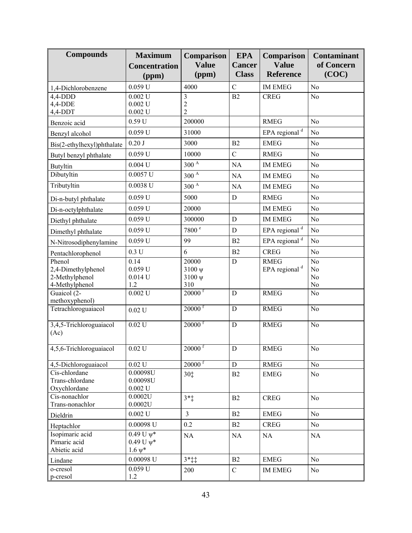| <b>Compounds</b>                      | <b>Maximum</b>           | Comparison              | <b>EPA</b>     | Comparison                 | <b>Contaminant</b>   |
|---------------------------------------|--------------------------|-------------------------|----------------|----------------------------|----------------------|
|                                       | <b>Concentration</b>     | <b>Value</b>            | <b>Cancer</b>  | <b>Value</b>               | of Concern           |
|                                       | (ppm)                    | (ppm)                   | <b>Class</b>   | <b>Reference</b>           | (COC)                |
| 1,4-Dichlorobenzene                   | 0.059 U                  | 4000                    | $\overline{C}$ | <b>IM EMEG</b>             | N <sub>o</sub>       |
| 4,4-DDD                               | $0.002$ U                | 3                       | B2             | <b>CREG</b>                | N <sub>0</sub>       |
| 4,4-DDE                               | $0.002$ U                | $\overline{c}$          |                |                            |                      |
| 4,4-DDT                               | $0.002$ U                | $\overline{2}$          |                |                            |                      |
| Benzoic acid                          | 0.59U                    | 200000                  |                | <b>RMEG</b>                | N <sub>0</sub>       |
| Benzyl alcohol                        | $0.059$ U                | 31000                   |                | EPA regional <sup>d</sup>  | N <sub>o</sub>       |
| Bis(2-ethylhexyl)phthalate            | 0.20J                    | 3000                    | B2             | <b>EMEG</b>                | No                   |
| Butyl benzyl phthalate                | $0.059$ U                | 10000                   | $\overline{C}$ | <b>RMEG</b>                | N <sub>o</sub>       |
| <b>Butyltin</b>                       | $0.004$ U                | 300 <sup>A</sup>        | NA             | <b>IM EMEG</b>             | No                   |
| Dibutyltin                            | $0.0057$ U               | 300 <sup>A</sup>        | NA             | <b>IM EMEG</b>             | No                   |
| Tributyltin                           | $0.0038$ U               | 300 <sup>A</sup>        | NA             | <b>IM EMEG</b>             | No                   |
| Di-n-butyl phthalate                  | $0.059$ U                | 5000                    | D              | <b>RMEG</b>                | N <sub>o</sub>       |
| Di-n-octylphthalate                   | $0.059$ U                | 20000                   |                | <b>IM EMEG</b>             | N <sub>o</sub>       |
| Diethyl phthalate                     | $0.059$ U                | 300000                  | D              | <b>IM EMEG</b>             | No                   |
| Dimethyl phthalate                    | $0.059$ U                | 7800 <sup>e</sup>       | D              | EPA regional <sup>d</sup>  | N <sub>o</sub>       |
| N-Nitrosodiphenylamine                | $0.059$ U                | 99                      | B2             | EPA regional $d$           | N <sub>0</sub>       |
| Pentachlorophenol                     | 0.3 U                    | 6                       | B2             | <b>CREG</b>                | N <sub>o</sub>       |
| Phenol                                | 0.14                     | 20000                   | D              | <b>RMEG</b>                | N <sub>o</sub>       |
| 2,4-Dimethylphenol                    | $0.059$ U                | $3100 \text{ }\Psi$     |                | EPA regional <sup>d</sup>  | N <sub>o</sub>       |
| 2-Methylphenol<br>4-Methylphenol      | $0.014$ U<br>1.2         | $3100 \,\Psi$<br>310    |                |                            | N <sub>o</sub><br>No |
| Guaicol (2-                           | $0.002$ U                | $20000$ <sup>f</sup>    | D              | <b>RMEG</b>                | N <sub>o</sub>       |
| methoxyphenol)                        |                          |                         |                |                            |                      |
| Tetrachloroguaiacol                   | $0.02$ U                 | $20000$ <sup>f</sup>    | D              | <b>RMEG</b>                | N <sub>o</sub>       |
| 3,4,5-Trichloroguaiacol               | $0.02$ U                 | $20000$ <sup>f</sup>    | ${\bf D}$      | <b>RMEG</b>                | N <sub>o</sub>       |
| (Ac)                                  |                          |                         |                |                            |                      |
| 4,5,6-Trichloroguaiacol               | $0.02~\mathrm{U}$        | $20000^{\frac{f}{s}}$   | $\mathbf D$    | <b>RMEG</b>                | No                   |
|                                       |                          | $20000^{\frac{1}{5}}$   | $\mathbf D$    |                            |                      |
| 4,5-Dichloroguaiacol<br>Cis-chlordane | $0.02$ U<br>0.00098U     | 30 <sup>†</sup>         | B2             | <b>RMEG</b><br><b>EMEG</b> | No<br>N <sub>o</sub> |
| Trans-chlordane                       | 0.00098U                 |                         |                |                            |                      |
| Oxychlordane                          | $0.002$ U                |                         |                |                            |                      |
| Cis-nonachlor                         | 0.0002U                  | $3 * 1$                 | B2             | <b>CREG</b>                | No.                  |
| Trans-nonachlor                       | 0.0002U                  |                         |                |                            |                      |
| Dieldrin                              | $0.002$ U                | $\overline{3}$          | B2             | <b>EMEG</b>                | No.                  |
| Heptachlor                            | $0.00098$ U              | 0.2                     | B2             | <b>CREG</b>                | No.                  |
| Isopimaric acid                       | $0.49 \text{ U } \Psi^*$ | NA                      | NA             | NA                         | NA                   |
| Pimaric acid                          | $0.49 \text{ U } \psi^*$ |                         |                |                            |                      |
| Abietic acid                          | 1.6 $\psi^*$             |                         | B2             |                            |                      |
| Lindane                               | $0.00098$ U              | $3 * \ddagger \ddagger$ |                | <b>EMEG</b>                | No.                  |
| o-cresol<br>p-cresol                  | $0.059$ U<br>1.2         | 200                     | $\mathbf C$    | <b>IM EMEG</b>             | No                   |
|                                       |                          |                         |                |                            |                      |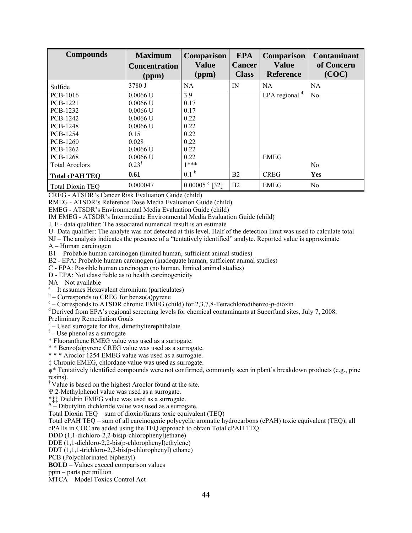| <b>Compounds</b>      | <b>Maximum</b><br><b>Concentration</b><br>(ppm) | <b>Comparison</b><br><b>Value</b><br>(ppm) | <b>EPA</b><br><b>Cancer</b><br><b>Class</b> | <b>Comparison</b><br><b>Value</b><br><b>Reference</b> | <b>Contaminant</b><br>of Concern<br>(COC) |
|-----------------------|-------------------------------------------------|--------------------------------------------|---------------------------------------------|-------------------------------------------------------|-------------------------------------------|
| Sulfide               | 3780 J                                          | NA.                                        | IN                                          | <b>NA</b>                                             | NA.                                       |
| PCB-1016              | $0.0066$ U                                      | 3.9                                        |                                             | EPA regional $d$                                      | N <sub>0</sub>                            |
| <b>PCB-1221</b>       | $0.0066$ U                                      | 0.17                                       |                                             |                                                       |                                           |
| <b>PCB-1232</b>       | $0.0066$ U                                      | 0.17                                       |                                             |                                                       |                                           |
| <b>PCB-1242</b>       | $0.0066$ U                                      | 0.22                                       |                                             |                                                       |                                           |
| PCB-1248              | $0.0066$ U                                      | 0.22                                       |                                             |                                                       |                                           |
| PCB-1254              | 0.15                                            | 0.22                                       |                                             |                                                       |                                           |
| <b>PCB-1260</b>       | 0.028                                           | 0.22                                       |                                             |                                                       |                                           |
| PCB-1262              | $0.0066$ U                                      | 0.22                                       |                                             |                                                       |                                           |
| <b>PCB-1268</b>       | $0.0066$ U                                      | 0.22                                       |                                             | <b>EMEG</b>                                           |                                           |
| <b>Total Aroclors</b> | $0.23^{\dagger}$                                | $1***$                                     |                                             |                                                       | N <sub>0</sub>                            |
| <b>Total cPAH TEQ</b> | 0.61                                            | 0.1 <sup>b</sup>                           | B2                                          | <b>CREG</b>                                           | Yes                                       |
| Total Dioxin TEQ      | 0.000047                                        | $0.00005$ ° [32]                           | B2                                          | <b>EMEG</b>                                           | N <sub>0</sub>                            |

CREG - ATSDR's Cancer Risk Evaluation Guide (child)

RMEG - ATSDR's Reference Dose Media Evaluation Guide (child)

EMEG - ATSDR's Environmental Media Evaluation Guide (child)

IM EMEG - ATSDR's Intermediate Environmental Media Evaluation Guide (child)

J, E - data qualifier: The associated numerical result is an estimate

U- Data qualifier: The analyte was not detected at this level. Half of the detection limit was used to calculate total

NJ – The analysis indicates the presence of a "tentatively identified" analyte. Reported value is approximate

A – Human carcinogen

B1 – Probable human carcinogen (limited human, sufficient animal studies)

B2 - EPA: Probable human carcinogen (inadequate human, sufficient animal studies)

C - EPA: Possible human carcinogen (no human, limited animal studies)

D - EPA: Not classifiable as to health carcinogenicity

 $NA - Not available$ 

 $a - It$  assumes Hexavalent chromium (particulates)

 $b$  – Corresponds to CREG for benzo(a) pyrene

– Corresponds to ATSDR chronic EMEG (child) for 2,3,7,8-Tetrachlorodibenzo-*p*-dioxin

<sup>d</sup> Derived from EPA's regional screening levels for chemical contaminants at Superfund sites, July 7, 2008:

Preliminary Remediation Goals

 $e^e$  – Used surrogate for this, dimethylterephthalate

 $f$  – Use phenol as a surrogate

\* Fluoranthene RMEG value was used as a surrogate.

\* \* Benzo(a)pyrene CREG value was used as a surrogate.

\* \* \* Aroclor 1254 EMEG value was used as a surrogate.

‡ Chronic EMEG, chlordane value was used as surrogate.

ψ\* Tentatively identified compounds were not confirmed, commonly seen in plant's breakdown products (e.g., pine resins).

† Value is based on the highest Aroclor found at the site.

Ψ 2-Methylphenol value was used as a surrogate.

 $A^{\dagger}$  – Dibutyltin dichloride value was used as a surrogate.

Total Dioxin TEQ – sum of dioxin/furans toxic equivalent (TEQ)

Total cPAH TEQ – sum of all carcinogenic polycyclic aromatic hydrocarbons (cPAH) toxic equivalent (TEQ); all cPAHs in COC are added using the TEQ approach to obtain Total cPAH TEQ.

DDD (1,1-dichloro-2,2-bis(p-chlorophenyl)ethane)

DDE (1,1-dichloro-2,2-bis(p-chlorophenyl)ethylene)

DDT (1,1,1-trichloro-2,2-bis(p-chlorophenyl) ethane)

PCB (Polychlorinated biphenyl)

**BOLD** – Values exceed comparison values

ppm – parts per million

MTCA – Model Toxics Control Act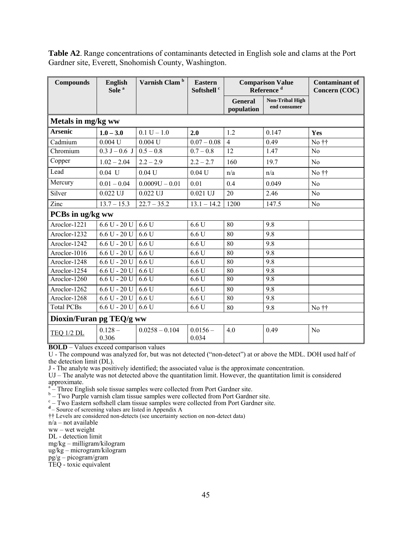**Table A2**. Range concentrations of contaminants detected in English sole and clams at the Port Gardner site, Everett, Snohomish County, Washington.

| <b>Compounds</b>         | <b>English</b><br>Sole <sup>a</sup> | Varnish Clam <sup>b</sup> | <b>Eastern</b><br>Softshell <sup>c</sup> | <b>Comparison Value</b><br>Reference <sup>d</sup> |                                        | <b>Contaminant of</b><br>Concern (COC) |  |  |
|--------------------------|-------------------------------------|---------------------------|------------------------------------------|---------------------------------------------------|----------------------------------------|----------------------------------------|--|--|
|                          |                                     |                           |                                          | <b>General</b><br>population                      | <b>Non-Tribal High</b><br>end consumer |                                        |  |  |
| Metals in mg/kg ww       |                                     |                           |                                          |                                                   |                                        |                                        |  |  |
| <b>Arsenic</b>           | $1.0 - 3.0$                         | $0.1 U - 1.0$             | 2.0                                      | 1.2                                               | 0.147                                  | Yes                                    |  |  |
| Cadmium                  | 0.004 U                             | 0.004 U                   | $0.07 - 0.08$                            | $\overline{4}$                                    | 0.49                                   | No tt                                  |  |  |
| Chromium                 | $\overline{0.3}$ J – 0.6 J          | $0.5 - 0.8$               | $0.7 - 0.8$                              | 12                                                | 1.47                                   | N <sub>0</sub>                         |  |  |
| Copper                   | $1.02 - 2.04$                       | $2.2 - 2.9$               | $2.2 - 2.7$                              | 160                                               | 19.7                                   | N <sub>0</sub>                         |  |  |
| Lead                     | $0.04$ U                            | $0.04$ U                  | $0.04$ U                                 | n/a                                               | n/a                                    | No ††                                  |  |  |
| Mercury                  | $0.01 - 0.04$                       | $0.0009U - 0.01$          | 0.01                                     | 0.4                                               | 0.049                                  | N <sub>0</sub>                         |  |  |
| Silver                   | 0.022 UJ                            | $0.022$ UJ                | $0.021$ UJ                               | 20                                                | 2.46                                   | N <sub>0</sub>                         |  |  |
| Zinc                     | $13.7 - 15.3$                       | $22.7 - 35.2$             | $13.1 - 14.2$                            | 1200                                              | 147.5                                  | N <sub>0</sub>                         |  |  |
| PCBs in ug/kg ww         |                                     |                           |                                          |                                                   |                                        |                                        |  |  |
| Aroclor-1221             | $6.6 U - 20 U$                      | 6.6 U                     | 6.6U                                     | 80                                                | 9.8                                    |                                        |  |  |
| Aroclor-1232             | $6.6 U - 20 U$                      | 6.6U                      | 6.6U                                     | 80                                                | 9.8                                    |                                        |  |  |
| Aroclor-1242             | $6.6 U - 20 U$                      | 6.6U                      | 6.6U                                     | 80                                                | 9.8                                    |                                        |  |  |
| Aroclor-1016             | $6.6 U - 20 U$                      | 6.6 U                     | 6.6U                                     | 80                                                | 9.8                                    |                                        |  |  |
| Aroclor-1248             | $6.6 U - 20 U$                      | 6.6U                      | 6.6 U                                    | 80                                                | 9.8                                    |                                        |  |  |
| Aroclor-1254             | $6.6 U - 20 U$                      | 6.6U                      | 6.6U                                     | 80                                                | 9.8                                    |                                        |  |  |
| Aroclor-1260             | $6.6 U - 20 U$                      | 6.6U                      | 6.6 U                                    | 80                                                | 9.8                                    |                                        |  |  |
| Aroclor-1262             | $6.6 U - 20 U$                      | 6.6 U                     | 6.6U                                     | 80                                                | 9.8                                    |                                        |  |  |
| Aroclor-1268             | $6.6 U - 20 U$                      | 6.6U                      | 6.6U                                     | 80                                                | 9.8                                    |                                        |  |  |
| <b>Total PCBs</b>        | $6.6 U - 20 U$                      | 6.6 U                     | 6.6U                                     | 80                                                | 9.8                                    | No tt                                  |  |  |
| Dioxin/Furan pg TEQ/g ww |                                     |                           |                                          |                                                   |                                        |                                        |  |  |
| <b>TEQ 1/2 DL</b>        | $0.128 -$<br>0.306                  | $0.0258 - 0.104$          | $0.0156 -$<br>0.034                      | 4.0                                               | 0.49                                   | N <sub>0</sub>                         |  |  |

**BOLD** – Values exceed comparison values

U - The compound was analyzed for, but was not detected ("non-detect") at or above the MDL. DOH used half of the detection limit (DL).

J - The analyte was positively identified; the associated value is the approximate concentration.

UJ – The analyte was not detected above the quantitation limit. However, the quantitation limit is considered approximate.<br>a Three Eng

 $-$  Three English sole tissue samples were collected from Port Gardner site.

 $<sup>b</sup>$  – Two Purple varnish clam tissue samples were collected from Port Gardner site.</sup>

– Two Eastern softshell clam tissue samples were collected from Port Gardner site. **<sup>d</sup>** – Source of screening values are listed in Appendix A

†† Levels are considered non-detects (see uncertainty section on non-detect data)

n/a – not available

ww – wet weight

DL - detection limit

mg/kg – milligram/kilogram

ug/kg – microgram/kilogram

pg/g – picogram/gram

TEQ - toxic equivalent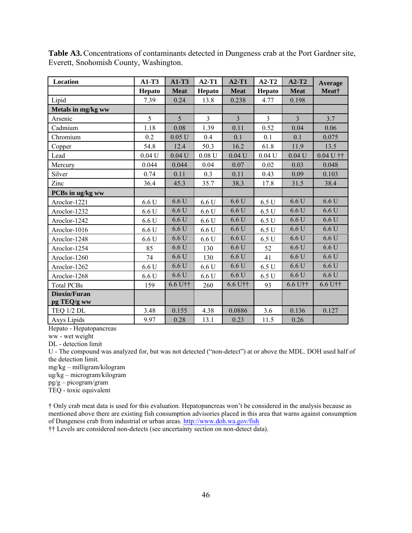| <b>Location</b>    | $A1-T3$          | $A1-T3$          | $A2-T1$          | $A2-T1$          | $A2-T2$        | $A2-T2$          | <b>Average</b>            |
|--------------------|------------------|------------------|------------------|------------------|----------------|------------------|---------------------------|
|                    | Hepato           | <b>Meat</b>      | Hepato           | <b>Meat</b>      | Hepato         | <b>Meat</b>      | Meat†                     |
| Lipid              | 7.39             | 0.24             | 13.8             | 0.238            | 4.77           | 0.198            |                           |
| Metals in mg/kg ww |                  |                  |                  |                  |                |                  |                           |
| Arsenic            | 5                | $\overline{5}$   | $\overline{3}$   | $\overline{3}$   | $\overline{3}$ | $\overline{3}$   | 3.7                       |
| Cadmium            | 1.18             | 0.08             | 1.39             | 0.11             | 0.52           | 0.04             | 0.06                      |
| Chromium           | 0.2              | 0.05U            | 0.4              | 0.1              | 0.1            | 0.1              | 0.075                     |
| Copper             | 54.8             | 12.4             | 50.3             | 16.2             | 61.8           | 11.9             | 13.5                      |
| Lead               | 0.04 U           | $0.04$ U         | 0.08 U           | $0.04$ U         | 0.04U          | $0.04$ U         | $0.04$ U $\dagger\dagger$ |
| Mercury            | 0.044            | 0.044            | 0.04             | 0.07             | 0.02           | 0.03             | 0.048                     |
| Silver             | 0.74             | 0.11             | 0.3              | 0.11             | 0.43           | 0.09             | 0.103                     |
| Zinc               | 36.4             | 45.3             | 35.7             | 38.3             | 17.8           | 31.5             | 38.4                      |
| PCBs in ug/kg ww   |                  |                  |                  |                  |                |                  |                           |
| Aroclor-1221       | 6.6 <sub>U</sub> | 6.6U             | 6.6U             | 6.6 <sub>U</sub> | 6.5 U          | 6.6 <sub>U</sub> | 6.6 <sub>U</sub>          |
| Aroclor-1232       | 6.6U             | 6.6 <sub>U</sub> | 6.6U             | 6.6U             | 6.5U           | 6.6 <sub>U</sub> | 6.6 <sub>U</sub>          |
| Aroclor-1242       | 6.6 <sub>U</sub> | 6.6 <sub>U</sub> | 6.6 <sub>U</sub> | 6.6 <sub>U</sub> | 6.5U           | 6.6 <sub>U</sub> | 6.6 <sub>U</sub>          |
| Aroclor-1016       | 6.6U             | 6.6U             | 6.6U             | 6.6U             | 6.5U           | 6.6U             | 6.6 <sub>U</sub>          |
| Aroclor-1248       | 6.6 U            | 6.6U             | 6.6U             | 6.6 <sub>U</sub> | 6.5U           | 6.6 <sub>U</sub> | 6.6 <sub>U</sub>          |
| Aroclor-1254       | 85               | $6.6 U$          | 130              | 6.6U             | 52             | 6.6 <sub>U</sub> | 6.6 <sub>U</sub>          |
| Aroclor-1260       | 74               | 6.6U             | 130              | 6.6 <sub>U</sub> | 41             | 6.6 <sub>U</sub> | 6.6 <sub>U</sub>          |
| Aroclor-1262       | 6.6U             | 6.6 <sub>U</sub> | 6.6U             | 6.6 <sub>U</sub> | 6.5 U          | 6.6 <sub>U</sub> | 6.6 <sub>U</sub>          |
| Aroclor-1268       | 6.6U             | 6.6 <sub>U</sub> | 6.6U             | 6.6U             | 6.5 U          | 6.6 <sub>U</sub> | 6.6 <sub>U</sub>          |
| <b>Total PCBs</b>  | 159              | 6.6 U††          | 260              | $6.6$ U††        | 93             | 6.6 U††          | 6.6 U††                   |
| Dioxin/Furan       |                  |                  |                  |                  |                |                  |                           |
| pg TEQ/g ww        |                  |                  |                  |                  |                |                  |                           |
| <b>TEQ 1/2 DL</b>  | 3.48             | 0.155            | 4.38             | 0.0886           | 3.6            | 0.136            | 0.127                     |
| <b>Axys Lipids</b> | 9.97             | 0.28             | 13.1             | 0.23             | 11.5           | 0.26             |                           |

**Table A3.**Concentrations of contaminants detected in Dungeness crab at the Port Gardner site, Everett, Snohomish County, Washington.

Hepato - Hepatopancreas

ww - wet weight

DL - detection limit

U - The compound was analyzed for, but was not detected ("non-detect") at or above the MDL. DOH used half of the detection limit.

mg/kg – milligram/kilogram

ug/kg – microgram/kilogram

pg/g – picogram/gram

TEQ - toxic equivalent

† Only crab meat data is used for this evaluation. Hepatopancreas won't be considered in the analysis because as mentioned above there are existing fish consumption advisories placed in this area that warns against consumption of Dungeness crab from industrial or urban areas. http://www.doh.wa.gov/fish

†† Levels are considered non-detects (see uncertainty section on non-detect data).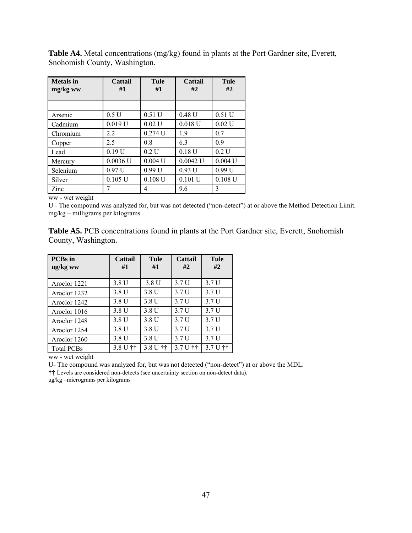| <b>Metals</b> in<br>mg/kg ww | Cattail<br>#1 | Tule<br>#1 | Cattail<br>#2 | <b>Tule</b><br>#2 |
|------------------------------|---------------|------------|---------------|-------------------|
|                              |               |            |               |                   |
| Arsenic                      | 0.5 U         | $0.51$ U   | $0.48$ U      | $0.51$ U          |
| Cadmium                      | $0.019$ U     | $0.02$ U   | $0.018$ U     | $0.02$ U          |
| Chromium                     | 2.2           | $0.274$ U  | 1.9           | 0.7               |
| Copper                       | 2.5           | 0.8        | 6.3           | 0.9               |
| Lead                         | 0.19U         | 0.2 U      | $0.18$ U      | 0.2 U             |
| Mercury                      | $0.0036$ U    | $0.004$ U  | $0.0042$ U    | $0.004$ U         |
| Selenium                     | 0.97U         | 0.99 U     | 0.93 U        | $0.99$ U          |
| Silver                       | 0.105 U       | $0.108$ U  | $0.101$ U     | $0.108$ U         |
| Zinc                         |               | 4          | 9.6           | 3                 |

**Table A4.** Metal concentrations (mg/kg) found in plants at the Port Gardner site, Everett, Snohomish County, Washington.

ww - wet weight

U - The compound was analyzed for, but was not detected ("non-detect") at or above the Method Detection Limit. mg/kg – milligrams per kilograms

**Table A5.** PCB concentrations found in plants at the Port Gardner site, Everett, Snohomish County, Washington.

| <b>PCBs</b> in<br>ug/kg ww | Cattail<br>#1               | Tule<br>#1 | Cattail<br>#2    | Tule<br>#2 |
|----------------------------|-----------------------------|------------|------------------|------------|
| Aroclor 1221               | 3.8 U                       | 3.8 U      | 3.7U             | 3.7 U      |
| Aroclor 1232               | 3.8 U                       | 3.8 U      | 3.7 <sub>U</sub> | 3.7U       |
| Aroclor 1242               | 3.8 U                       | 3.8 U      | 3.7 <sub>U</sub> | 3.7U       |
| Aroclor 1016               | 3.8 U                       | 3.8 U      | 3.7U             | 3.7U       |
| Aroclor 1248               | 3.8 U                       | 3.8 U      | 3.7U             | 3.7U       |
| Aroclor 1254               | 3.8 U                       | 3.8 U      | 3.7 <sub>U</sub> | 3.7 U      |
| Aroclor 1260               | 3.8 U                       | 3.8 U      | 3.7 <sub>U</sub> | 3.7 U      |
| <b>Total PCBs</b>          | $3.8 U$ $\dagger$ $\dagger$ | $3.8 U$ †† | $3.7 U$ ††       | $3.7 U$ †† |

ww - wet weight

U- The compound was analyzed for, but was not detected ("non-detect") at or above the MDL.

†† Levels are considered non-detects (see uncertainty section on non-detect data).

ug/kg –micrograms per kilograms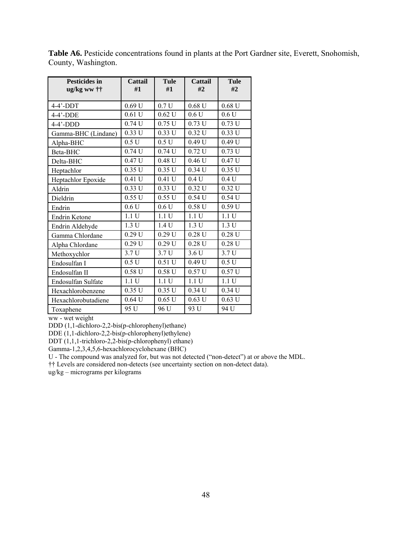| <b>Pesticides in</b><br>ug/kg ww †† | Cattail<br>#1    | <b>Tule</b><br>#1 | Cattail<br>#2    | <b>Tule</b><br>#2 |
|-------------------------------------|------------------|-------------------|------------------|-------------------|
| $4-4'$ - $DDT$                      | 0.69U            | 0.7 <sub>U</sub>  | $0.68$ U         | 0.68 U            |
| 4-4'-DDE                            | 0.61U            | $0.62$ U          | 0.6 U            | 0.6U              |
| $4-4'$ -DDD                         | $0.74$ U         | 0.75U             | $0.73$ U         | $0.73$ U          |
| Gamma-BHC (Lindane)                 | $0.33$ U         | $0.33$ U          | $0.32$ U         | $0.33$ U          |
| Alpha-BHC                           | 0.5U             | 0.5U              | 0.49U            | 0.49U             |
| Beta-BHC                            | 0.74U            | 0.74U             | 0.72U            | $0.73$ U          |
| Delta-BHC                           | 0.47U            | $0.48$ U          | 0.46U            | 0.47U             |
| Heptachlor                          | $0.35$ U         | $0.35$ U          | $0.34$ U         | $0.35$ U          |
| Heptachlor Epoxide                  | $0.41$ U         | $0.41$ U          | 0.4 U            | 0.4 U             |
| Aldrin                              | $0.33$ U         | $0.33$ U          | $0.32$ U         | $0.32$ U          |
| Dieldrin                            | 0.55 U           | 0.55 U            | $0.54$ U         | $0.54$ U          |
| Endrin                              | 0.6 <sub>U</sub> | 0.6U              | 0.58U            | 0.59U             |
| <b>Endrin Ketone</b>                | 1.1 <sub>U</sub> | 1.1 U             | 1.1 U            | 1.1 U             |
| Endrin Aldehyde                     | 1.3U             | 1.4 U             | 1.3U             | 1.3U              |
| Gamma Chlordane                     | 0.29U            | 0.29U             | $0.28$ U         | $0.28$ U          |
| Alpha Chlordane                     | 0.29U            | 0.29U             | $0.28$ U         | $0.28$ U          |
| Methoxychlor                        | 3.7 <sub>U</sub> | 3.7 <sub>U</sub>  | 3.6 <sub>U</sub> | 3.7 <sub>U</sub>  |
| Endosulfan I                        | 0.5 U            | 0.51U             | 0.49U            | 0.5 U             |
| Endosulfan II                       | 0.58U            | $0.58$ U          | 0.57U            | 0.57U             |
| Endosulfan Sulfate                  | 1.1 U            | 1.1 U             | $1.1$ U          | 1.1 U             |
| Hexachlorobenzene                   | $0.35$ U         | $0.35$ U          | $0.34$ U         | 0.34U             |
| Hexachlorobutadiene                 | $0.64$ U         | $0.65$ U          | $0.63$ U         | $0.63$ U          |
| Toxaphene                           | 95 U             | 96 U              | 93 U             | 94 U              |

**Table A6.** Pesticide concentrations found in plants at the Port Gardner site, Everett, Snohomish, County, Washington.

ww - wet weight

DDD (1,1-dichloro-2,2-bis(p-chlorophenyl)ethane)

DDE (1,1-dichloro-2,2-bis(p-chlorophenyl)ethylene)

DDT (1,1,1-trichloro-2,2-bis(p-chlorophenyl) ethane)

Gamma-1,2,3,4,5,6-hexachlorocyclohexane (BHC)

U - The compound was analyzed for, but was not detected ("non-detect") at or above the MDL.

†† Levels are considered non-detects (see uncertainty section on non-detect data).

ug/kg – micrograms per kilograms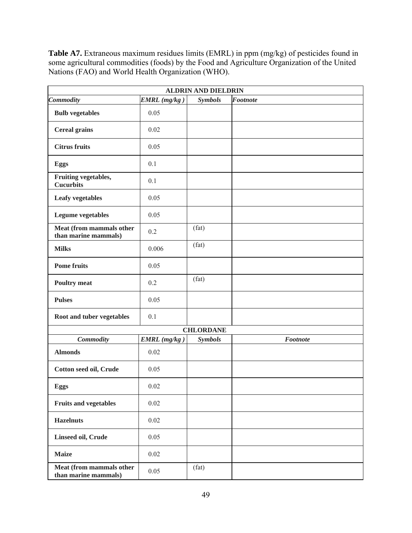**Table A7.** Extraneous maximum residues limits (EMRL) in ppm (mg/kg) of pesticides found in some agricultural commodities (foods) by the Food and Agriculture Organization of the United Nations (FAO) and World Health Organization (WHO).

| <b>ALDRIN AND DIELDRIN</b>                       |                |                  |          |  |
|--------------------------------------------------|----------------|------------------|----------|--|
| Commodity                                        | $EMRL$ (mg/kg) | <b>Symbols</b>   | Footnote |  |
| <b>Bulb</b> vegetables                           | 0.05           |                  |          |  |
| <b>Cereal grains</b>                             | 0.02           |                  |          |  |
| <b>Citrus fruits</b>                             | 0.05           |                  |          |  |
| Eggs                                             | 0.1            |                  |          |  |
| Fruiting vegetables,<br><b>Cucurbits</b>         | 0.1            |                  |          |  |
| <b>Leafy vegetables</b>                          | 0.05           |                  |          |  |
| <b>Legume vegetables</b>                         | 0.05           |                  |          |  |
| Meat (from mammals other<br>than marine mammals) | 0.2            | (fat)            |          |  |
| <b>Milks</b>                                     | 0.006          | (fat)            |          |  |
| <b>Pome fruits</b>                               | 0.05           |                  |          |  |
| <b>Poultry meat</b>                              | 0.2            | (fat)            |          |  |
| <b>Pulses</b>                                    | 0.05           |                  |          |  |
| Root and tuber vegetables                        | 0.1            |                  |          |  |
|                                                  |                | <b>CHLORDANE</b> |          |  |
| Commodity                                        | $EMRL$ (mg/kg) | <b>Symbols</b>   | Footnote |  |
| <b>Almonds</b>                                   | 0.02           |                  |          |  |
| Cotton seed oil, Crude                           | 0.05           |                  |          |  |
| Eggs                                             | $0.02\,$       |                  |          |  |
| <b>Fruits and vegetables</b>                     | 0.02           |                  |          |  |
| <b>Hazelnuts</b>                                 | 0.02           |                  |          |  |
| Linseed oil, Crude                               | 0.05           |                  |          |  |
| <b>Maize</b>                                     | 0.02           |                  |          |  |
| Meat (from mammals other<br>than marine mammals) | 0.05           | (fat)            |          |  |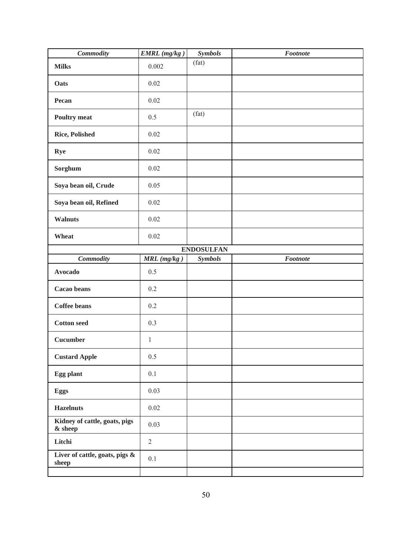| Commodity                                       | $EMRL$ (mg/kg) | <b>Symbols</b>    | Footnote |
|-------------------------------------------------|----------------|-------------------|----------|
| <b>Milks</b>                                    | 0.002          | (fat)             |          |
| Oats                                            | 0.02           |                   |          |
| Pecan                                           | 0.02           |                   |          |
| <b>Poultry meat</b>                             | 0.5            | (fat)             |          |
| <b>Rice, Polished</b>                           | 0.02           |                   |          |
| <b>Rye</b>                                      | 0.02           |                   |          |
| Sorghum                                         | 0.02           |                   |          |
| Soya bean oil, Crude                            | 0.05           |                   |          |
| Soya bean oil, Refined                          | 0.02           |                   |          |
| <b>Walnuts</b>                                  | 0.02           |                   |          |
| Wheat                                           | 0.02           |                   |          |
|                                                 |                | <b>ENDOSULFAN</b> |          |
| Commodity                                       | $MRL$ (mg/kg)  | <b>Symbols</b>    | Footnote |
| Avocado                                         | 0.5            |                   |          |
| Cacao beans                                     | 0.2            |                   |          |
| <b>Coffee beans</b>                             | 0.2            |                   |          |
| <b>Cotton seed</b>                              | 0.3            |                   |          |
| <b>Cucumber</b>                                 | $\,1\,$        |                   |          |
| <b>Custard Apple</b>                            | 0.5            |                   |          |
| <b>Egg plant</b>                                | 0.1            |                   |          |
| Eggs                                            | 0.03           |                   |          |
| <b>Hazelnuts</b>                                | 0.02           |                   |          |
| Kidney of cattle, goats, pigs<br>& sheep        | 0.03           |                   |          |
| Litchi                                          | $\sqrt{2}$     |                   |          |
| Liver of cattle, goats, pigs &<br>${\bf sheep}$ | 0.1            |                   |          |
|                                                 |                |                   |          |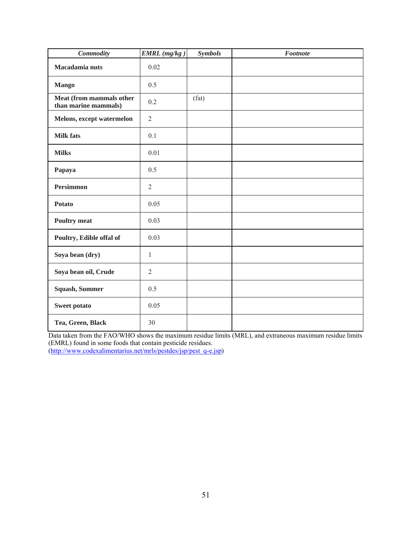| <b>Commodity</b>                                 | $EMRL$ (mg/kg) | <b>Symbols</b> | Footnote |
|--------------------------------------------------|----------------|----------------|----------|
| Macadamia nuts                                   | 0.02           |                |          |
| <b>Mango</b>                                     | 0.5            |                |          |
| Meat (from mammals other<br>than marine mammals) | 0.2            | (fat)          |          |
| Melons, except watermelon                        | $\overline{2}$ |                |          |
| <b>Milk fats</b>                                 | 0.1            |                |          |
| <b>Milks</b>                                     | 0.01           |                |          |
| Papaya                                           | 0.5            |                |          |
| <b>Persimmon</b>                                 | $\overline{2}$ |                |          |
| Potato                                           | 0.05           |                |          |
| <b>Poultry meat</b>                              | 0.03           |                |          |
| Poultry, Edible offal of                         | 0.03           |                |          |
| Soya bean (dry)                                  | $\mathbf{1}$   |                |          |
| Soya bean oil, Crude                             | $\overline{2}$ |                |          |
| <b>Squash, Summer</b>                            | 0.5            |                |          |
| Sweet potato                                     | 0.05           |                |          |
| Tea, Green, Black                                | 30             |                |          |

Data taken from the FAO/WHO shows the maximum residue limits (MRL), and extraneous maximum residue limits (EMRL) found in some foods that contain pesticide residues.

(http://www.codexalimentarius.net/mrls/pestdes/jsp/pest\_q-e.jsp)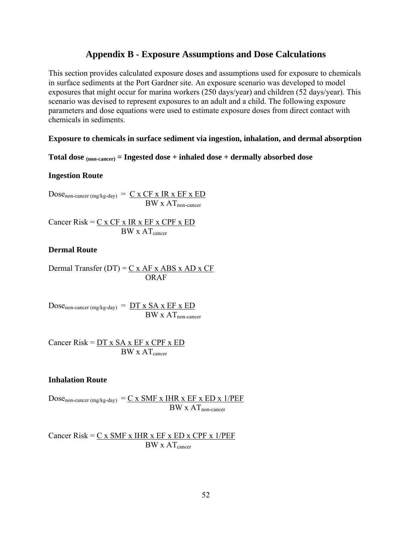### **Appendix B - Exposure Assumptions and Dose Calculations**

<span id="page-52-0"></span>This section provides calculated exposure doses and assumptions used for exposure to chemicals in surface sediments at the Port Gardner site. An exposure scenario was developed to model exposures that might occur for marina workers (250 days/year) and children (52 days/year). This scenario was devised to represent exposures to an adult and a child. The following exposure parameters and dose equations were used to estimate exposure doses from direct contact with chemicals in sediments.

#### **Exposure to chemicals in surface sediment via ingestion, inhalation, and dermal absorption**

**Total dose (non-cancer) = Ingested dose + inhaled dose + dermally absorbed dose**

#### **Ingestion Route**

 $Dose_{\text{non-cancer (mg/kg-day)}} = \underline{C \times CF \times IR \times EF \times ED}$  $BW \times AT_{non-cancer}$ 

Cancer Risk =  $C x CF x IR x EF x CPF x ED$  $BW \times AT_{\text{cancer}}$ 

#### **Dermal Route**

Dermal Transfer  $(DT) = C x AF x ABS x AD x CF$ ORAF

 $Dose_{\text{non-cancer (mg/kg-day)}} = \overline{DT} \times \overline{SA} \times \overline{EF} \times \overline{ED}$  $BW \times AT$ <sub>non-cancer</sub>

Cancer Risk =  $DT x SA x EF x CPF x ED$  $BW \times AT_{cancer}$ 

#### **Inhalation Route**

Dose<sub>non-cancer (mg/kg-day)</sub> =  $C x SMF x IHR x EF x ED x 1/PEF$  $BW \times AT_{non-cancer}$ 

Cancer Risk =  $C x SMF x IHR x EF x ED x CPF x 1/PEF$  $BW \times AT_{cancer}$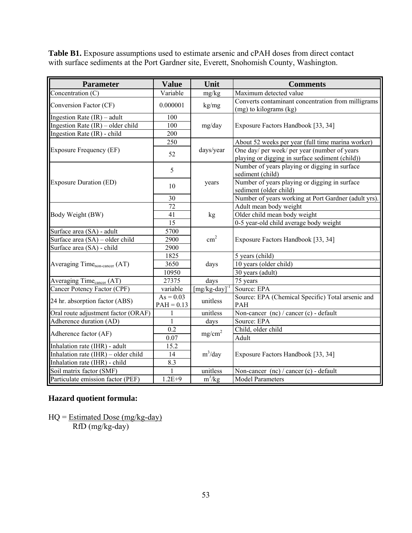**Table B1.** Exposure assumptions used to estimate arsenic and cPAH doses from direct contact with surface sediments at the Port Gardner site, Everett, Snohomish County, Washington.

| <b>Parameter</b>                          | <b>Value</b>                | Unit               | <b>Comments</b>                                                                                 |  |
|-------------------------------------------|-----------------------------|--------------------|-------------------------------------------------------------------------------------------------|--|
| Concentration (C)                         | Variable                    | mg/kg              | Maximum detected value                                                                          |  |
| Conversion Factor (CF)                    | 0.000001                    | kg/mg              | Converts contaminant concentration from milligrams<br>(mg) to kilograms (kg)                    |  |
| Ingestion Rate (IR) - adult               | 100                         |                    |                                                                                                 |  |
| Ingestion Rate $(IR)$ – older child       | 100                         | mg/day             | Exposure Factors Handbook [33, 34]                                                              |  |
| Ingestion Rate (IR) - child               | 200                         |                    |                                                                                                 |  |
|                                           | 250                         |                    | About 52 weeks per year (full time marina worker)                                               |  |
| Exposure Frequency (EF)                   | 52                          | days/year          | One day/ per week/ per year (number of years<br>playing or digging in surface sediment (child)) |  |
|                                           | 5                           |                    | Number of years playing or digging in surface<br>sediment (child)                               |  |
| <b>Exposure Duration (ED)</b>             | 10                          | years              | Number of years playing or digging in surface<br>sediment (older child)                         |  |
|                                           | 30                          |                    | Number of years working at Port Gardner (adult yrs).                                            |  |
|                                           | 72                          |                    | Adult mean body weight                                                                          |  |
| Body Weight (BW)                          | 41                          | kg                 | Older child mean body weight                                                                    |  |
|                                           | 15                          |                    | 0-5 year-old child average body weight                                                          |  |
| Surface area (SA) - adult                 | 5700                        |                    |                                                                                                 |  |
| Surface area (SA) - older child           | 2900                        | $\text{cm}^2$      | Exposure Factors Handbook [33, 34]                                                              |  |
| Surface area (SA) - child                 | 2900                        |                    |                                                                                                 |  |
|                                           | 1825                        |                    | 5 years (child)                                                                                 |  |
| Averaging Time <sub>non-cancer</sub> (AT) | 3650                        | days               | 10 years (older child)                                                                          |  |
|                                           | 10950                       |                    | 30 years (adult)                                                                                |  |
| Averaging Time <sub>cancer</sub> (AT)     | 27375                       | days               | 75 years                                                                                        |  |
| Cancer Potency Factor (CPF)               | variable                    | $[mg/kg-day]$      | Source: EPA                                                                                     |  |
| 24 hr. absorption factor (ABS)            | $As = 0.03$<br>$PAH = 0.13$ | unitless           | Source: EPA (Chemical Specific) Total arsenic and<br>PAH                                        |  |
| Oral route adjustment factor (ORAF)       |                             | unitless           | Non-cancer (nc) / cancer (c) - default                                                          |  |
| Adherence duration (AD)                   | 1                           | days               | Source: EPA                                                                                     |  |
| Adherence factor (AF)                     | 0.2                         | mg/cm <sup>2</sup> | Child, older child                                                                              |  |
|                                           | 0.07                        |                    | Adult                                                                                           |  |
| Inhalation rate (IHR) - adult             | 15.2                        |                    |                                                                                                 |  |
| Inhalation rate (IHR) - older child       | 14                          | $m^3$ /day         | Exposure Factors Handbook [33, 34]                                                              |  |
| Inhalation rate (IHR) - child             | 8.3                         |                    |                                                                                                 |  |
| Soil matrix factor (SMF)                  |                             | unitless           | Non-cancer (nc) / cancer (c) - default                                                          |  |
| Particulate emission factor (PEF)         | $1.2E + 9$                  | $m^3/kg$           | <b>Model Parameters</b>                                                                         |  |

### **Hazard quotient formula:**

HQ = **Estimated Dose** (mg/kg-day) RfD (mg/kg-day)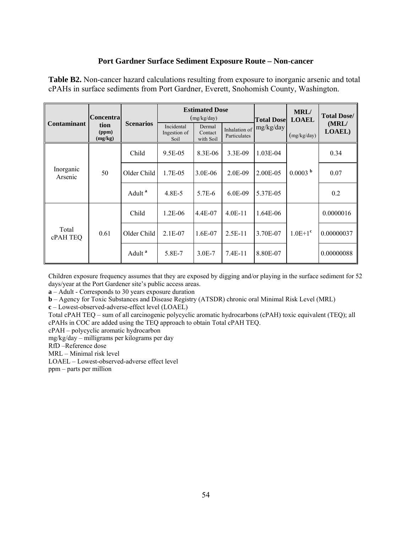### **Port Gardner Surface Sediment Exposure Route – Non-cancer**

|                      | Concentra                |                    | <b>Estimated Dose</b><br>(mg/kg/day) |                                |                               | <b>Total Dose</b> | <b>MRL</b><br><b>LOAEL</b> | <b>Total Dose/</b> |
|----------------------|--------------------------|--------------------|--------------------------------------|--------------------------------|-------------------------------|-------------------|----------------------------|--------------------|
| <b>Contaminant</b>   | tion<br>(ppm)<br>(mg/kg) | <b>Scenarios</b>   | Incidental<br>Ingestion of<br>Soil   | Dermal<br>Contact<br>with Soil | Inhalation of<br>Particulates | mg/kg/day         | (mg/kg/day)                | (MRL/<br>LOAEL)    |
| Inorganic<br>Arsenic |                          | Child              | 9.5E-05                              | 8.3E-06                        | 3.3E-09                       | $1.03E-04$        |                            | 0.34               |
|                      | 50                       | Older Child        | 1.7E-05                              | 3.0E-06                        | 2.0E-09                       | 2.00E-05          | 0.0003 <sup>b</sup>        | 0.07               |
|                      |                          | Adult <sup>a</sup> | 4.8E-5                               | $5.7E-6$                       | $6.0E-09$                     | 5.37E-05          |                            | 0.2                |
| Total<br>cPAH TEQ    | 0.61                     | Child              | $1.2E-06$                            | 4.4E-07                        | $4.0E-11$                     | 1.64E-06          |                            | 0.0000016          |
|                      |                          | Older Child        | 2.1E-07                              | $1.6E-07$                      | $2.5E-11$                     | 3.70E-07          | $1.0E+1c$                  | 0.00000037         |
|                      |                          | Adult <sup>a</sup> | 5.8E-7                               | $3.0E - 7$                     | $7.4E-11$                     | 8.80E-07          |                            | 0.00000088         |

**Table B2.** Non-cancer hazard calculations resulting from exposure to inorganic arsenic and total cPAHs in surface sediments from Port Gardner, Everett, Snohomish County, Washington.

Children exposure frequency assumes that they are exposed by digging and/or playing in the surface sediment for 52 days/year at the Port Gardener site's public access areas.

**a** – Adult - Corresponds to 30 years exposure duration

**b** – Agency for Toxic Substances and Disease Registry (ATSDR) chronic oral Minimal Risk Level (MRL)

**c** – Lowest-observed-adverse-effect level (LOAEL)

Total cPAH TEQ – sum of all carcinogenic polycyclic aromatic hydrocarbons (cPAH) toxic equivalent (TEQ); all cPAHs in COC are added using the TEQ approach to obtain Total cPAH TEQ.

cPAH – polycyclic aromatic hydrocarbon

mg/kg/day – milligrams per kilograms per day

RfD –Reference dose

MRL – Minimal risk level

LOAEL – Lowest-observed-adverse effect level

ppm – parts per million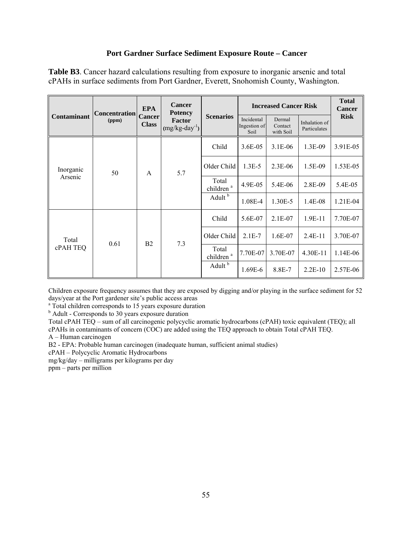#### **Port Gardner Surface Sediment Exposure Route – Cancer**

**Table B3**. Cancer hazard calculations resulting from exposure to inorganic arsenic and total cPAHs in surface sediments from Port Gardner, Everett, Snohomish County, Washington.

|             | <b>Concentration</b> | <b>EPA</b>                    | <b>Cancer</b><br><b>Potency</b><br>Factor<br>$(mg/kg-day^{-1})$ |                                | <b>Increased Cancer Risk</b>       |                                |                               | <b>Total</b><br><b>Cancer</b> |
|-------------|----------------------|-------------------------------|-----------------------------------------------------------------|--------------------------------|------------------------------------|--------------------------------|-------------------------------|-------------------------------|
| Contaminant | (ppm)                | <b>Cancer</b><br><b>Class</b> |                                                                 | <b>Scenarios</b>               | Incidental<br>Ingestion of<br>Soil | Dermal<br>Contact<br>with Soil | Inhalation of<br>Particulates | <b>Risk</b>                   |
|             |                      |                               | 5.7                                                             | Child                          | $3.6E - 0.5$                       | $3.1E-06$                      | 1.3E-09                       | 3.91E-05                      |
| Inorganic   | 50                   | A                             |                                                                 | Older Child                    | $1.3E-5$                           | $2.3E-06$                      | 1.5E-09                       | 1.53E-05                      |
| Arsenic     |                      |                               |                                                                 | Total<br>children <sup>a</sup> | 4.9E-05                            | 5.4E-06                        | 2.8E-09                       | 5.4E-05                       |
|             |                      |                               |                                                                 | Adult <sup>b</sup>             | 1.08E-4                            | 1.30E-5                        | 1.4E-08                       | 1.21E-04                      |
|             |                      | B <sub>2</sub>                | 7.3                                                             | Child                          | 5.6E-07                            | $2.1E-07$                      | 1.9E-11                       | 7.70E-07                      |
| Total       | 0.61                 |                               |                                                                 | Older Child                    | $2.1E-7$                           | 1.6E-07                        | $2.4E-11$                     | 3.70E-07                      |
| cPAH TEQ    |                      |                               |                                                                 | Total<br>children <sup>a</sup> | 7.70E-07                           | 3.70E-07                       | 4.30E-11                      | 1.14E-06                      |
|             |                      |                               |                                                                 | Adult <sup>b</sup>             | 1.69E-6                            | 8.8E-7                         | $2.2E-10$                     | 2.57E-06                      |

Children exposure frequency assumes that they are exposed by digging and/or playing in the surface sediment for 52 days/year at the Port gardener site's public access areas

<sup>a</sup> Total children corresponds to 15 years exposure duration

<sup>b</sup> Adult - Corresponds to 30 years exposure duration

Total cPAH TEQ – sum of all carcinogenic polycyclic aromatic hydrocarbons (cPAH) toxic equivalent (TEQ); all cPAHs in contaminants of concern (COC) are added using the TEQ approach to obtain Total cPAH TEQ. A – Human carcinogen

B2 - EPA: Probable human carcinogen (inadequate human, sufficient animal studies)

cPAH – Polycyclic Aromatic Hydrocarbons

mg/kg/day – milligrams per kilograms per day

ppm – parts per million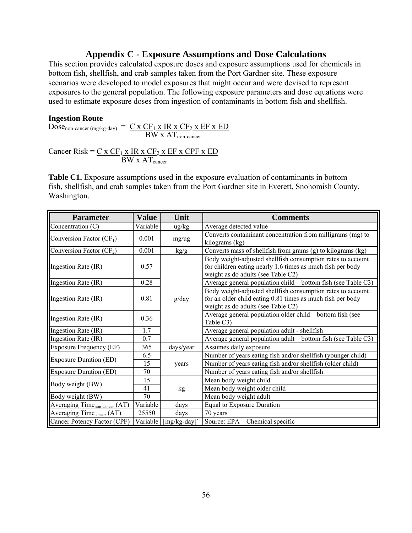### **Appendix C - Exposure Assumptions and Dose Calculations**

<span id="page-56-0"></span>This section provides calculated exposure doses and exposure assumptions used for chemicals in bottom fish, shellfish, and crab samples taken from the Port Gardner site. These exposure scenarios were developed to model exposures that might occur and were devised to represent exposures to the general population. The following exposure parameters and dose equations were used to estimate exposure doses from ingestion of contaminants in bottom fish and shellfish.

#### **Ingestion Route**

 $\text{Dose}_{\text{non-cancer (mg/kg-day)}} = \text{C x CF}_1 \times \text{IR x CF}_2 \times \text{EF x ED}$  $BW \times AT_{non-cancer}$ 

Cancer Risk =  $C x CF_1 x IR x CF_2 x EF x CPF x ED$  $BW \times AT_{\text{cancer}}$ 

Table C1. Exposure assumptions used in the exposure evaluation of contaminants in bottom fish, shellfish, and crab samples taken from the Port Gardner site in Everett, Snohomish County, Washington.

| <b>Parameter</b>                          | <b>Value</b> | Unit                        | <b>Comments</b>                                                                                                                                                 |  |
|-------------------------------------------|--------------|-----------------------------|-----------------------------------------------------------------------------------------------------------------------------------------------------------------|--|
| Concentration (C)                         | Variable     | ug/kg                       | Average detected value                                                                                                                                          |  |
| Conversion Factor $(CF_1)$                | 0.001        | mg/ug                       | Converts contaminant concentration from milligrams (mg) to<br>kilograms (kg)                                                                                    |  |
| Conversion Factor $(CF_2)$                | 0.001        | kg/g                        | Converts mass of shellfish from grams (g) to kilograms (kg)                                                                                                     |  |
| Ingestion Rate (IR)                       | 0.57         |                             | Body weight-adjusted shellfish consumption rates to account<br>for children eating nearly 1.6 times as much fish per body<br>weight as do adults (see Table C2) |  |
| Ingestion Rate (IR)                       | 0.28         |                             | Average general population child - bottom fish (see Table C3)                                                                                                   |  |
| Ingestion Rate (IR)                       | 0.81         | g/day                       | Body weight-adjusted shellfish consumption rates to account<br>for an older child eating 0.81 times as much fish per body<br>weight as do adults (see Table C2) |  |
| Ingestion Rate (IR)                       | 0.36         |                             | Average general population older child - bottom fish (see<br>Table C3)                                                                                          |  |
| Ingestion Rate (IR)                       | 1.7          |                             | Average general population adult - shellfish                                                                                                                    |  |
| Ingestion Rate (IR)                       | 0.7          |                             | Average general population adult – bottom fish (see Table C3)                                                                                                   |  |
| <b>Exposure Frequency (EF)</b>            | 365          | days/year                   | Assumes daily exposure                                                                                                                                          |  |
| <b>Exposure Duration (ED)</b>             | 6.5          |                             | Number of years eating fish and/or shellfish (younger child)                                                                                                    |  |
|                                           | 15           | years                       | Number of years eating fish and/or shellfish (older child)                                                                                                      |  |
| <b>Exposure Duration (ED)</b>             | 70           |                             | Number of years eating fish and/or shellfish                                                                                                                    |  |
| Body weight (BW)                          | 15           |                             | Mean body weight child                                                                                                                                          |  |
|                                           | 41           | kg                          | Mean body weight older child                                                                                                                                    |  |
| Body weight (BW)                          | 70           |                             | Mean body weight adult                                                                                                                                          |  |
| Averaging Time <sub>non-cancer</sub> (AT) | Variable     | days                        | Equal to Exposure Duration                                                                                                                                      |  |
| Averaging Time <sub>cancer</sub> (AT)     | 25550        | days                        | 70 years                                                                                                                                                        |  |
| Cancer Potency Factor (CPF)               | Variable     | $[mg/kg-day]$ <sup>-1</sup> | Source: EPA - Chemical specific                                                                                                                                 |  |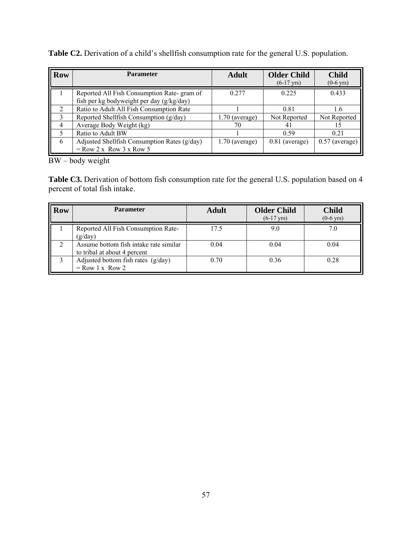**Table C2.** Derivation of a child's shellfish consumption rate for the general U.S. population.

| <b>Row</b>     | <b>Parameter</b>                                                                        | <b>Adult</b>     | <b>Older Child</b><br>$(6-17 \text{ yrs})$ | <b>Child</b><br>$(0-6$ yrs) |
|----------------|-----------------------------------------------------------------------------------------|------------------|--------------------------------------------|-----------------------------|
|                | Reported All Fish Consumption Rate-gram of<br>fish per kg bodyweight per day (g/kg/day) | 0 2 7 7          | 0 2 2 5                                    | 0.433                       |
|                | Ratio to Adult All Fish Consumption Rate                                                |                  | 0.81                                       | 1.6                         |
|                | Reported Shellfish Consumption (g/day)                                                  | $1.70$ (average) | Not Reported                               | Not Reported                |
| $\overline{4}$ | Average Body Weight (kg)                                                                | 70               | 41                                         |                             |
|                | Ratio to Adult BW                                                                       |                  | 0.59                                       | 0.21                        |
| 6              | Adjusted Shellfish Consumption Rates (g/day)<br>$=$ Row 2 x Row 3 x Row 5               | $1.70$ (average) | $0.81$ (average)                           | $0.57$ (average)            |

BW – body weight

**Table C3.** Derivation of bottom fish consumption rate for the general U.S. population based on 4 percent of total fish intake.

| Row | <b>Parameter</b>                                                       | <b>Adult</b> | <b>Older Child</b><br>$(6-17 \text{ yrs})$ | <b>Child</b><br>$(0-6$ yrs) |
|-----|------------------------------------------------------------------------|--------------|--------------------------------------------|-----------------------------|
|     | Reported All Fish Consumption Rate-<br>(g/day)                         | 17.5         | 9.0                                        | 7.0                         |
|     | Assume bottom fish intake rate similar<br>to tribal at about 4 percent | 0.04         | 0.04                                       | 0.04                        |
|     | Adjusted bottom fish rates $(g/day)$<br>$=$ Row 1 x Row 2              | 0.70         | 0.36                                       | 0.28                        |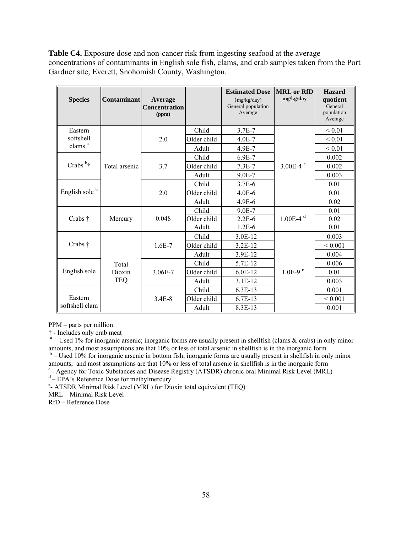**Table C4.** Exposure dose and non-cancer risk from ingesting seafood at the average concentrations of contaminants in English sole fish, clams, and crab samples taken from the Port Gardner site, Everett, Snohomish County, Washington.

| <b>Species</b>            | Contaminant   | Average<br><b>Concentration</b><br>(ppm) |             | <b>Estimated Dose</b><br>(mg/kg/day)<br>General population<br>Average | <b>MRL</b> or RfD<br>mg/kg/day | <b>Hazard</b><br>quotient<br>General<br>population<br>Average |
|---------------------------|---------------|------------------------------------------|-------------|-----------------------------------------------------------------------|--------------------------------|---------------------------------------------------------------|
| Eastern                   |               |                                          | Child       | 3.7E-7                                                                |                                | ${}_{0.01}$                                                   |
| softshell                 |               | 2.0                                      | Older child | $4.0E - 7$                                                            |                                | ${}_{0.01}$                                                   |
| clams <sup>a</sup>        |               |                                          | Adult       | $4.9E - 7$                                                            |                                | ${}_{0.01}$                                                   |
|                           |               |                                          | Child       | $6.9E - 7$                                                            |                                | 0.002                                                         |
| Crabs $\frac{b}{\cdot}$   | Total arsenic | 3.7                                      | Older child | $7.3E - 7$                                                            | 3.00E-4 $\degree$              | 0.002                                                         |
|                           |               |                                          | Adult       | $9.0E - 7$                                                            |                                | 0.003                                                         |
|                           |               | 2.0                                      | Child       | $3.7E-6$                                                              |                                | 0.01                                                          |
| English sole <sup>b</sup> |               |                                          | Older child | $4.0E-6$                                                              |                                | 0.01                                                          |
|                           |               |                                          | Adult       | $4.9E-6$                                                              |                                | 0.02                                                          |
|                           |               |                                          | Child       | $9.0E - 7$                                                            |                                | 0.01                                                          |
| Crabs †                   | Mercury       | 0.048                                    | Older child | $2.2E - 6$                                                            | $1.00E-4$ <sup>d</sup>         | 0.02                                                          |
|                           |               |                                          | Adult       | $1.2E-6$                                                              |                                | 0.01                                                          |
|                           |               |                                          | Child       | 3.0E-12                                                               |                                | 0.003                                                         |
| Crabs $\dagger$           |               | $1.6E-7$                                 | Older child | $3.2E-12$                                                             |                                | ${}_{0.001}$                                                  |
|                           |               |                                          | Adult       | 3.9E-12                                                               |                                | 0.004                                                         |
|                           | Total         |                                          | Child       | 5.7E-12                                                               |                                | 0.006                                                         |
| English sole              | Dioxin        | 3.06E-7                                  | Older child | $6.0E-12$                                                             | $1.0E-9$ <sup>e</sup>          | 0.01                                                          |
|                           | <b>TEQ</b>    |                                          | Adult       | $3.1E-12$                                                             |                                | 0.003                                                         |
|                           |               |                                          | Child       | $6.3E-13$                                                             |                                | 0.001                                                         |
| Eastern                   |               | $3.4E-8$                                 | Older child | $6.7E-13$                                                             |                                | ${}< 0.001$                                                   |
| softshell clam            |               |                                          | Adult       | 8.3E-13                                                               |                                | 0.001                                                         |

PPM – parts per million

† - Includes only crab meat **<sup>a</sup>**

<sup>a</sup> – Used 1% for inorganic arsenic; inorganic forms are usually present in shellfish (clams & crabs) in only minor amounts, and most assumptions are that 10% or less of total arsenic in shellfish is in the inorganic form **<sup>b</sup>** – Used 10% for inorganic arsenic in bottom fish; inorganic forms are usually present in shellfish in only minor amounts, and most assumptions are that 10% or less of total arsenic in shellfish is in the inorganic form

**<sup>c</sup>** - Agency for Toxic Substances and Disease Registry (ATSDR) chronic oral Minimal Risk Level (MRL) **<sup>d</sup>**– EPA's Reference Dose for methylmercury **<sup>e</sup>**

- ATSDR Minimal Risk Level (MRL) for Dioxin total equivalent (TEQ)

MRL – Minimal Risk Level

RfD – Reference Dose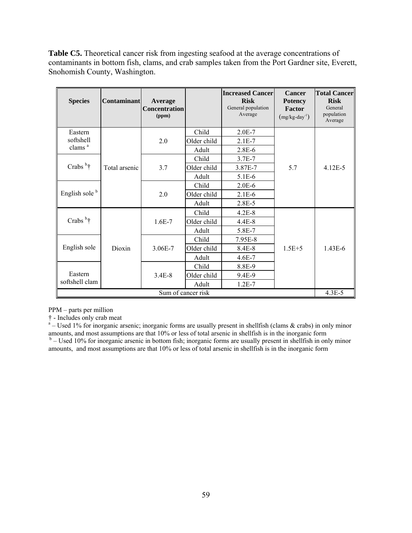**Table C5.** Theoretical cancer risk from ingesting seafood at the average concentrations of contaminants in bottom fish, clams, and crab samples taken from the Port Gardner site, Everett, Snohomish County, Washington.

| <b>Species</b>            | <b>Contaminant</b> | Average<br><b>Concentration</b><br>(ppm) |             | <b>Increased Cancer</b><br><b>Risk</b><br>General population<br>Average | Cancer<br><b>Potency</b><br>Factor<br>$(mg/kg-day^{-1})$ | <b>Total Cancer</b><br><b>Risk</b><br>General<br>population<br>Average |
|---------------------------|--------------------|------------------------------------------|-------------|-------------------------------------------------------------------------|----------------------------------------------------------|------------------------------------------------------------------------|
| Eastern                   |                    |                                          | Child       | $2.0E-7$                                                                |                                                          |                                                                        |
| softshell                 |                    | 2.0                                      | Older child | $2.1E-7$                                                                |                                                          |                                                                        |
| clams <sup>a</sup>        |                    |                                          | Adult       | $2.8E-6$                                                                |                                                          |                                                                        |
|                           |                    |                                          | Child       | $3.7E - 7$                                                              |                                                          |                                                                        |
| Crabs $\frac{b}{l}$       | Total arsenic      | 3.7                                      | Older child | 3.87E-7                                                                 | 5.7                                                      | $4.12E - 5$                                                            |
|                           |                    |                                          | Adult       | $5.1E-6$                                                                |                                                          |                                                                        |
|                           |                    |                                          | Child       | $2.0E - 6$                                                              |                                                          |                                                                        |
| English sole <sup>b</sup> |                    | 2.0                                      | Older child | $2.1E-6$                                                                |                                                          |                                                                        |
|                           |                    |                                          | Adult       | 2.8E-5                                                                  |                                                          |                                                                        |
|                           |                    |                                          | Child       | $4.2E-8$                                                                |                                                          |                                                                        |
| Crabs $\frac{b}{l}$       |                    | $1.6E-7$                                 | Older child | $4.4E-8$                                                                |                                                          |                                                                        |
|                           |                    |                                          | Adult       | 5.8E-7                                                                  |                                                          |                                                                        |
|                           |                    |                                          | Child       | 7.95E-8                                                                 |                                                          |                                                                        |
| English sole              | Dioxin             | 3.06E-7                                  | Older child | $8.4E-8$                                                                | $1.5E + 5$                                               | $1.43E-6$                                                              |
|                           |                    |                                          | Adult       | $4.6E - 7$                                                              |                                                          |                                                                        |
|                           |                    |                                          | Child       | 8.8E-9                                                                  |                                                          |                                                                        |
| Eastern                   |                    | $3.4E-8$                                 | Older child | 9.4E-9                                                                  |                                                          |                                                                        |
| softshell clam            |                    |                                          | Adult       | $1.2E - 7$                                                              |                                                          |                                                                        |
|                           |                    | Sum of cancer risk                       |             |                                                                         |                                                          | $4.3E - 5$                                                             |

PPM – parts per million

† - Includes only crab meat a – Used 1% for inorganic arsenic; inorganic forms are usually present in shellfish (clams & crabs) in only minor amounts, and most assumptions are that 10% or less of total arsenic in shellfish is in the inorganic form  $<sup>b</sup>$  – Used 10% for inorganic arsenic in bottom fish; inorganic forms are usually present in shellfish in only minor</sup> amounts, and most assumptions are that 10% or less of total arsenic in shellfish is in the inorganic form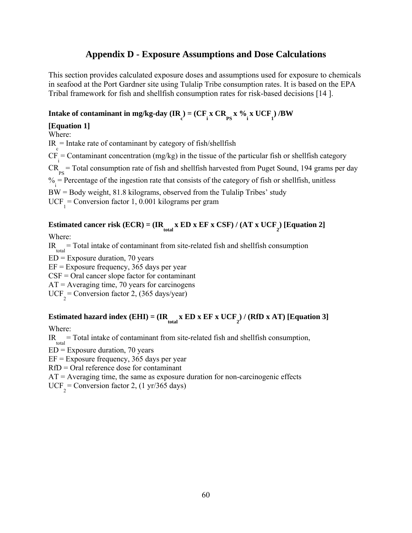### **Appendix D - Exposure Assumptions and Dose Calculations**

<span id="page-60-0"></span>This section provides calculated exposure doses and assumptions used for exposure to chemicals in seafood at the Port Gardner site using Tulalip Tribe consumption rates. It is based on the EPA Tribal framework for fish and shellfish consumption rates for risk-based decisions [14 ].

## **Intake of contaminant in mg/kg-day (IR<sub>c</sub>) = (CF<sub>i</sub> x CR<sub>PS</sub> x %<sub>i</sub> x UCF<sub>1</sub>) /BW**

### **[Equation 1]**

Where:

 $IR<sub>c</sub>$  = Intake rate of contaminant by category of fish/shellfish

 $CF_i =$  Contaminant concentration (mg/kg) in the tissue of the particular fish or shellfish category

 $CR_{PS}$  = Total consumption rate of fish and shellfish harvested from Puget Sound, 194 grams per day

 $\%$  = Percentage of the ingestion rate that consists of the category of fish or shellfish, unitless

BW = Body weight, 81.8 kilograms, observed from the Tulalip Tribes' study

 $\text{UCF}_{1}$  = Conversion factor 1, 0.001 kilograms per gram

## **Estimated cancer risk (ECR) = (IR<sub>total</sub> x ED x EF x CSF) / (AT x UCF<sub>2</sub>) [Equation 2]**

Where:

 $IR<sub>total</sub>$  = Total intake of contaminant from site-related fish and shellfish consumption

ED = Exposure duration, 70 years

 $EF = Exposure frequency, 365 days per year$ 

 $CSF =$  Oral cancer slope factor for contaminant

 $AT =$  Averaging time, 70 years for carcinogens

 $UCF_2$  = Conversion factor 2, (365 days/year)

## **Estimated hazard index (EHI)** = (**IR**<sub>total</sub> **x ED x EF x UCF**<sub>2</sub>) / (**RfD x AT**) [Equation 3]

Where:

 $IR<sub>total</sub>$  = Total intake of contaminant from site-related fish and shellfish consumption, ED = Exposure duration, 70 years  $EF = Exposure frequency, 365 days per year$ RfD = Oral reference dose for contaminant  $AT =$  Averaging time, the same as exposure duration for non-carcinogenic effects  $UCF_2$  = Conversion factor 2, (1 yr/365 days)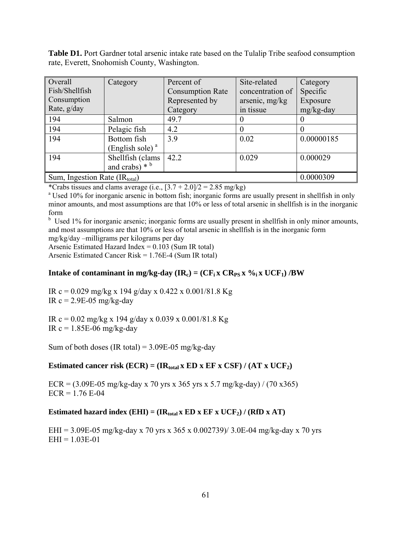**Table D1.** Port Gardner total arsenic intake rate based on the Tulalip Tribe seafood consumption rate, Everett, Snohomish County, Washington.

| Overall                            | Category                    | Percent of              | Site-related     | Category     |
|------------------------------------|-----------------------------|-------------------------|------------------|--------------|
| Fish/Shellfish                     |                             | <b>Consumption Rate</b> | concentration of | Specific     |
| Consumption                        |                             | Represented by          | arsenic, mg/kg   | Exposure     |
| Rate, g/day                        |                             | Category                | in tissue        | $mg/kg$ -day |
| 194                                | Salmon                      | 49.7                    |                  | 0            |
| 194                                | Pelagic fish                | 4.2                     |                  |              |
| 194                                | Bottom fish                 | 3.9                     | 0.02             | 0.00000185   |
|                                    | (English sole) <sup>a</sup> |                         |                  |              |
| 194                                | Shellfish (clams            | 42.2                    | 0.029            | 0.000029     |
|                                    | and crabs) $*$ <sup>b</sup> |                         |                  |              |
| Sum, Ingestion Rate $(IR_{total})$ |                             |                         |                  | 0.0000309    |

\*Crabs tissues and clams average (i.e.,  $[3.7 + 2.0]/2 = 2.85$  mg/kg)

<sup>a</sup> Used 10% for inorganic arsenic in bottom fish; inorganic forms are usually present in shellfish in only minor amounts, and most assumptions are that 10% or less of total arsenic in shellfish is in the inorganic form

<sup>b</sup> Used 1% for inorganic arsenic; inorganic forms are usually present in shellfish in only minor amounts, and most assumptions are that 10% or less of total arsenic in shellfish is in the inorganic form mg/kg/day –milligrams per kilograms per day

Arsenic Estimated Hazard Index =  $0.103$  (Sum IR total) Arsenic Estimated Cancer Risk = 1.76E-4 (Sum IR total)

### **Intake of contaminant in mg/kg-day (IR<sub>c</sub>) = (** $CF_i$ **x**  $CR_{PS}$ **x**  $\%$ **<sub>i</sub>x**  $UCF_1$ **) /BW**

IR c = 0.029 mg/kg x 194 g/day x 0.422 x 0.001/81.8 Kg IR  $c = 2.9E - 05$  mg/kg-day

IR c = 0.02 mg/kg x 194 g/day x 0.039 x 0.001/81.8 Kg IR  $c = 1.85E-06$  mg/kg-day

Sum of both doses (IR total) =  $3.09E-05$  mg/kg-day

### **Estimated cancer risk (ECR) = (IR<sub>total</sub> x ED x EF x CSF) / (AT x UCF<sub>2</sub>)**

ECR =  $(3.09E-05 \text{ mg/kg-day x } 70 \text{ yrs x } 365 \text{ yrs x } 5.7 \text{ mg/kg-day}) / (70 \text{ x}365)$  $ECR = 1.76 E-04$ 

#### **Estimated hazard index (EHI) = (IR<sub>total</sub> x ED x EF x UCF<sub>2</sub>) / (RfD x AT)**

EHI = 3.09E-05 mg/kg-day x 70 yrs x 365 x 0.002739)/ 3.0E-04 mg/kg-day x 70 yrs  $EHI = 1.03E-01$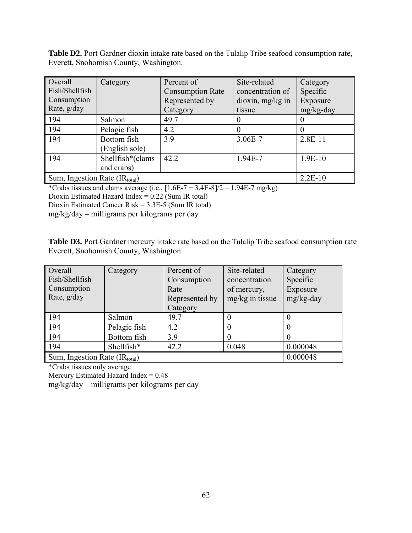**Table D2.** Port Gardner dioxin intake rate based on the Tulalip Tribe seafood consumption rate, Everett, Snohomish County, Washington.

| Overall                            | Category         | Percent of              | Site-related        | Category     |
|------------------------------------|------------------|-------------------------|---------------------|--------------|
| Fish/Shellfish                     |                  | <b>Consumption Rate</b> | concentration of    | Specific     |
| <b>Consumption</b>                 |                  | Represented by          | $dioxin$ , mg/kg in | Exposure     |
| Rate, g/day                        |                  | Category                | tissue              | $mg/kg$ -day |
| 194                                | Salmon           | 49.7                    | 0                   |              |
| 194                                | Pelagic fish     | 4.2                     | $\theta$            | O            |
| 194                                | Bottom fish      | 3.9                     | 3.06E-7             | $2.8E-11$    |
|                                    | (English sole)   |                         |                     |              |
| 194                                | Shellfish*(clams | 42.2                    | 1.94E-7             | $1.9E-10$    |
|                                    | and crabs)       |                         |                     |              |
| Sum, Ingestion Rate $(IR_{total})$ |                  |                         |                     | $2.2E-10$    |

\*Crabs tissues and clams average (i.e.,  $[1.6E-7 + 3.4E-8]/2 = 1.94E-7$  mg/kg)

Dioxin Estimated Hazard Index =  $0.22$  (Sum IR total)

Dioxin Estimated Cancer Risk = 3.3E-5 (Sum IR total)

mg/kg/day – milligrams per kilograms per day

**Table D3.** Port Gardner mercury intake rate based on the Tulalip Tribe seafood consumption rate Everett, Snohomish County, Washington.

| Overall<br>Fish/Shellfish<br>Consumption<br>Rate, g/day | Category     | Percent of<br>Consumption<br>Rate<br>Represented by<br>Category | Site-related<br>concentration<br>of mercury,<br>mg/kg in tissue | Category<br>Specific<br>Exposure<br>mg/kg-day |
|---------------------------------------------------------|--------------|-----------------------------------------------------------------|-----------------------------------------------------------------|-----------------------------------------------|
| 194                                                     | Salmon       | 49.7                                                            |                                                                 |                                               |
| 194                                                     | Pelagic fish | 4.2                                                             |                                                                 |                                               |
| 194                                                     | Bottom fish  | 3.9                                                             |                                                                 |                                               |
| 194                                                     | Shellfish*   | 42.2                                                            | 0.048                                                           | 0.000048                                      |
| Sum, Ingestion Rate $(IR_{total})$                      | 0.000048     |                                                                 |                                                                 |                                               |

\*Crabs tissues only average

Mercury Estimated Hazard Index =  $0.48$ 

mg/kg/day – milligrams per kilograms per day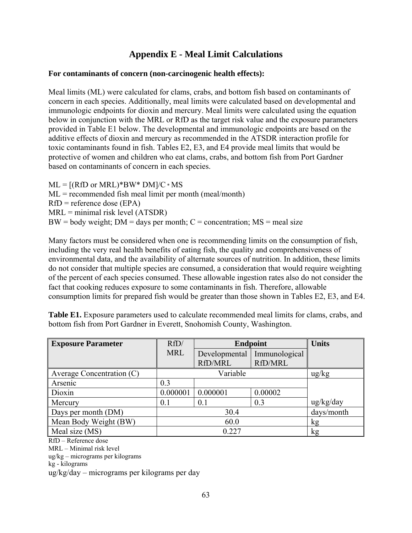### **Appendix E - Meal Limit Calculations**

#### <span id="page-63-0"></span>**For contaminants of concern (non-carcinogenic health effects):**

Meal limits (ML) were calculated for clams, crabs, and bottom fish based on contaminants of concern in each species. Additionally, meal limits were calculated based on developmental and immunologic endpoints for dioxin and mercury. Meal limits were calculated using the equation below in conjunction with the MRL or RfD as the target risk value and the exposure parameters provided in Table E1 below. The developmental and immunologic endpoints are based on the additive effects of dioxin and mercury as recommended in the ATSDR interaction profile for toxic contaminants found in fish. Tables E2, E3, and E4 provide meal limits that would be protective of women and children who eat clams, crabs, and bottom fish from Port Gardner based on contaminants of concern in each species.

 $ML = [(RfD or MRL)*BW*DM]/C*MS$ ML = recommended fish meal limit per month (meal/month)  $RfD$  = reference dose (EPA)  $MRL = \text{minimal risk level (ATSDR)}$  $BW = body weight$ ;  $DM = days$  per month;  $C = concentration$ ;  $MS = meal size$ 

Many factors must be considered when one is recommending limits on the consumption of fish, including the very real health benefits of eating fish, the quality and comprehensiveness of environmental data, and the availability of alternate sources of nutrition. In addition, these limits do not consider that multiple species are consumed, a consideration that would require weighting of the percent of each species consumed. These allowable ingestion rates also do not consider the fact that cooking reduces exposure to some contaminants in fish. Therefore, allowable consumption limits for prepared fish would be greater than those shown in Tables E2, E3, and E4.

| <b>Exposure Parameter</b> | RfD/<br><b>Endpoint</b> |               |               | <b>Units</b>      |
|---------------------------|-------------------------|---------------|---------------|-------------------|
|                           | <b>MRL</b>              | Developmental | Immunological |                   |
|                           |                         | RfD/MRL       | RfD/MRL       |                   |
| Average Concentration (C) | Variable                |               |               | $\frac{u g}{k g}$ |
| Arsenic                   | 0.3                     |               |               |                   |
| Dioxin                    | 0.000001                | 0.000001      | 0.00002       |                   |
| Mercury                   | 0.1                     | 0.1           | 0.3           | ug/kg/day         |
| Days per month (DM)       | 30.4                    |               |               | days/month        |
| Mean Body Weight (BW)     | 60.0                    |               |               | kg                |
| Meal size (MS)            | 0.227                   |               |               | kg                |

**Table E1.** Exposure parameters used to calculate recommended meal limits for clams, crabs, and bottom fish from Port Gardner in Everett, Snohomish County, Washington.

RfD – Reference dose

MRL – Minimal risk level

ug/kg – micrograms per kilograms

kg - kilograms

ug/kg/day – micrograms per kilograms per day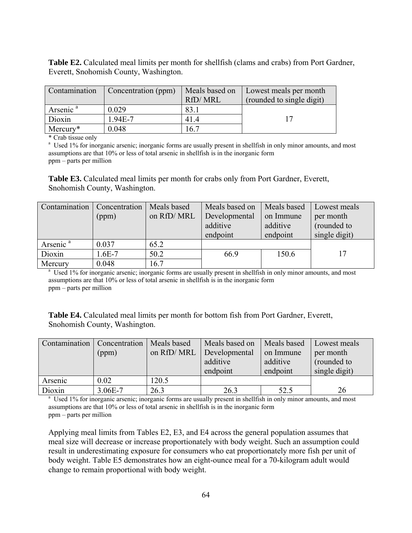**Table E2.** Calculated meal limits per month for shellfish (clams and crabs) from Port Gardner, Everett, Snohomish County, Washington.

| Contamination        | Concentration (ppm) | Meals based on | Lowest meals per month    |
|----------------------|---------------------|----------------|---------------------------|
|                      |                     | RfD/MRL        | (rounded to single digit) |
| Arsenic <sup>a</sup> | 0.029               | 83.1           |                           |
| Dioxin               | 1.94E-7             | 41.4           |                           |
| $Mercury*$           | 0.048               | 16.7           |                           |

\* Crab tissue only

<sup>a</sup> Used 1% for inorganic arsenic; inorganic forms are usually present in shellfish in only minor amounts, and most assumptions are that 10% or less of total arsenic in shellfish is in the inorganic form ppm – parts per million

**Table E3.** Calculated meal limits per month for crabs only from Port Gardner, Everett, Snohomish County, Washington.

| Contamination        | Concentration | Meals based | Meals based on | Meals based | Lowest meals  |
|----------------------|---------------|-------------|----------------|-------------|---------------|
|                      | (ppm)         | on RfD/MRL  | Developmental  | on Immune   | per month     |
|                      |               |             | additive       | additive    | (rounded to   |
|                      |               |             | endpoint       | endpoint    | single digit) |
| Arsenic <sup>a</sup> | 0.037         | 65.2        |                |             |               |
| Dioxin               | $1.6E - 7$    | 50.2        | 66.9           | 150.6       |               |
| Mercury              | 0.048         | 16.7        |                |             |               |

<sup>a</sup> Used 1% for inorganic arsenic; inorganic forms are usually present in shellfish in only minor amounts, and most assumptions are that 10% or less of total arsenic in shellfish is in the inorganic form ppm – parts per million

**Table E4.** Calculated meal limits per month for bottom fish from Port Gardner, Everett, Snohomish County, Washington.

| Contamination | Concentration | Meals based | Meals based on | Meals based | Lowest meals  |
|---------------|---------------|-------------|----------------|-------------|---------------|
|               | (ppm)         | on RfD/MRL  | Developmental  | on Immune   | per month     |
|               |               |             | additive       | additive    | (rounded to   |
|               |               |             | endpoint       | endpoint    | single digit) |
| Arsenic       | 0.02          | 120.5       |                |             |               |
| Dioxin        | 3.06E-7       | 26.3        | 26.3           | 52.5        | 26            |

<sup>a</sup> Used 1% for inorganic arsenic; inorganic forms are usually present in shellfish in only minor amounts, and most assumptions are that 10% or less of total arsenic in shellfish is in the inorganic form ppm – parts per million

Applying meal limits from Tables E2, E3, and E4 across the general population assumes that meal size will decrease or increase proportionately with body weight. Such an assumption could result in underestimating exposure for consumers who eat proportionately more fish per unit of body weight. Table E5 demonstrates how an eight-ounce meal for a 70-kilogram adult would change to remain proportional with body weight.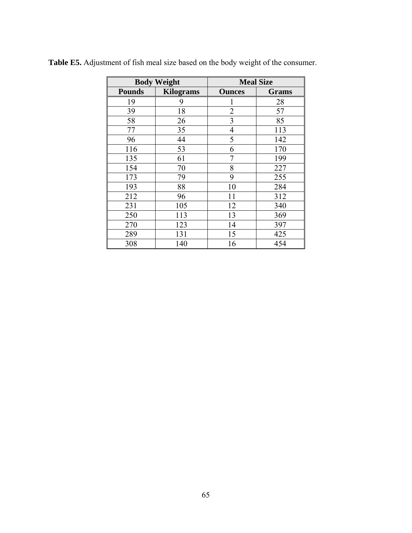| <b>Body Weight</b> |                  | <b>Meal Size</b> |              |  |
|--------------------|------------------|------------------|--------------|--|
| <b>Pounds</b>      | <b>Kilograms</b> | <b>Ounces</b>    | <b>Grams</b> |  |
| 19                 | 9                | 1                | 28           |  |
| 39                 | 18               | $\overline{2}$   | 57           |  |
| 58                 | 26               | 3                | 85           |  |
| 77                 | 35               | $\overline{4}$   | 113          |  |
| 96                 | 44               | 5                | 142          |  |
| 116                | 53               | 6                | 170          |  |
| 135                | 61               | 7                | 199          |  |
| 154                | 70               | 8                | 227          |  |
| 173                | 79               | 9                | 255          |  |
| 193                | 88               | 10               | 284          |  |
| 212                | 96               | 11               | 312          |  |
| 231                | 105              | 12               | 340          |  |
| 250                | 113              | 13               | 369          |  |
| 270                | 123              | 14               | 397          |  |
| 289                | 131              | 15               | 425          |  |
| 308                | 140              | 16               | 454          |  |

**Table E5.** Adjustment of fish meal size based on the body weight of the consumer.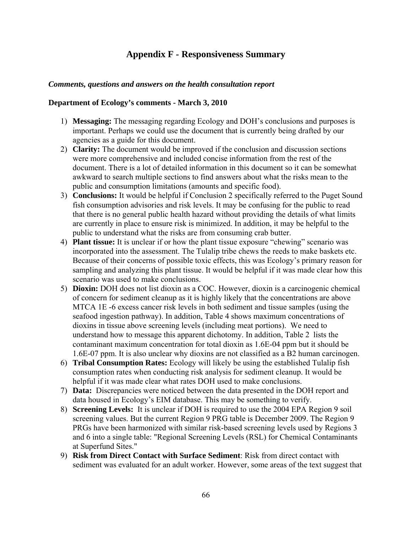### **Appendix F** *-* **Responsiveness Summary**

#### <span id="page-66-0"></span>*Comments, questions and answers on the health consultation report*

### **Department of Ecology's comments - March 3, 2010**

- 1) **Messaging:** The messaging regarding Ecology and DOH's conclusions and purposes is important. Perhaps we could use the document that is currently being drafted by our agencies as a guide for this document.
- 2) **Clarity:** The document would be improved if the conclusion and discussion sections were more comprehensive and included concise information from the rest of the document. There is a lot of detailed information in this document so it can be somewhat awkward to search multiple sections to find answers about what the risks mean to the public and consumption limitations (amounts and specific food).
- 3) **Conclusions:** It would be helpful if Conclusion 2 specifically referred to the Puget Sound fish consumption advisories and risk levels. It may be confusing for the public to read that there is no general public health hazard without providing the details of what limits are currently in place to ensure risk is minimized. In addition, it may be helpful to the public to understand what the risks are from consuming crab butter.
- 4) **Plant tissue:** It is unclear if or how the plant tissue exposure "chewing" scenario was incorporated into the assessment. The Tulalip tribe chews the reeds to make baskets etc. Because of their concerns of possible toxic effects, this was Ecology's primary reason for sampling and analyzing this plant tissue. It would be helpful if it was made clear how this scenario was used to make conclusions.
- 5) **Dioxin:** DOH does not list dioxin as a COC. However, dioxin is a carcinogenic chemical of concern for sediment cleanup as it is highly likely that the concentrations are above MTCA 1E -6 excess cancer risk levels in both sediment and tissue samples (using the seafood ingestion pathway). In addition, Table 4 shows maximum concentrations of dioxins in tissue above screening levels (including meat portions). We need to understand how to message this apparent dichotomy. In addition, Table 2 lists the contaminant maximum concentration for total dioxin as 1.6E-04 ppm but it should be 1.6E-07 ppm. It is also unclear why dioxins are not classified as a B2 human carcinogen.
- 6) **Tribal Consumption Rates:** Ecology will likely be using the established Tulalip fish consumption rates when conducting risk analysis for sediment cleanup. It would be helpful if it was made clear what rates DOH used to make conclusions.
- 7) **Data:** Discrepancies were noticed between the data presented in the DOH report and data housed in Ecology's EIM database. This may be something to verify.
- 8) **Screening Levels:** It is unclear if DOH is required to use the 2004 EPA Region 9 soil screening values. But the current Region 9 PRG table is December 2009. The Region 9 PRGs have been harmonized with similar risk-based screening levels used by Regions 3 and 6 into a single table: "Regional Screening Levels (RSL) for Chemical Contaminants at Superfund Sites."
- 9) **Risk from Direct Contact with Surface Sediment**: Risk from direct contact with sediment was evaluated for an adult worker. However, some areas of the text suggest that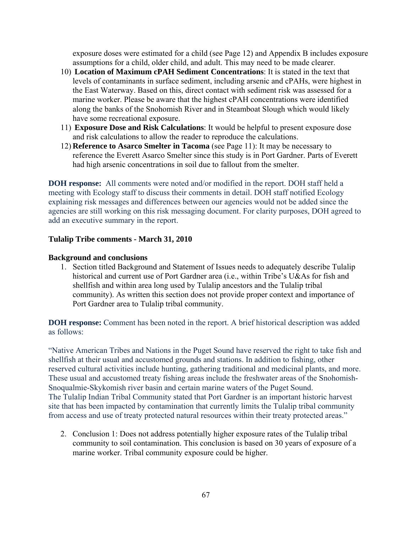exposure doses were estimated for a child (see Page 12) and Appendix B includes exposure assumptions for a child, older child, and adult. This may need to be made clearer.

- 10) **Location of Maximum cPAH Sediment Concentrations**: It is stated in the text that levels of contaminants in surface sediment, including arsenic and cPAHs, were highest in the East Waterway. Based on this, direct contact with sediment risk was assessed for a marine worker. Please be aware that the highest cPAH concentrations were identified along the banks of the Snohomish River and in Steamboat Slough which would likely have some recreational exposure.
- 11) **Exposure Dose and Risk Calculations**: It would be helpful to present exposure dose and risk calculations to allow the reader to reproduce the calculations.
- 12) **Reference to Asarco Smelter in Tacoma** (see Page 11): It may be necessary to reference the Everett Asarco Smelter since this study is in Port Gardner. Parts of Everett had high arsenic concentrations in soil due to fallout from the smelter.

**DOH response:** All comments were noted and/or modified in the report. DOH staff held a meeting with Ecology staff to discuss their comments in detail. DOH staff notified Ecology explaining risk messages and differences between our agencies would not be added since the agencies are still working on this risk messaging document. For clarity purposes, DOH agreed to add an executive summary in the report.

### **Tulalip Tribe comments - March 31, 2010**

#### **Background and conclusions**

1. Section titled Background and Statement of Issues needs to adequately describe Tulalip historical and current use of Port Gardner area (i.e., within Tribe's U&As for fish and shellfish and within area long used by Tulalip ancestors and the Tulalip tribal community). As written this section does not provide proper context and importance of Port Gardner area to Tulalip tribal community.

**DOH response:** Comment has been noted in the report. A brief historical description was added as follows:

"Native American Tribes and Nations in the Puget Sound have reserved the right to take fish and shellfish at their usual and accustomed grounds and stations. In addition to fishing, other reserved cultural activities include hunting, gathering traditional and medicinal plants, and more. These usual and accustomed treaty fishing areas include the freshwater areas of the Snohomish-Snoqualmie-Skykomish river basin and certain marine waters of the Puget Sound. The Tulalip Indian Tribal Community stated that Port Gardner is an important historic harvest site that has been impacted by contamination that currently limits the Tulalip tribal community from access and use of treaty protected natural resources within their treaty protected areas."

2. Conclusion 1: Does not address potentially higher exposure rates of the Tulalip tribal community to soil contamination. This conclusion is based on 30 years of exposure of a marine worker. Tribal community exposure could be higher.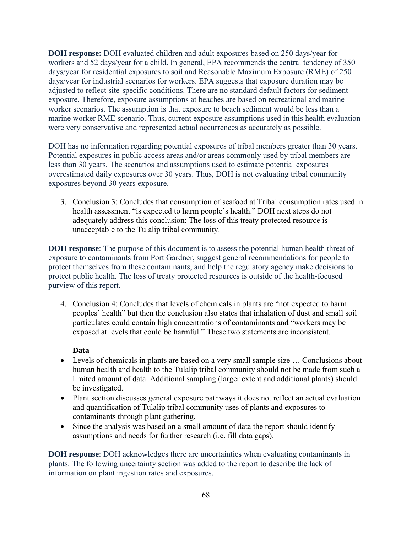**DOH response:** DOH evaluated children and adult exposures based on 250 days/year for workers and 52 days/year for a child. In general, EPA recommends the central tendency of 350 days/year for residential exposures to soil and Reasonable Maximum Exposure (RME) of 250 days/year for industrial scenarios for workers. EPA suggests that exposure duration may be adjusted to reflect site-specific conditions. There are no standard default factors for sediment exposure. Therefore, exposure assumptions at beaches are based on recreational and marine worker scenarios. The assumption is that exposure to beach sediment would be less than a marine worker RME scenario. Thus, current exposure assumptions used in this health evaluation were very conservative and represented actual occurrences as accurately as possible.

DOH has no information regarding potential exposures of tribal members greater than 30 years. Potential exposures in public access areas and/or areas commonly used by tribal members are less than 30 years. The scenarios and assumptions used to estimate potential exposures overestimated daily exposures over 30 years. Thus, DOH is not evaluating tribal community exposures beyond 30 years exposure.

3. Conclusion 3: Concludes that consumption of seafood at Tribal consumption rates used in health assessment "is expected to harm people's health." DOH next steps do not adequately address this conclusion: The loss of this treaty protected resource is unacceptable to the Tulalip tribal community.

**DOH response**: The purpose of this document is to assess the potential human health threat of exposure to contaminants from Port Gardner, suggest general recommendations for people to protect themselves from these contaminants, and help the regulatory agency make decisions to protect public health. The loss of treaty protected resources is outside of the health-focused purview of this report.

4. Conclusion 4: Concludes that levels of chemicals in plants are "not expected to harm peoples' health" but then the conclusion also states that inhalation of dust and small soil particulates could contain high concentrations of contaminants and "workers may be exposed at levels that could be harmful." These two statements are inconsistent.

### **Data**

- Levels of chemicals in plants are based on a very small sample size ... Conclusions about human health and health to the Tulalip tribal community should not be made from such a limited amount of data. Additional sampling (larger extent and additional plants) should be investigated.
- Plant section discusses general exposure pathways it does not reflect an actual evaluation and quantification of Tulalip tribal community uses of plants and exposures to contaminants through plant gathering.
- Since the analysis was based on a small amount of data the report should identify assumptions and needs for further research (i.e. fill data gaps).

**DOH response**: DOH acknowledges there are uncertainties when evaluating contaminants in plants. The following uncertainty section was added to the report to describe the lack of information on plant ingestion rates and exposures.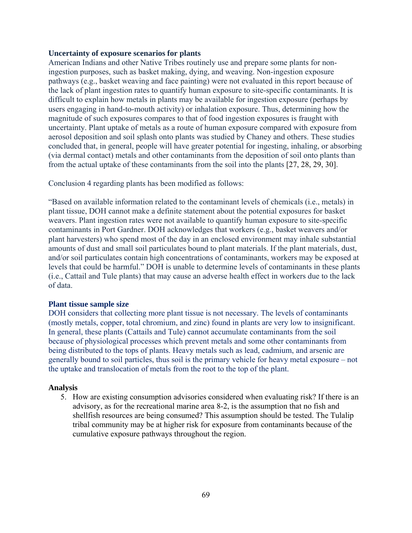#### **Uncertainty of exposure scenarios for plants**

American Indians and other Native Tribes routinely use and prepare some plants for noningestion purposes, such as basket making, dying, and weaving. Non-ingestion exposure pathways (e.g., basket weaving and face painting) were not evaluated in this report because of the lack of plant ingestion rates to quantify human exposure to site-specific contaminants. It is difficult to explain how metals in plants may be available for ingestion exposure (perhaps by users engaging in hand-to-mouth activity) or inhalation exposure. Thus, determining how the magnitude of such exposures compares to that of food ingestion exposures is fraught with uncertainty. Plant uptake of metals as a route of human exposure compared with exposure from aerosol deposition and soil splash onto plants was studied by Chaney and others. These studies concluded that, in general, people will have greater potential for ingesting, inhaling, or absorbing (via dermal contact) metals and other contaminants from the deposition of soil onto plants than from the actual uptake of these contaminants from the soil into the plants [27, 28, 29, 30].

Conclusion 4 regarding plants has been modified as follows:

"Based on available information related to the contaminant levels of chemicals (i.e., metals) in plant tissue, DOH cannot make a definite statement about the potential exposures for basket weavers. Plant ingestion rates were not available to quantify human exposure to site-specific contaminants in Port Gardner. DOH acknowledges that workers (e.g., basket weavers and/or plant harvesters) who spend most of the day in an enclosed environment may inhale substantial amounts of dust and small soil particulates bound to plant materials. If the plant materials, dust, and/or soil particulates contain high concentrations of contaminants, workers may be exposed at levels that could be harmful." DOH is unable to determine levels of contaminants in these plants (i.e., Cattail and Tule plants) that may cause an adverse health effect in workers due to the lack of data.

#### **Plant tissue sample size**

DOH considers that collecting more plant tissue is not necessary. The levels of contaminants (mostly metals, copper, total chromium, and zinc) found in plants are very low to insignificant. In general, these plants (Cattails and Tule) cannot accumulate contaminants from the soil because of physiological processes which prevent metals and some other contaminants from being distributed to the tops of plants. Heavy metals such as lead, cadmium, and arsenic are generally bound to soil particles, thus soil is the primary vehicle for heavy metal exposure – not the uptake and translocation of metals from the root to the top of the plant.

#### **Analysis**

5. How are existing consumption advisories considered when evaluating risk? If there is an advisory, as for the recreational marine area 8-2, is the assumption that no fish and shellfish resources are being consumed? This assumption should be tested. The Tulalip tribal community may be at higher risk for exposure from contaminants because of the cumulative exposure pathways throughout the region.